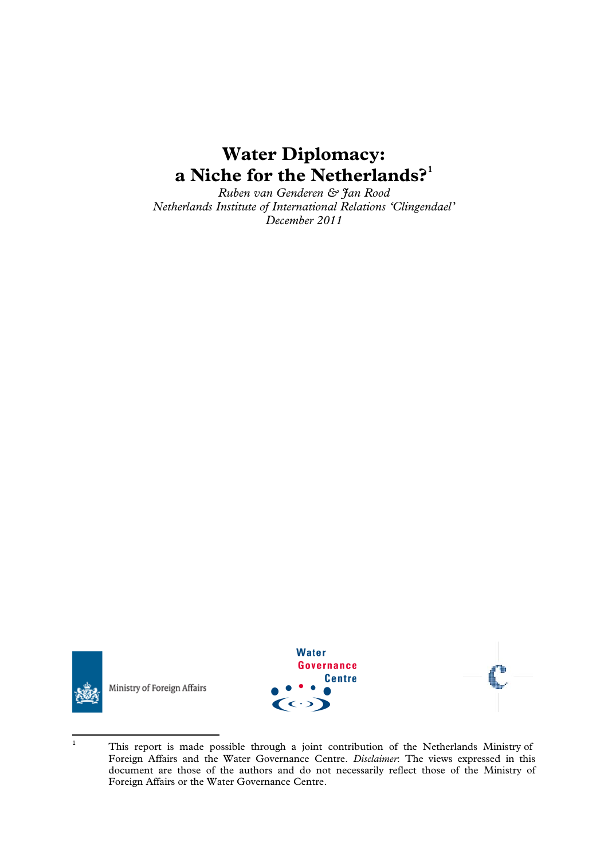# **Water Diplomacy: a Niche for the Netherlands?[1](#page-0-0)**

*Ruben van Genderen & Jan Rood Netherlands Institute of International Relations 'Clingendael' December 2011* 



Ministry of Foreign Affairs





<span id="page-0-0"></span><sup>1</sup> This report is made possible through a joint contribution of the Netherlands Ministry of Foreign Affairs and the Water Governance Centre. *Disclaimer*: The views expressed in this document are those of the authors and do not necessarily reflect those of the Ministry of Foreign Affairs or the Water Governance Centre.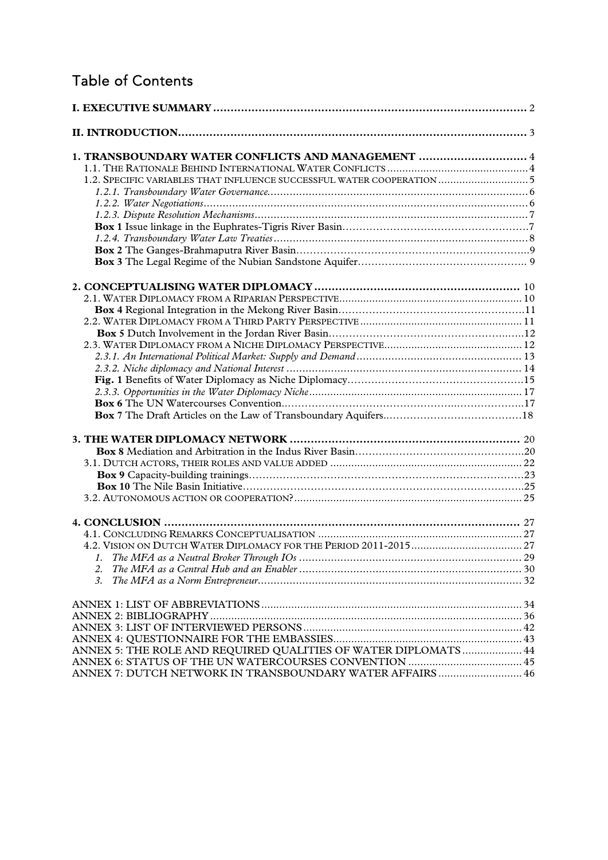# Table of Contents

| 1. TRANSBOUNDARY WATER CONFLICTS AND MANAGEMENT  4                    |  |
|-----------------------------------------------------------------------|--|
|                                                                       |  |
| 1.2. SPECIFIC VARIABLES THAT INFLUENCE SUCCESSFUL WATER COOPERATION 5 |  |
|                                                                       |  |
|                                                                       |  |
|                                                                       |  |
|                                                                       |  |
|                                                                       |  |
|                                                                       |  |
|                                                                       |  |
|                                                                       |  |
|                                                                       |  |
|                                                                       |  |
|                                                                       |  |
|                                                                       |  |
|                                                                       |  |
|                                                                       |  |
|                                                                       |  |
|                                                                       |  |
|                                                                       |  |
|                                                                       |  |
|                                                                       |  |
|                                                                       |  |
|                                                                       |  |
|                                                                       |  |
|                                                                       |  |
|                                                                       |  |
|                                                                       |  |
|                                                                       |  |
|                                                                       |  |
|                                                                       |  |
|                                                                       |  |
| 2.                                                                    |  |
| 3.                                                                    |  |
|                                                                       |  |
|                                                                       |  |
|                                                                       |  |
|                                                                       |  |
|                                                                       |  |
| ANNEX 5: THE ROLE AND REQUIRED QUALITIES OF WATER DIPLOMATS  44       |  |
|                                                                       |  |
| ANNEX 7: DUTCH NETWORK IN TRANSBOUNDARY WATER AFFAIRS  46             |  |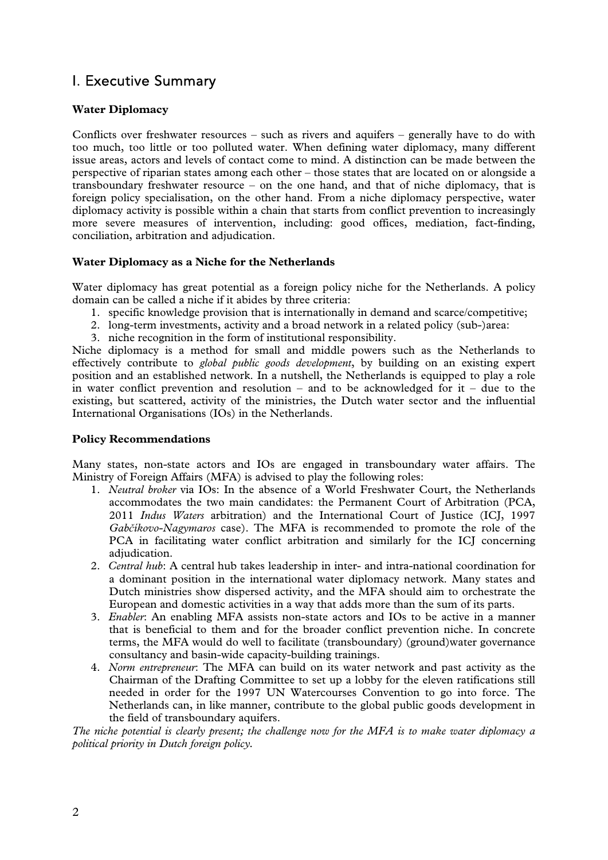## I. Executive Summary

#### **Water Diplomacy**

Conflicts over freshwater resources – such as rivers and aquifers – generally have to do with too much, too little or too polluted water. When defining water diplomacy, many different issue areas, actors and levels of contact come to mind. A distinction can be made between the perspective of riparian states among each other – those states that are located on or alongside a transboundary freshwater resource – on the one hand, and that of niche diplomacy, that is foreign policy specialisation, on the other hand. From a niche diplomacy perspective, water diplomacy activity is possible within a chain that starts from conflict prevention to increasingly more severe measures of intervention, including: good offices, mediation, fact-finding, conciliation, arbitration and adjudication.

#### **Water Diplomacy as a Niche for the Netherlands**

Water diplomacy has great potential as a foreign policy niche for the Netherlands. A policy domain can be called a niche if it abides by three criteria:

- 1. specific knowledge provision that is internationally in demand and scarce/competitive;
- 2. long-term investments, activity and a broad network in a related policy (sub-)area:
- 3. niche recognition in the form of institutional responsibility.

Niche diplomacy is a method for small and middle powers such as the Netherlands to effectively contribute to *global public goods development*, by building on an existing expert position and an established network. In a nutshell, the Netherlands is equipped to play a role in water conflict prevention and resolution – and to be acknowledged for it – due to the existing, but scattered, activity of the ministries, the Dutch water sector and the influential International Organisations (IOs) in the Netherlands.

#### **Policy Recommendations**

Many states, non-state actors and IOs are engaged in transboundary water affairs. The Ministry of Foreign Affairs (MFA) is advised to play the following roles:

- 1. *Neutral broker* via IOs: In the absence of a World Freshwater Court, the Netherlands accommodates the two main candidates: the Permanent Court of Arbitration (PCA, 2011 *Indus Waters* arbitration) and the International Court of Justice (ICJ, 1997 *Gabčíkovo-Nagymaros* case). The MFA is recommended to promote the role of the PCA in facilitating water conflict arbitration and similarly for the ICJ concerning adjudication.
- 2. *Central hub*: A central hub takes leadership in inter- and intra-national coordination for a dominant position in the international water diplomacy network. Many states and Dutch ministries show dispersed activity, and the MFA should aim to orchestrate the European and domestic activities in a way that adds more than the sum of its parts.
- 3. *Enabler*: An enabling MFA assists non-state actors and IOs to be active in a manner that is beneficial to them and for the broader conflict prevention niche. In concrete terms, the MFA would do well to facilitate (transboundary) (ground)water governance consultancy and basin-wide capacity-building trainings.
- 4. *Norm entrepreneur*: The MFA can build on its water network and past activity as the Chairman of the Drafting Committee to set up a lobby for the eleven ratifications still needed in order for the 1997 UN Watercourses Convention to go into force. The Netherlands can, in like manner, contribute to the global public goods development in the field of transboundary aquifers.

*The niche potential is clearly present; the challenge now for the MFA is to make water diplomacy a political priority in Dutch foreign policy.*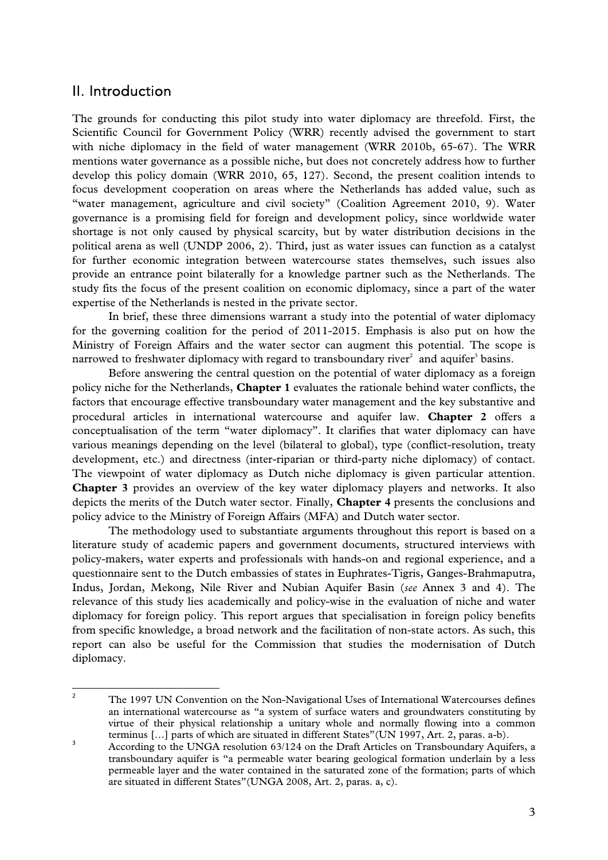### II. Introduction

The grounds for conducting this pilot study into water diplomacy are threefold. First, the Scientific Council for Government Policy (WRR) recently advised the government to start with niche diplomacy in the field of water management (WRR 2010b, 65-67). The WRR mentions water governance as a possible niche, but does not concretely address how to further develop this policy domain (WRR 2010, 65, 127). Second, the present coalition intends to focus development cooperation on areas where the Netherlands has added value, such as "water management, agriculture and civil society" (Coalition Agreement 2010, 9). Water governance is a promising field for foreign and development policy, since worldwide water shortage is not only caused by physical scarcity, but by water distribution decisions in the political arena as well (UNDP 2006, 2). Third, just as water issues can function as a catalyst for further economic integration between watercourse states themselves, such issues also provide an entrance point bilaterally for a knowledge partner such as the Netherlands. The study fits the focus of the present coalition on economic diplomacy, since a part of the water expertise of the Netherlands is nested in the private sector.

In brief, these three dimensions warrant a study into the potential of water diplomacy for the governing coalition for the period of 2011-2015. Emphasis is also put on how the Ministry of Foreign Affairs and the water sector can augment this potential. The scope is narrowed to freshwater diplomacy with regard to transboundary river<sup>2</sup> and aquifer<sup>3</sup> basins.

Before answering the central question on the potential of water diplomacy as a foreign policy niche for the Netherlands, **Chapter 1** evaluates the rationale behind water conflicts, the factors that encourage effective transboundary water management and the key substantive and procedural articles in international watercourse and aquifer law. **Chapter 2** offers a conceptualisation of the term "water diplomacy". It clarifies that water diplomacy can have various meanings depending on the level (bilateral to global), type (conflict-resolution, treaty development, etc.) and directness (inter-riparian or third-party niche diplomacy) of contact. The viewpoint of water diplomacy as Dutch niche diplomacy is given particular attention. **Chapter 3** provides an overview of the key water diplomacy players and networks. It also depicts the merits of the Dutch water sector. Finally, **Chapter 4** presents the conclusions and policy advice to the Ministry of Foreign Affairs (MFA) and Dutch water sector.

The methodology used to substantiate arguments throughout this report is based on a literature study of academic papers and government documents, structured interviews with policy-makers, water experts and professionals with hands-on and regional experience, and a questionnaire sent to the Dutch embassies of states in Euphrates-Tigris, Ganges-Brahmaputra, Indus, Jordan, Mekong, Nile River and Nubian Aquifer Basin (*see* Annex 3 and 4). The relevance of this study lies academically and policy-wise in the evaluation of niche and water diplomacy for foreign policy. This report argues that specialisation in foreign policy benefits from specific knowledge, a broad network and the facilitation of non-state actors. As such, this report can also be useful for the Commission that studies the modernisation of Dutch diplomacy.

<sup>2</sup> The 1997 UN Convention on the Non-Navigational Uses of International Watercourses defines an international watercourse as "a system of surface waters and groundwaters constituting by virtue of their physical relationship a unitary whole and normally flowing into a common terminus [...] parts of which are situated in different States"(UN 1997, Art. 2, paras. a-b).

 According to the UNGA resolution 63/124 on the Draft Articles on Transboundary Aquifers, a transboundary aquifer is "a permeable water bearing geological formation underlain by a less permeable layer and the water contained in the saturated zone of the formation; parts of which are situated in different States"(UNGA 2008, Art. 2, paras. a, c).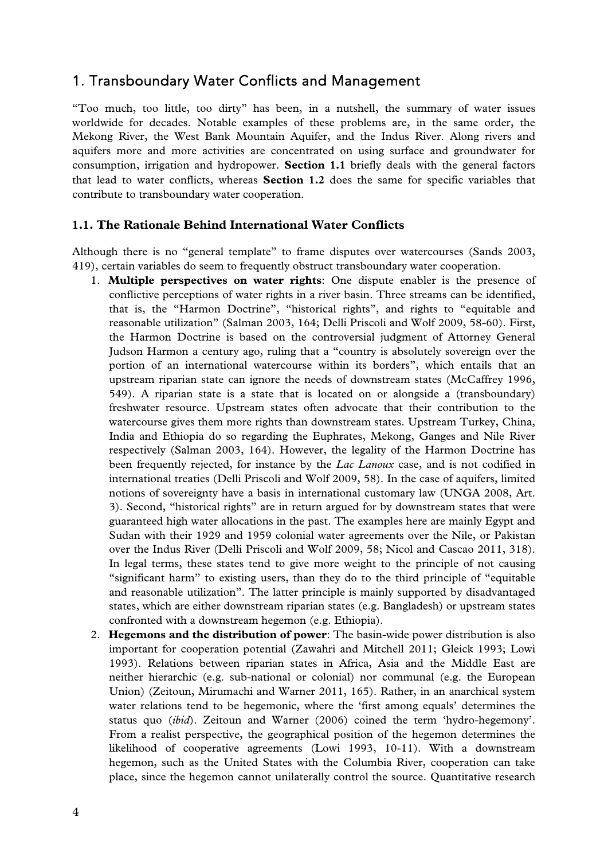### 1. Transboundary Water Conflicts and Management

"Too much, too little, too dirty" has been, in a nutshell, the summary of water issues worldwide for decades. Notable examples of these problems are, in the same order, the Mekong River, the West Bank Mountain Aquifer, and the Indus River. Along rivers and aquifers more and more activities are concentrated on using surface and groundwater for consumption, irrigation and hydropower. **Section 1.1** briefly deals with the general factors that lead to water conflicts, whereas **Section 1.2** does the same for specific variables that contribute to transboundary water cooperation.

#### **1.1. The Rationale Behind International Water Conflicts**

Although there is no "general template" to frame disputes over watercourses (Sands 2003, 419), certain variables do seem to frequently obstruct transboundary water cooperation.

- 1. **Multiple perspectives on water rights**: One dispute enabler is the presence of conflictive perceptions of water rights in a river basin. Three streams can be identified, that is, the "Harmon Doctrine", "historical rights", and rights to "equitable and reasonable utilization" (Salman 2003, 164; Delli Priscoli and Wolf 2009, 58-60). First, the Harmon Doctrine is based on the controversial judgment of Attorney General Judson Harmon a century ago, ruling that a "country is absolutely sovereign over the portion of an international watercourse within its borders", which entails that an upstream riparian state can ignore the needs of downstream states (McCaffrey 1996, 549). A riparian state is a state that is located on or alongside a (transboundary) freshwater resource. Upstream states often advocate that their contribution to the watercourse gives them more rights than downstream states. Upstream Turkey, China, India and Ethiopia do so regarding the Euphrates, Mekong, Ganges and Nile River respectively (Salman 2003, 164). However, the legality of the Harmon Doctrine has been frequently rejected, for instance by the *Lac Lanoux* case, and is not codified in international treaties (Delli Priscoli and Wolf 2009, 58). In the case of aquifers, limited notions of sovereignty have a basis in international customary law (UNGA 2008, Art. 3). Second, "historical rights" are in return argued for by downstream states that were guaranteed high water allocations in the past. The examples here are mainly Egypt and Sudan with their 1929 and 1959 colonial water agreements over the Nile, or Pakistan over the Indus River (Delli Priscoli and Wolf 2009, 58; Nicol and Cascao 2011, 318). In legal terms, these states tend to give more weight to the principle of not causing "significant harm" to existing users, than they do to the third principle of "equitable and reasonable utilization". The latter principle is mainly supported by disadvantaged states, which are either downstream riparian states (e.g. Bangladesh) or upstream states confronted with a downstream hegemon (e.g. Ethiopia).
- 2. **Hegemons and the distribution of power**: The basin-wide power distribution is also important for cooperation potential (Zawahri and Mitchell 2011; Gleick 1993; Lowi 1993). Relations between riparian states in Africa, Asia and the Middle East are neither hierarchic (e.g. sub-national or colonial) nor communal (e.g. the European Union) (Zeitoun, Mirumachi and Warner 2011, 165). Rather, in an anarchical system water relations tend to be hegemonic, where the 'first among equals' determines the status quo (*ibid*). Zeitoun and Warner (2006) coined the term 'hydro-hegemony'. From a realist perspective, the geographical position of the hegemon determines the likelihood of cooperative agreements (Lowi 1993, 10-11). With a downstream hegemon, such as the United States with the Columbia River, cooperation can take place, since the hegemon cannot unilaterally control the source. Quantitative research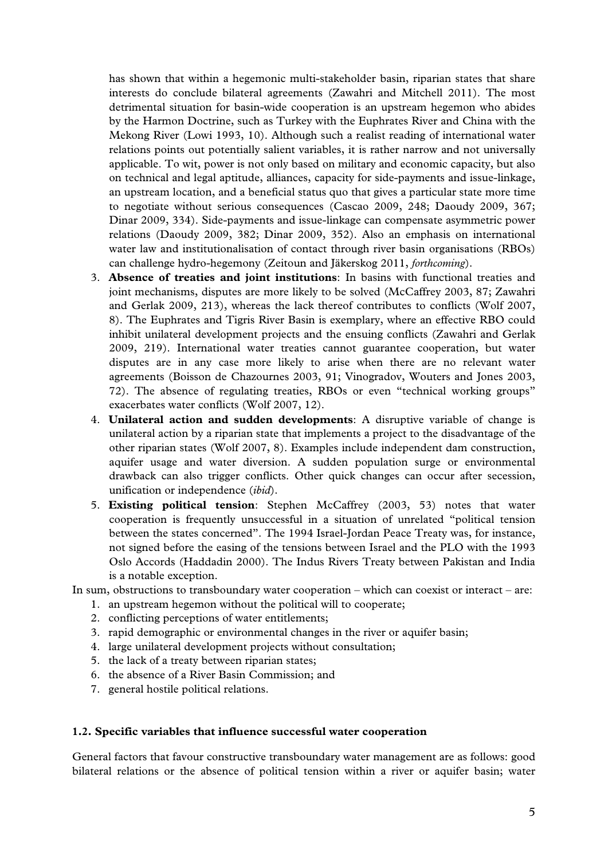has shown that within a hegemonic multi-stakeholder basin, riparian states that share interests do conclude bilateral agreements (Zawahri and Mitchell 2011). The most detrimental situation for basin-wide cooperation is an upstream hegemon who abides by the Harmon Doctrine, such as Turkey with the Euphrates River and China with the Mekong River (Lowi 1993, 10). Although such a realist reading of international water relations points out potentially salient variables, it is rather narrow and not universally applicable. To wit, power is not only based on military and economic capacity, but also on technical and legal aptitude, alliances, capacity for side-payments and issue-linkage, an upstream location, and a beneficial status quo that gives a particular state more time to negotiate without serious consequences (Cascao 2009, 248; Daoudy 2009, 367; Dinar 2009, 334). Side-payments and issue-linkage can compensate asymmetric power relations (Daoudy 2009, 382; Dinar 2009, 352). Also an emphasis on international water law and institutionalisation of contact through river basin organisations (RBOs) can challenge hydro-hegemony (Zeitoun and Jäkerskog 2011, *forthcoming*).

- 3. **Absence of treaties and joint institutions**: In basins with functional treaties and joint mechanisms, disputes are more likely to be solved (McCaffrey 2003, 87; Zawahri and Gerlak 2009, 213), whereas the lack thereof contributes to conflicts (Wolf 2007, 8). The Euphrates and Tigris River Basin is exemplary, where an effective RBO could inhibit unilateral development projects and the ensuing conflicts (Zawahri and Gerlak 2009, 219). International water treaties cannot guarantee cooperation, but water disputes are in any case more likely to arise when there are no relevant water agreements (Boisson de Chazournes 2003, 91; Vinogradov, Wouters and Jones 2003, 72). The absence of regulating treaties, RBOs or even "technical working groups" exacerbates water conflicts (Wolf 2007, 12).
- 4. **Unilateral action and sudden developments**: A disruptive variable of change is unilateral action by a riparian state that implements a project to the disadvantage of the other riparian states (Wolf 2007, 8). Examples include independent dam construction, aquifer usage and water diversion. A sudden population surge or environmental drawback can also trigger conflicts. Other quick changes can occur after secession, unification or independence (*ibid*).
- 5. **Existing political tension**: Stephen McCaffrey (2003, 53) notes that water cooperation is frequently unsuccessful in a situation of unrelated "political tension between the states concerned". The 1994 Israel-Jordan Peace Treaty was, for instance, not signed before the easing of the tensions between Israel and the PLO with the 1993 Oslo Accords (Haddadin 2000). The Indus Rivers Treaty between Pakistan and India is a notable exception.

In sum, obstructions to transboundary water cooperation – which can coexist or interact – are:

- 1. an upstream hegemon without the political will to cooperate;
- 2. conflicting perceptions of water entitlements;
- 3. rapid demographic or environmental changes in the river or aquifer basin;
- 4. large unilateral development projects without consultation;
- 5. the lack of a treaty between riparian states;
- 6. the absence of a River Basin Commission; and
- 7. general hostile political relations.

#### **1.2. Specific variables that influence successful water cooperation**

General factors that favour constructive transboundary water management are as follows: good bilateral relations or the absence of political tension within a river or aquifer basin; water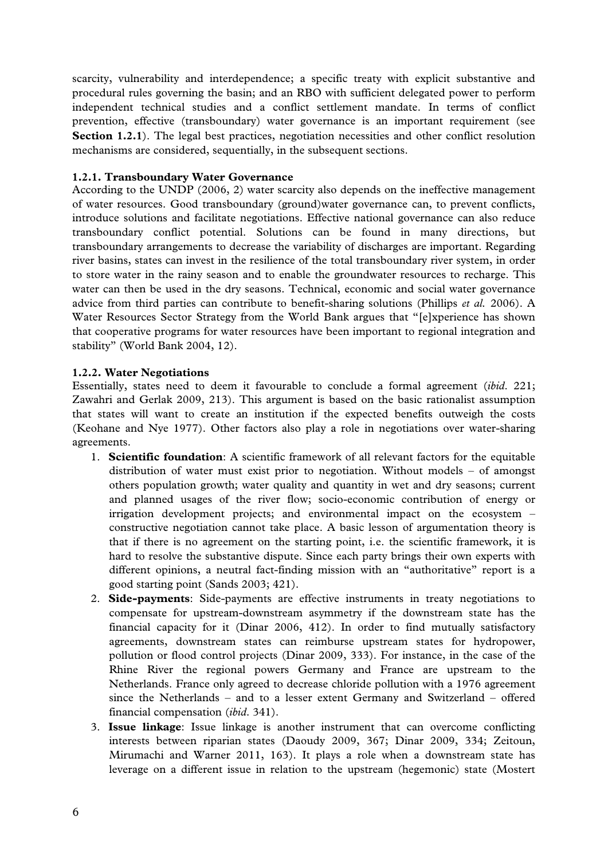scarcity, vulnerability and interdependence; a specific treaty with explicit substantive and procedural rules governing the basin; and an RBO with sufficient delegated power to perform independent technical studies and a conflict settlement mandate. In terms of conflict prevention, effective (transboundary) water governance is an important requirement (see **Section 1.2.1**). The legal best practices, negotiation necessities and other conflict resolution mechanisms are considered, sequentially, in the subsequent sections.

#### **1.2.1. Transboundary Water Governance**

According to the UNDP (2006, 2) water scarcity also depends on the ineffective management of water resources. Good transboundary (ground)water governance can, to prevent conflicts, introduce solutions and facilitate negotiations. Effective national governance can also reduce transboundary conflict potential. Solutions can be found in many directions, but transboundary arrangements to decrease the variability of discharges are important. Regarding river basins, states can invest in the resilience of the total transboundary river system, in order to store water in the rainy season and to enable the groundwater resources to recharge. This water can then be used in the dry seasons. Technical, economic and social water governance advice from third parties can contribute to benefit-sharing solutions (Phillips *et al.* 2006). A Water Resources Sector Strategy from the World Bank argues that "[e]xperience has shown that cooperative programs for water resources have been important to regional integration and stability" (World Bank 2004, 12).

#### **1.2.2. Water Negotiations**

Essentially, states need to deem it favourable to conclude a formal agreement (*ibid*. 221; Zawahri and Gerlak 2009, 213). This argument is based on the basic rationalist assumption that states will want to create an institution if the expected benefits outweigh the costs (Keohane and Nye 1977). Other factors also play a role in negotiations over water-sharing agreements.

- 1. **Scientific foundation**: A scientific framework of all relevant factors for the equitable distribution of water must exist prior to negotiation. Without models – of amongst others population growth; water quality and quantity in wet and dry seasons; current and planned usages of the river flow; socio-economic contribution of energy or irrigation development projects; and environmental impact on the ecosystem – constructive negotiation cannot take place. A basic lesson of argumentation theory is that if there is no agreement on the starting point, i.e. the scientific framework, it is hard to resolve the substantive dispute. Since each party brings their own experts with different opinions, a neutral fact-finding mission with an "authoritative" report is a good starting point (Sands 2003; 421).
- 2. **Side-payments**: Side-payments are effective instruments in treaty negotiations to compensate for upstream-downstream asymmetry if the downstream state has the financial capacity for it (Dinar 2006, 412). In order to find mutually satisfactory agreements, downstream states can reimburse upstream states for hydropower, pollution or flood control projects (Dinar 2009, 333). For instance, in the case of the Rhine River the regional powers Germany and France are upstream to the Netherlands. France only agreed to decrease chloride pollution with a 1976 agreement since the Netherlands – and to a lesser extent Germany and Switzerland – offered financial compensation (*ibid*. 341).
- 3. **Issue linkage**: Issue linkage is another instrument that can overcome conflicting interests between riparian states (Daoudy 2009, 367; Dinar 2009, 334; Zeitoun, Mirumachi and Warner 2011, 163). It plays a role when a downstream state has leverage on a different issue in relation to the upstream (hegemonic) state (Mostert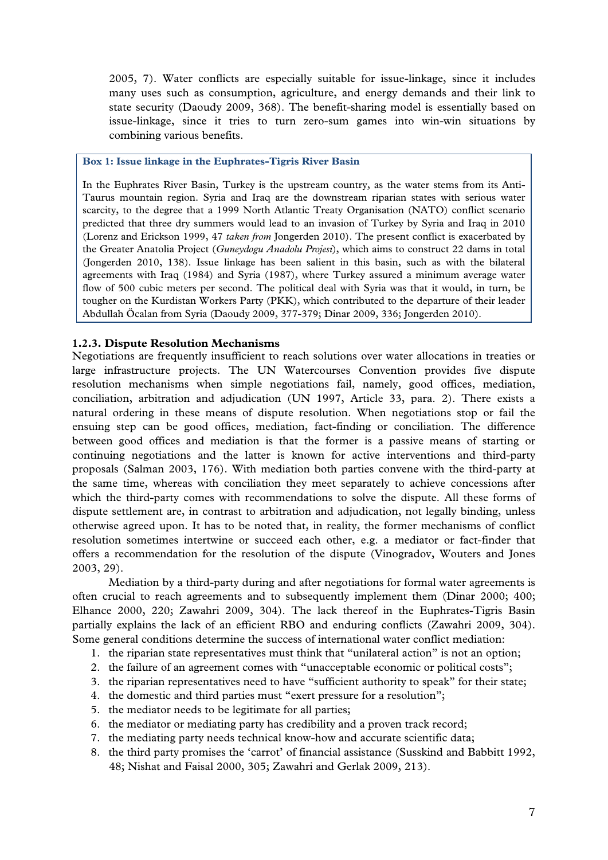2005, 7). Water conflicts are especially suitable for issue-linkage, since it includes many uses such as consumption, agriculture, and energy demands and their link to state security (Daoudy 2009, 368). The benefit-sharing model is essentially based on issue-linkage, since it tries to turn zero-sum games into win-win situations by combining various benefits.

#### **Box 1: Issue linkage in the Euphrates-Tigris River Basin**

In the Euphrates River Basin, Turkey is the upstream country, as the water stems from its Anti-Taurus mountain region. Syria and Iraq are the downstream riparian states with serious water scarcity, to the degree that a 1999 North Atlantic Treaty Organisation (NATO) conflict scenario predicted that three dry summers would lead to an invasion of Turkey by Syria and Iraq in 2010 (Lorenz and Erickson 1999, 47 *taken from* Jongerden 2010). The present conflict is exacerbated by the Greater Anatolia Project (*Guneydogu Anadolu Projesi*), which aims to construct 22 dams in total (Jongerden 2010, 138). Issue linkage has been salient in this basin, such as with the bilateral agreements with Iraq (1984) and Syria (1987), where Turkey assured a minimum average water flow of 500 cubic meters per second. The political deal with Syria was that it would, in turn, be tougher on the Kurdistan Workers Party (PKK), which contributed to the departure of their leader Abdullah Öcalan from Syria (Daoudy 2009, 377-379; Dinar 2009, 336; Jongerden 2010).

#### **1.2.3. Dispute Resolution Mechanisms**

Negotiations are frequently insufficient to reach solutions over water allocations in treaties or large infrastructure projects. The UN Watercourses Convention provides five dispute resolution mechanisms when simple negotiations fail, namely, good offices, mediation, conciliation, arbitration and adjudication (UN 1997, Article 33, para. 2). There exists a natural ordering in these means of dispute resolution. When negotiations stop or fail the ensuing step can be good offices, mediation, fact-finding or conciliation. The difference between good offices and mediation is that the former is a passive means of starting or continuing negotiations and the latter is known for active interventions and third-party proposals (Salman 2003, 176). With mediation both parties convene with the third-party at the same time, whereas with conciliation they meet separately to achieve concessions after which the third-party comes with recommendations to solve the dispute. All these forms of dispute settlement are, in contrast to arbitration and adjudication, not legally binding, unless otherwise agreed upon. It has to be noted that, in reality, the former mechanisms of conflict resolution sometimes intertwine or succeed each other, e.g. a mediator or fact-finder that offers a recommendation for the resolution of the dispute (Vinogradov, Wouters and Jones 2003, 29).

Mediation by a third-party during and after negotiations for formal water agreements is often crucial to reach agreements and to subsequently implement them (Dinar 2000; 400; Elhance 2000, 220; Zawahri 2009, 304). The lack thereof in the Euphrates-Tigris Basin partially explains the lack of an efficient RBO and enduring conflicts (Zawahri 2009, 304). Some general conditions determine the success of international water conflict mediation:

- 1. the riparian state representatives must think that "unilateral action" is not an option;
- 2. the failure of an agreement comes with "unacceptable economic or political costs";
- 3. the riparian representatives need to have "sufficient authority to speak" for their state;
- 4. the domestic and third parties must "exert pressure for a resolution";
- 5. the mediator needs to be legitimate for all parties;
- 6. the mediator or mediating party has credibility and a proven track record;
- 7. the mediating party needs technical know-how and accurate scientific data;
- 8. the third party promises the 'carrot' of financial assistance (Susskind and Babbitt 1992, 48; Nishat and Faisal 2000, 305; Zawahri and Gerlak 2009, 213).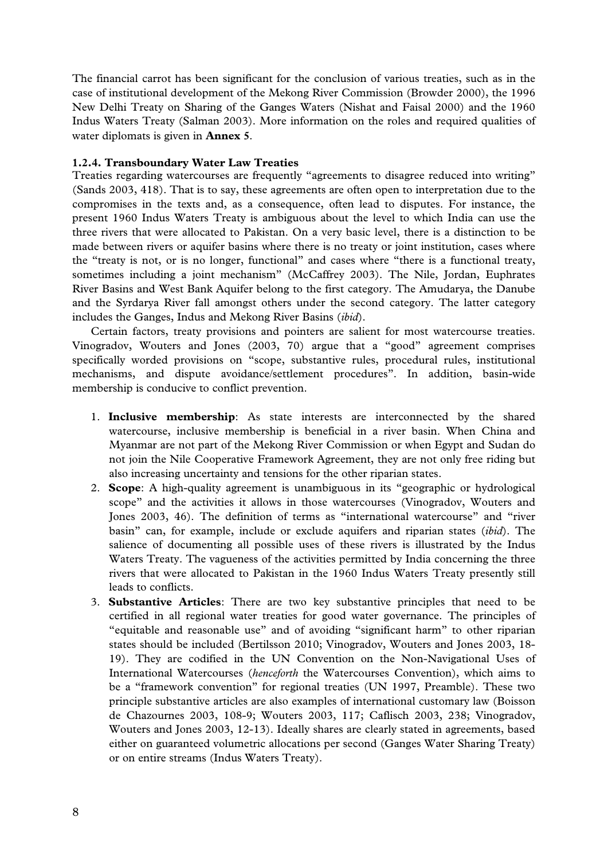The financial carrot has been significant for the conclusion of various treaties, such as in the case of institutional development of the Mekong River Commission (Browder 2000), the 1996 New Delhi Treaty on Sharing of the Ganges Waters (Nishat and Faisal 2000) and the 1960 Indus Waters Treaty (Salman 2003). More information on the roles and required qualities of water diplomats is given in **Annex 5**.

#### **1.2.4. Transboundary Water Law Treaties**

Treaties regarding watercourses are frequently "agreements to disagree reduced into writing" (Sands 2003, 418). That is to say, these agreements are often open to interpretation due to the compromises in the texts and, as a consequence, often lead to disputes. For instance, the present 1960 Indus Waters Treaty is ambiguous about the level to which India can use the three rivers that were allocated to Pakistan. On a very basic level, there is a distinction to be made between rivers or aquifer basins where there is no treaty or joint institution, cases where the "treaty is not, or is no longer, functional" and cases where "there is a functional treaty, sometimes including a joint mechanism" (McCaffrey 2003). The Nile, Jordan, Euphrates River Basins and West Bank Aquifer belong to the first category. The Amudarya, the Danube and the Syrdarya River fall amongst others under the second category. The latter category includes the Ganges, Indus and Mekong River Basins (*ibid*).

Certain factors, treaty provisions and pointers are salient for most watercourse treaties. Vinogradov, Wouters and Jones (2003, 70) argue that a "good" agreement comprises specifically worded provisions on "scope, substantive rules, procedural rules, institutional mechanisms, and dispute avoidance/settlement procedures". In addition, basin-wide membership is conducive to conflict prevention.

- 1. **Inclusive membership**: As state interests are interconnected by the shared watercourse, inclusive membership is beneficial in a river basin. When China and Myanmar are not part of the Mekong River Commission or when Egypt and Sudan do not join the Nile Cooperative Framework Agreement, they are not only free riding but also increasing uncertainty and tensions for the other riparian states.
- 2. **Scope**: A high-quality agreement is unambiguous in its "geographic or hydrological scope" and the activities it allows in those watercourses (Vinogradov, Wouters and Jones 2003, 46). The definition of terms as "international watercourse" and "river basin" can, for example, include or exclude aquifers and riparian states (*ibid*). The salience of documenting all possible uses of these rivers is illustrated by the Indus Waters Treaty. The vagueness of the activities permitted by India concerning the three rivers that were allocated to Pakistan in the 1960 Indus Waters Treaty presently still leads to conflicts.
- 3. **Substantive Articles**: There are two key substantive principles that need to be certified in all regional water treaties for good water governance. The principles of "equitable and reasonable use" and of avoiding "significant harm" to other riparian states should be included (Bertilsson 2010; Vinogradov, Wouters and Jones 2003, 18- 19). They are codified in the UN Convention on the Non-Navigational Uses of International Watercourses (*henceforth* the Watercourses Convention), which aims to be a "framework convention" for regional treaties (UN 1997, Preamble). These two principle substantive articles are also examples of international customary law (Boisson de Chazournes 2003, 108-9; Wouters 2003, 117; Caflisch 2003, 238; Vinogradov, Wouters and Jones 2003, 12-13). Ideally shares are clearly stated in agreements, based either on guaranteed volumetric allocations per second (Ganges Water Sharing Treaty) or on entire streams (Indus Waters Treaty).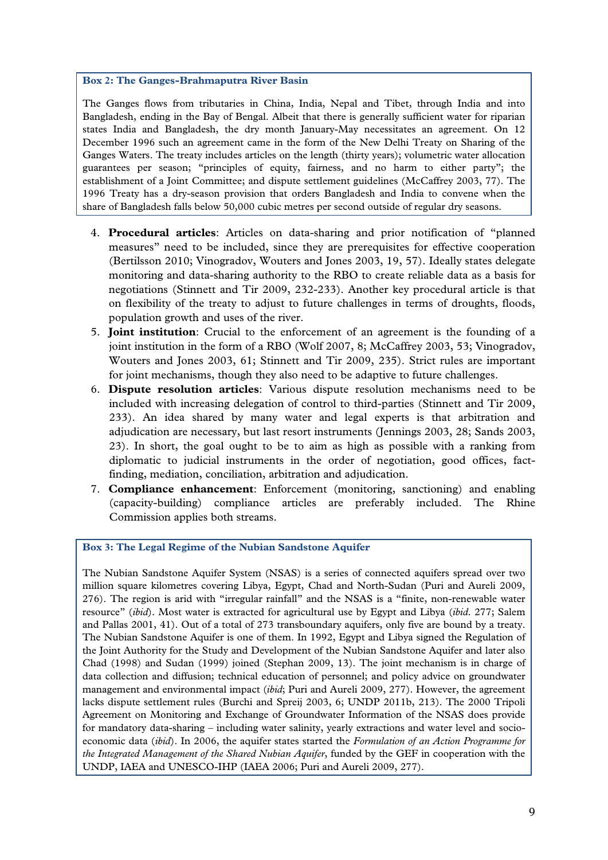#### **Box 2: The Ganges-Brahmaputra River Basin**

The Ganges flows from tributaries in China, India, Nepal and Tibet, through India and into Bangladesh, ending in the Bay of Bengal. Albeit that there is generally sufficient water for riparian states India and Bangladesh, the dry month January-May necessitates an agreement. On 12 December 1996 such an agreement came in the form of the New Delhi Treaty on Sharing of the Ganges Waters. The treaty includes articles on the length (thirty years); volumetric water allocation guarantees per season; "principles of equity, fairness, and no harm to either party"; the establishment of a Joint Committee; and dispute settlement guidelines (McCaffrey 2003, 77). The 1996 Treaty has a dry-season provision that orders Bangladesh and India to convene when the share of Bangladesh falls below 50,000 cubic metres per second outside of regular dry seasons.

- 4. **Procedural articles**: Articles on data-sharing and prior notification of "planned measures" need to be included, since they are prerequisites for effective cooperation (Bertilsson 2010; Vinogradov, Wouters and Jones 2003, 19, 57). Ideally states delegate monitoring and data-sharing authority to the RBO to create reliable data as a basis for negotiations (Stinnett and Tir 2009, 232-233). Another key procedural article is that on flexibility of the treaty to adjust to future challenges in terms of droughts, floods, population growth and uses of the river.
- 5. **Joint institution**: Crucial to the enforcement of an agreement is the founding of a joint institution in the form of a RBO (Wolf 2007, 8; McCaffrey 2003, 53; Vinogradov, Wouters and Jones 2003, 61; Stinnett and Tir 2009, 235). Strict rules are important for joint mechanisms, though they also need to be adaptive to future challenges.
- 6. **Dispute resolution articles**: Various dispute resolution mechanisms need to be included with increasing delegation of control to third-parties (Stinnett and Tir 2009, 233). An idea shared by many water and legal experts is that arbitration and adjudication are necessary, but last resort instruments (Jennings 2003, 28; Sands 2003, 23). In short, the goal ought to be to aim as high as possible with a ranking from diplomatic to judicial instruments in the order of negotiation, good offices, factfinding, mediation, conciliation, arbitration and adjudication.
- 7. **Compliance enhancement**: Enforcement (monitoring, sanctioning) and enabling (capacity-building) compliance articles are preferably included. The Rhine Commission applies both streams.

**Box 3: The Legal Regime of the Nubian Sandstone Aquifer** 

The Nubian Sandstone Aquifer System (NSAS) is a series of connected aquifers spread over two million square kilometres covering Libya, Egypt, Chad and North-Sudan (Puri and Aureli 2009, 276). The region is arid with "irregular rainfall" and the NSAS is a "finite, non-renewable water resource" (*ibid*). Most water is extracted for agricultural use by Egypt and Libya (*ibid*. 277; Salem and Pallas 2001, 41). Out of a total of 273 transboundary aquifers, only five are bound by a treaty. The Nubian Sandstone Aquifer is one of them. In 1992, Egypt and Libya signed the Regulation of the Joint Authority for the Study and Development of the Nubian Sandstone Aquifer and later also Chad (1998) and Sudan (1999) joined (Stephan 2009, 13). The joint mechanism is in charge of data collection and diffusion; technical education of personnel; and policy advice on groundwater management and environmental impact (*ibid*; Puri and Aureli 2009, 277). However, the agreement lacks dispute settlement rules (Burchi and Spreij 2003, 6; UNDP 2011b, 213). The 2000 Tripoli Agreement on Monitoring and Exchange of Groundwater Information of the NSAS does provide for mandatory data-sharing – including water salinity, yearly extractions and water level and socioeconomic data (*ibid*). In 2006, the aquifer states started the *Formulation of an Action Programme for the Integrated Management of the Shared Nubian Aquifer*, funded by the GEF in cooperation with the UNDP, IAEA and UNESCO-IHP (IAEA 2006; Puri and Aureli 2009, 277).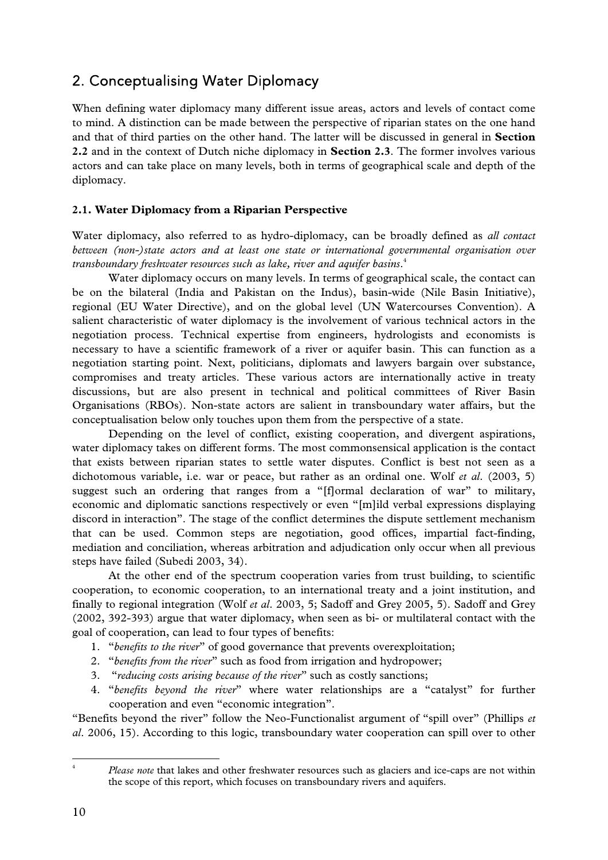## 2. Conceptualising Water Diplomacy

When defining water diplomacy many different issue areas, actors and levels of contact come to mind. A distinction can be made between the perspective of riparian states on the one hand and that of third parties on the other hand. The latter will be discussed in general in **Section 2.2** and in the context of Dutch niche diplomacy in **Section 2.3**. The former involves various actors and can take place on many levels, both in terms of geographical scale and depth of the diplomacy.

#### **2.1. Water Diplomacy from a Riparian Perspective**

Water diplomacy, also referred to as hydro-diplomacy, can be broadly defined as *all contact between (non-)state actors and at least one state or international governmental organisation over transboundary freshwater resources such as lake, river and aquifer basins*. 4

 Water diplomacy occurs on many levels. In terms of geographical scale, the contact can be on the bilateral (India and Pakistan on the Indus), basin-wide (Nile Basin Initiative), regional (EU Water Directive), and on the global level (UN Watercourses Convention). A salient characteristic of water diplomacy is the involvement of various technical actors in the negotiation process. Technical expertise from engineers, hydrologists and economists is necessary to have a scientific framework of a river or aquifer basin. This can function as a negotiation starting point. Next, politicians, diplomats and lawyers bargain over substance, compromises and treaty articles. These various actors are internationally active in treaty discussions, but are also present in technical and political committees of River Basin Organisations (RBOs). Non-state actors are salient in transboundary water affairs, but the conceptualisation below only touches upon them from the perspective of a state.

 Depending on the level of conflict, existing cooperation, and divergent aspirations, water diplomacy takes on different forms. The most commonsensical application is the contact that exists between riparian states to settle water disputes. Conflict is best not seen as a dichotomous variable, i.e. war or peace, but rather as an ordinal one. Wolf *et al*. (2003, 5) suggest such an ordering that ranges from a "[f]ormal declaration of war" to military, economic and diplomatic sanctions respectively or even "[m]ild verbal expressions displaying discord in interaction". The stage of the conflict determines the dispute settlement mechanism that can be used. Common steps are negotiation, good offices, impartial fact-finding, mediation and conciliation, whereas arbitration and adjudication only occur when all previous steps have failed (Subedi 2003, 34).

 At the other end of the spectrum cooperation varies from trust building, to scientific cooperation, to economic cooperation, to an international treaty and a joint institution, and finally to regional integration (Wolf *et al*. 2003, 5; Sadoff and Grey 2005, 5). Sadoff and Grey (2002, 392-393) argue that water diplomacy, when seen as bi- or multilateral contact with the goal of cooperation, can lead to four types of benefits:

- 1. "*benefits to the river*" of good governance that prevents overexploitation;
- 2. "*benefits from the river*" such as food from irrigation and hydropower;
- 3. "*reducing costs arising because of the river*" such as costly sanctions;
- 4. "*benefits beyond the river*" where water relationships are a "catalyst" for further cooperation and even "economic integration".

"Benefits beyond the river" follow the Neo-Functionalist argument of "spill over" (Phillips *et al*. 2006, 15). According to this logic, transboundary water cooperation can spill over to other

 4 *Please note* that lakes and other freshwater resources such as glaciers and ice-caps are not within the scope of this report, which focuses on transboundary rivers and aquifers.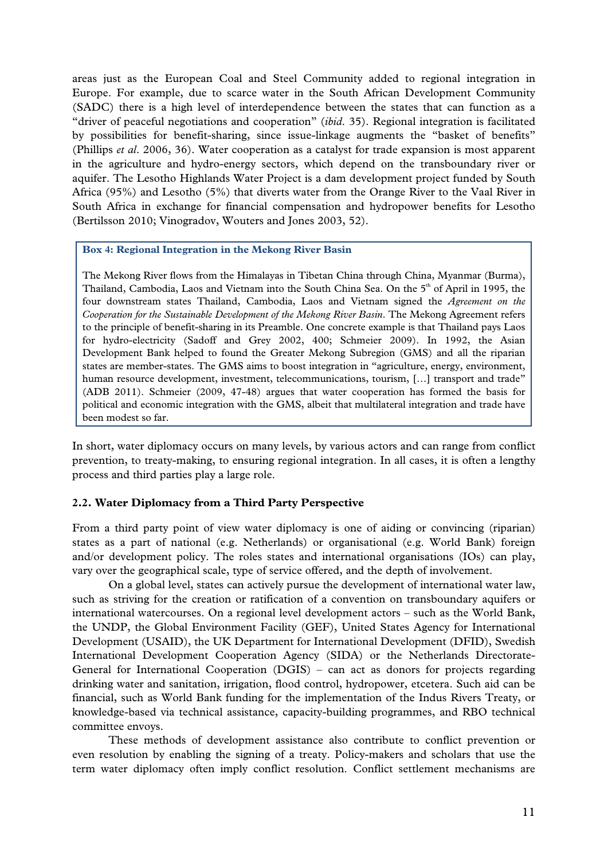areas just as the European Coal and Steel Community added to regional integration in Europe. For example, due to scarce water in the South African Development Community (SADC) there is a high level of interdependence between the states that can function as a "driver of peaceful negotiations and cooperation" (*ibid*. 35). Regional integration is facilitated by possibilities for benefit-sharing, since issue-linkage augments the "basket of benefits" (Phillips *et al*. 2006, 36). Water cooperation as a catalyst for trade expansion is most apparent in the agriculture and hydro-energy sectors, which depend on the transboundary river or aquifer. The Lesotho Highlands Water Project is a dam development project funded by South Africa (95%) and Lesotho (5%) that diverts water from the Orange River to the Vaal River in South Africa in exchange for financial compensation and hydropower benefits for Lesotho (Bertilsson 2010; Vinogradov, Wouters and Jones 2003, 52).

#### **Box 4: Regional Integration in the Mekong River Basin**

The Mekong River flows from the Himalayas in Tibetan China through China, Myanmar (Burma), Thailand, Cambodia, Laos and Vietnam into the South China Sea. On the  $5<sup>th</sup>$  of April in 1995, the four downstream states Thailand, Cambodia, Laos and Vietnam signed the *Agreement on the Cooperation for the Sustainable Development of the Mekong River Basin*. The Mekong Agreement refers to the principle of benefit-sharing in its Preamble. One concrete example is that Thailand pays Laos for hydro-electricity (Sadoff and Grey 2002, 400; Schmeier 2009). In 1992, the Asian Development Bank helped to found the Greater Mekong Subregion (GMS) and all the riparian states are member-states. The GMS aims to boost integration in "agriculture, energy, environment, human resource development, investment, telecommunications, tourism, [...] transport and trade" (ADB 2011). Schmeier (2009, 47-48) argues that water cooperation has formed the basis for political and economic integration with the GMS, albeit that multilateral integration and trade have been modest so far.

In short, water diplomacy occurs on many levels, by various actors and can range from conflict prevention, to treaty-making, to ensuring regional integration. In all cases, it is often a lengthy process and third parties play a large role.

#### **2.2. Water Diplomacy from a Third Party Perspective**

From a third party point of view water diplomacy is one of aiding or convincing (riparian) states as a part of national (e.g. Netherlands) or organisational (e.g. World Bank) foreign and/or development policy. The roles states and international organisations (IOs) can play, vary over the geographical scale, type of service offered, and the depth of involvement.

 On a global level, states can actively pursue the development of international water law, such as striving for the creation or ratification of a convention on transboundary aquifers or international watercourses. On a regional level development actors – such as the World Bank, the UNDP, the Global Environment Facility (GEF), United States Agency for International Development (USAID), the UK Department for International Development (DFID), Swedish International Development Cooperation Agency (SIDA) or the Netherlands Directorate-General for International Cooperation (DGIS) – can act as donors for projects regarding drinking water and sanitation, irrigation, flood control, hydropower, etcetera. Such aid can be financial, such as World Bank funding for the implementation of the Indus Rivers Treaty, or knowledge-based via technical assistance, capacity-building programmes, and RBO technical committee envoys.

 These methods of development assistance also contribute to conflict prevention or even resolution by enabling the signing of a treaty. Policy-makers and scholars that use the term water diplomacy often imply conflict resolution. Conflict settlement mechanisms are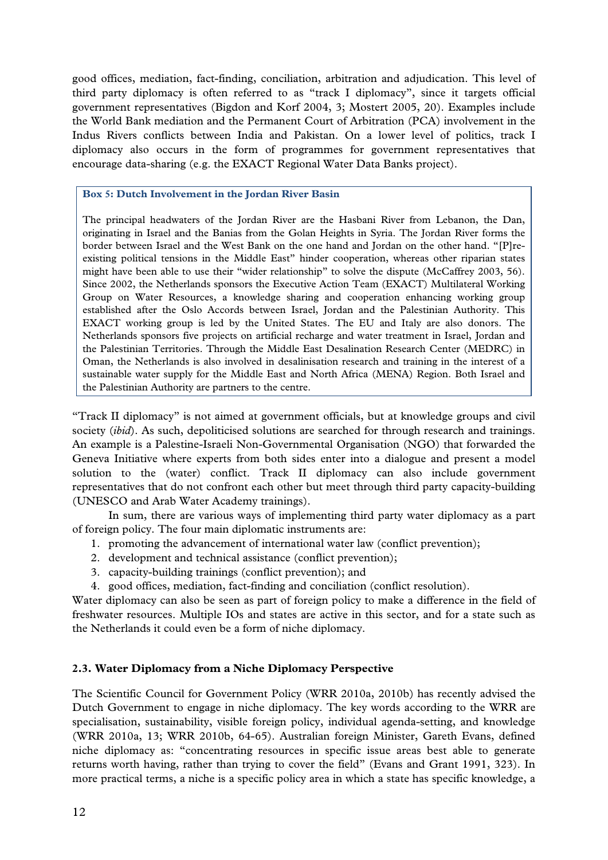good offices, mediation, fact-finding, conciliation, arbitration and adjudication. This level of third party diplomacy is often referred to as "track I diplomacy", since it targets official government representatives (Bigdon and Korf 2004, 3; Mostert 2005, 20). Examples include the World Bank mediation and the Permanent Court of Arbitration (PCA) involvement in the Indus Rivers conflicts between India and Pakistan. On a lower level of politics, track I diplomacy also occurs in the form of programmes for government representatives that encourage data-sharing (e.g. the EXACT Regional Water Data Banks project).

#### **Box 5: Dutch Involvement in the Jordan River Basin**

The principal headwaters of the Jordan River are the Hasbani River from Lebanon, the Dan, originating in Israel and the Banias from the Golan Heights in Syria. The Jordan River forms the border between Israel and the West Bank on the one hand and Jordan on the other hand. "[P]reexisting political tensions in the Middle East" hinder cooperation, whereas other riparian states might have been able to use their "wider relationship" to solve the dispute (McCaffrey 2003, 56). Since 2002, the Netherlands sponsors the Executive Action Team (EXACT) Multilateral Working Group on Water Resources, a knowledge sharing and cooperation enhancing working group established after the Oslo Accords between Israel, Jordan and the Palestinian Authority. This EXACT working group is led by the United States. The EU and Italy are also donors. The Netherlands sponsors five projects on artificial recharge and water treatment in Israel, Jordan and the Palestinian Territories. Through the Middle East Desalination Research Center (MEDRC) in Oman, the Netherlands is also involved in desalinisation research and training in the interest of a sustainable water supply for the Middle East and North Africa (MENA) Region. Both Israel and the Palestinian Authority are partners to the centre.

"Track II diplomacy" is not aimed at government officials, but at knowledge groups and civil society *(ibid)*. As such, depoliticised solutions are searched for through research and trainings. An example is a Palestine-Israeli Non-Governmental Organisation (NGO) that forwarded the Geneva Initiative where experts from both sides enter into a dialogue and present a model solution to the (water) conflict. Track II diplomacy can also include government representatives that do not confront each other but meet through third party capacity-building (UNESCO and Arab Water Academy trainings).

 In sum, there are various ways of implementing third party water diplomacy as a part of foreign policy. The four main diplomatic instruments are:

- 1. promoting the advancement of international water law (conflict prevention);
- 2. development and technical assistance (conflict prevention);
- 3. capacity-building trainings (conflict prevention); and
- 4. good offices, mediation, fact-finding and conciliation (conflict resolution).

Water diplomacy can also be seen as part of foreign policy to make a difference in the field of freshwater resources. Multiple IOs and states are active in this sector, and for a state such as the Netherlands it could even be a form of niche diplomacy.

#### **2.3. Water Diplomacy from a Niche Diplomacy Perspective**

The Scientific Council for Government Policy (WRR 2010a, 2010b) has recently advised the Dutch Government to engage in niche diplomacy. The key words according to the WRR are specialisation, sustainability, visible foreign policy, individual agenda-setting, and knowledge (WRR 2010a, 13; WRR 2010b, 64-65). Australian foreign Minister, Gareth Evans, defined niche diplomacy as: "concentrating resources in specific issue areas best able to generate returns worth having, rather than trying to cover the field" (Evans and Grant 1991, 323). In more practical terms, a niche is a specific policy area in which a state has specific knowledge, a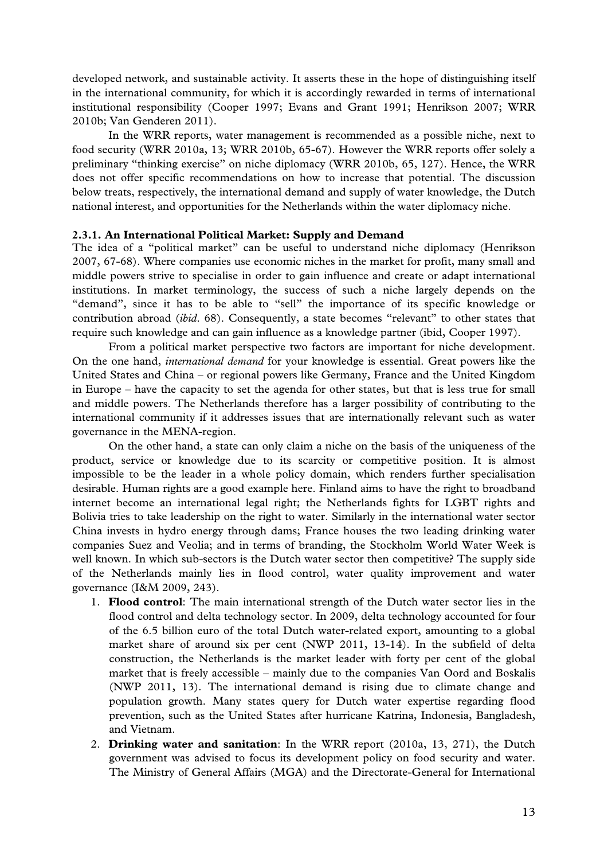developed network, and sustainable activity. It asserts these in the hope of distinguishing itself in the international community, for which it is accordingly rewarded in terms of international institutional responsibility (Cooper 1997; Evans and Grant 1991; Henrikson 2007; WRR 2010b; Van Genderen 2011).

In the WRR reports, water management is recommended as a possible niche, next to food security (WRR 2010a, 13; WRR 2010b, 65-67). However the WRR reports offer solely a preliminary "thinking exercise" on niche diplomacy (WRR 2010b, 65, 127). Hence, the WRR does not offer specific recommendations on how to increase that potential. The discussion below treats, respectively, the international demand and supply of water knowledge, the Dutch national interest, and opportunities for the Netherlands within the water diplomacy niche.

#### **2.3.1. An International Political Market: Supply and Demand**

The idea of a "political market" can be useful to understand niche diplomacy (Henrikson 2007, 67-68). Where companies use economic niches in the market for profit, many small and middle powers strive to specialise in order to gain influence and create or adapt international institutions. In market terminology, the success of such a niche largely depends on the "demand", since it has to be able to "sell" the importance of its specific knowledge or contribution abroad (*ibid*. 68). Consequently, a state becomes "relevant" to other states that require such knowledge and can gain influence as a knowledge partner (ibid, Cooper 1997).

 From a political market perspective two factors are important for niche development. On the one hand, *international demand* for your knowledge is essential. Great powers like the United States and China – or regional powers like Germany, France and the United Kingdom in Europe – have the capacity to set the agenda for other states, but that is less true for small and middle powers. The Netherlands therefore has a larger possibility of contributing to the international community if it addresses issues that are internationally relevant such as water governance in the MENA-region.

 On the other hand, a state can only claim a niche on the basis of the uniqueness of the product, service or knowledge due to its scarcity or competitive position. It is almost impossible to be the leader in a whole policy domain, which renders further specialisation desirable. Human rights are a good example here. Finland aims to have the right to broadband internet become an international legal right; the Netherlands fights for LGBT rights and Bolivia tries to take leadership on the right to water. Similarly in the international water sector China invests in hydro energy through dams; France houses the two leading drinking water companies Suez and Veolia; and in terms of branding, the Stockholm World Water Week is well known. In which sub-sectors is the Dutch water sector then competitive? The supply side of the Netherlands mainly lies in flood control, water quality improvement and water governance (I&M 2009, 243).

- 1. **Flood control**: The main international strength of the Dutch water sector lies in the flood control and delta technology sector. In 2009, delta technology accounted for four of the 6.5 billion euro of the total Dutch water-related export, amounting to a global market share of around six per cent (NWP 2011, 13-14). In the subfield of delta construction, the Netherlands is the market leader with forty per cent of the global market that is freely accessible – mainly due to the companies Van Oord and Boskalis (NWP 2011, 13). The international demand is rising due to climate change and population growth. Many states query for Dutch water expertise regarding flood prevention, such as the United States after hurricane Katrina, Indonesia, Bangladesh, and Vietnam.
- 2. **Drinking water and sanitation**: In the WRR report (2010a, 13, 271), the Dutch government was advised to focus its development policy on food security and water. The Ministry of General Affairs (MGA) and the Directorate-General for International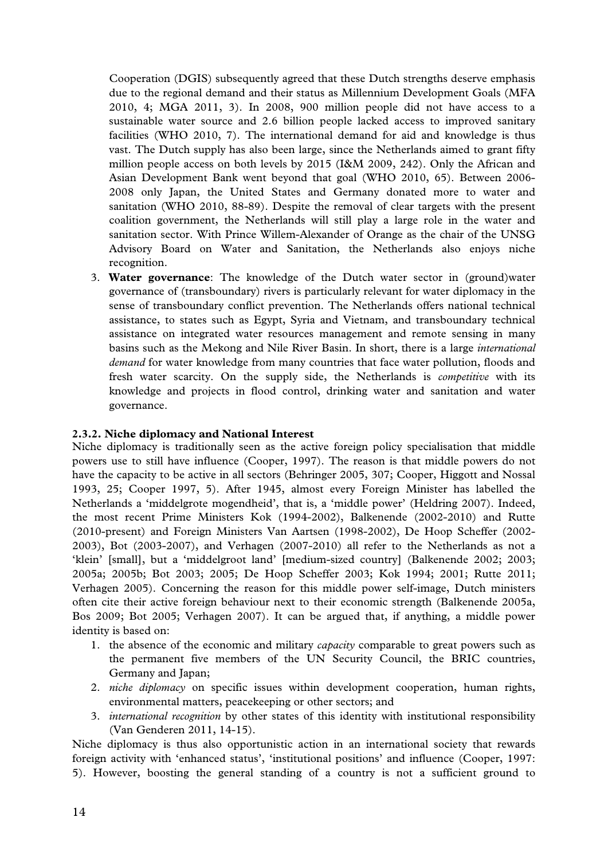Cooperation (DGIS) subsequently agreed that these Dutch strengths deserve emphasis due to the regional demand and their status as Millennium Development Goals (MFA 2010, 4; MGA 2011, 3). In 2008, 900 million people did not have access to a sustainable water source and 2.6 billion people lacked access to improved sanitary facilities (WHO 2010, 7). The international demand for aid and knowledge is thus vast. The Dutch supply has also been large, since the Netherlands aimed to grant fifty million people access on both levels by 2015 (I&M 2009, 242). Only the African and Asian Development Bank went beyond that goal (WHO 2010, 65). Between 2006- 2008 only Japan, the United States and Germany donated more to water and sanitation (WHO 2010, 88-89). Despite the removal of clear targets with the present coalition government, the Netherlands will still play a large role in the water and sanitation sector. With Prince Willem-Alexander of Orange as the chair of the UNSG Advisory Board on Water and Sanitation, the Netherlands also enjoys niche recognition.

3. **Water governance**: The knowledge of the Dutch water sector in (ground)water governance of (transboundary) rivers is particularly relevant for water diplomacy in the sense of transboundary conflict prevention. The Netherlands offers national technical assistance, to states such as Egypt, Syria and Vietnam, and transboundary technical assistance on integrated water resources management and remote sensing in many basins such as the Mekong and Nile River Basin. In short, there is a large *international demand* for water knowledge from many countries that face water pollution, floods and fresh water scarcity. On the supply side, the Netherlands is *competitive* with its knowledge and projects in flood control, drinking water and sanitation and water governance.

#### **2.3.2. Niche diplomacy and National Interest**

Niche diplomacy is traditionally seen as the active foreign policy specialisation that middle powers use to still have influence (Cooper, 1997). The reason is that middle powers do not have the capacity to be active in all sectors (Behringer 2005, 307; Cooper, Higgott and Nossal 1993, 25; Cooper 1997, 5). After 1945, almost every Foreign Minister has labelled the Netherlands a 'middelgrote mogendheid', that is, a 'middle power' (Heldring 2007). Indeed, the most recent Prime Ministers Kok (1994-2002), Balkenende (2002-2010) and Rutte (2010-present) and Foreign Ministers Van Aartsen (1998-2002), De Hoop Scheffer (2002- 2003), Bot (2003-2007), and Verhagen (2007-2010) all refer to the Netherlands as not a 'klein' [small], but a 'middelgroot land' [medium-sized country] (Balkenende 2002; 2003; 2005a; 2005b; Bot 2003; 2005; De Hoop Scheffer 2003; Kok 1994; 2001; Rutte 2011; Verhagen 2005). Concerning the reason for this middle power self-image, Dutch ministers often cite their active foreign behaviour next to their economic strength (Balkenende 2005a, Bos 2009; Bot 2005; Verhagen 2007). It can be argued that, if anything, a middle power identity is based on:

- 1. the absence of the economic and military *capacity* comparable to great powers such as the permanent five members of the UN Security Council, the BRIC countries, Germany and Japan;
- 2. *niche diplomacy* on specific issues within development cooperation, human rights, environmental matters, peacekeeping or other sectors; and
- 3. *international recognition* by other states of this identity with institutional responsibility (Van Genderen 2011, 14-15).

Niche diplomacy is thus also opportunistic action in an international society that rewards foreign activity with 'enhanced status', 'institutional positions' and influence (Cooper, 1997: 5). However, boosting the general standing of a country is not a sufficient ground to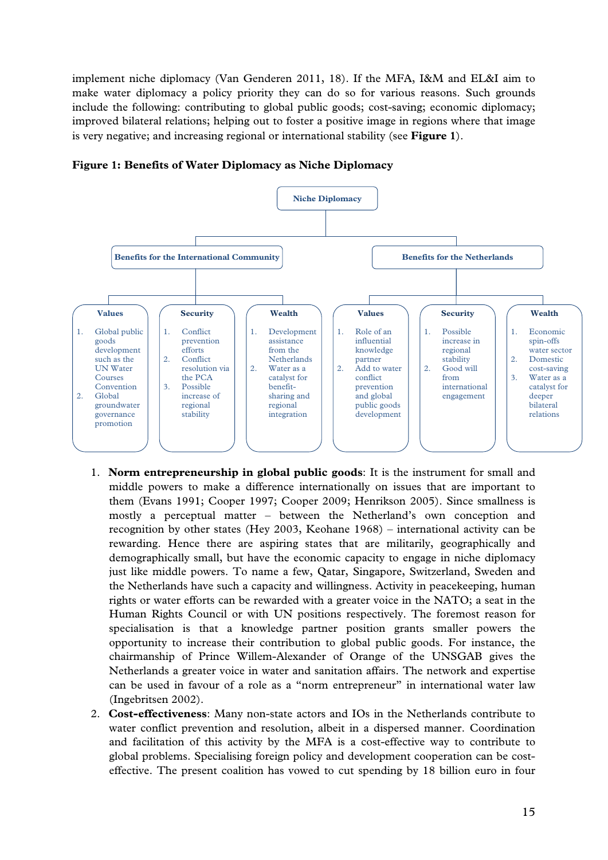implement niche diplomacy (Van Genderen 2011, 18). If the MFA, I&M and EL&I aim to make water diplomacy a policy priority they can do so for various reasons. Such grounds include the following: contributing to global public goods; cost-saving; economic diplomacy; improved bilateral relations; helping out to foster a positive image in regions where that image is very negative; and increasing regional or international stability (see **Figure 1**).



**Figure 1: Benefits of Water Diplomacy as Niche Diplomacy** 

- 1. **Norm entrepreneurship in global public goods**: It is the instrument for small and middle powers to make a difference internationally on issues that are important to them (Evans 1991; Cooper 1997; Cooper 2009; Henrikson 2005). Since smallness is mostly a perceptual matter – between the Netherland's own conception and recognition by other states (Hey 2003, Keohane 1968) – international activity can be rewarding. Hence there are aspiring states that are militarily, geographically and demographically small, but have the economic capacity to engage in niche diplomacy just like middle powers. To name a few, Qatar, Singapore, Switzerland, Sweden and the Netherlands have such a capacity and willingness. Activity in peacekeeping, human rights or water efforts can be rewarded with a greater voice in the NATO; a seat in the Human Rights Council or with UN positions respectively. The foremost reason for specialisation is that a knowledge partner position grants smaller powers the opportunity to increase their contribution to global public goods. For instance, the chairmanship of Prince Willem-Alexander of Orange of the UNSGAB gives the Netherlands a greater voice in water and sanitation affairs. The network and expertise can be used in favour of a role as a "norm entrepreneur" in international water law (Ingebritsen 2002).
- 2. **Cost-effectiveness**: Many non-state actors and IOs in the Netherlands contribute to water conflict prevention and resolution, albeit in a dispersed manner. Coordination and facilitation of this activity by the MFA is a cost-effective way to contribute to global problems. Specialising foreign policy and development cooperation can be costeffective. The present coalition has vowed to cut spending by 18 billion euro in four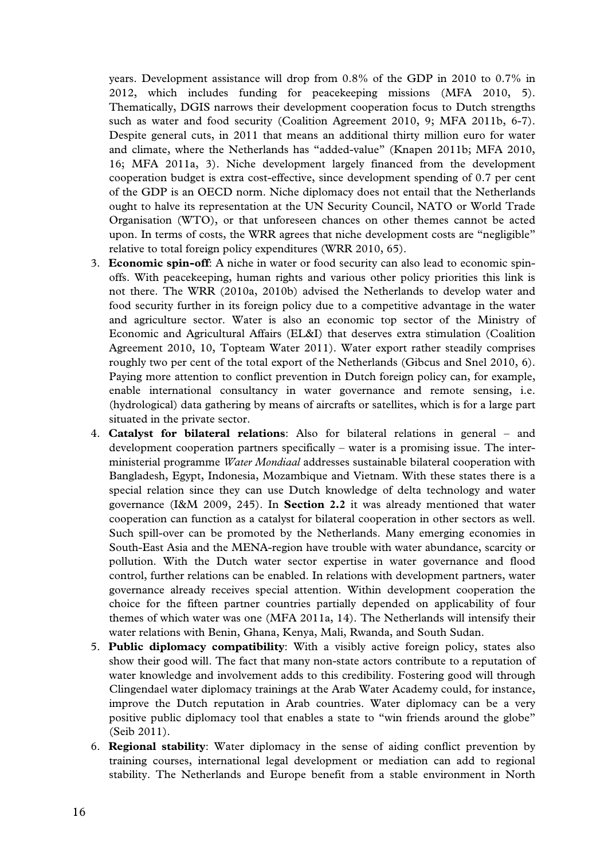years. Development assistance will drop from 0.8% of the GDP in 2010 to 0.7% in 2012, which includes funding for peacekeeping missions (MFA 2010, 5). Thematically, DGIS narrows their development cooperation focus to Dutch strengths such as water and food security (Coalition Agreement 2010, 9; MFA 2011b, 6-7). Despite general cuts, in 2011 that means an additional thirty million euro for water and climate, where the Netherlands has "added-value" (Knapen 2011b; MFA 2010, 16; MFA 2011a, 3). Niche development largely financed from the development cooperation budget is extra cost-effective, since development spending of 0.7 per cent of the GDP is an OECD norm. Niche diplomacy does not entail that the Netherlands ought to halve its representation at the UN Security Council, NATO or World Trade Organisation (WTO), or that unforeseen chances on other themes cannot be acted upon. In terms of costs, the WRR agrees that niche development costs are "negligible" relative to total foreign policy expenditures (WRR 2010, 65).

- 3. **Economic spin-off**: A niche in water or food security can also lead to economic spinoffs. With peacekeeping, human rights and various other policy priorities this link is not there. The WRR (2010a, 2010b) advised the Netherlands to develop water and food security further in its foreign policy due to a competitive advantage in the water and agriculture sector. Water is also an economic top sector of the Ministry of Economic and Agricultural Affairs (EL&I) that deserves extra stimulation (Coalition Agreement 2010, 10, Topteam Water 2011). Water export rather steadily comprises roughly two per cent of the total export of the Netherlands (Gibcus and Snel 2010, 6). Paying more attention to conflict prevention in Dutch foreign policy can, for example, enable international consultancy in water governance and remote sensing, i.e. (hydrological) data gathering by means of aircrafts or satellites, which is for a large part situated in the private sector.
- 4. **Catalyst for bilateral relations**: Also for bilateral relations in general and development cooperation partners specifically – water is a promising issue. The interministerial programme *Water Mondiaal* addresses sustainable bilateral cooperation with Bangladesh, Egypt, Indonesia, Mozambique and Vietnam. With these states there is a special relation since they can use Dutch knowledge of delta technology and water governance (I&M 2009, 245). In **Section 2.2** it was already mentioned that water cooperation can function as a catalyst for bilateral cooperation in other sectors as well. Such spill-over can be promoted by the Netherlands. Many emerging economies in South-East Asia and the MENA-region have trouble with water abundance, scarcity or pollution. With the Dutch water sector expertise in water governance and flood control, further relations can be enabled. In relations with development partners, water governance already receives special attention. Within development cooperation the choice for the fifteen partner countries partially depended on applicability of four themes of which water was one (MFA 2011a, 14). The Netherlands will intensify their water relations with Benin, Ghana, Kenya, Mali, Rwanda, and South Sudan.
- 5. **Public diplomacy compatibility**: With a visibly active foreign policy, states also show their good will. The fact that many non-state actors contribute to a reputation of water knowledge and involvement adds to this credibility. Fostering good will through Clingendael water diplomacy trainings at the Arab Water Academy could, for instance, improve the Dutch reputation in Arab countries. Water diplomacy can be a very positive public diplomacy tool that enables a state to "win friends around the globe" (Seib 2011).
- 6. **Regional stability**: Water diplomacy in the sense of aiding conflict prevention by training courses, international legal development or mediation can add to regional stability. The Netherlands and Europe benefit from a stable environment in North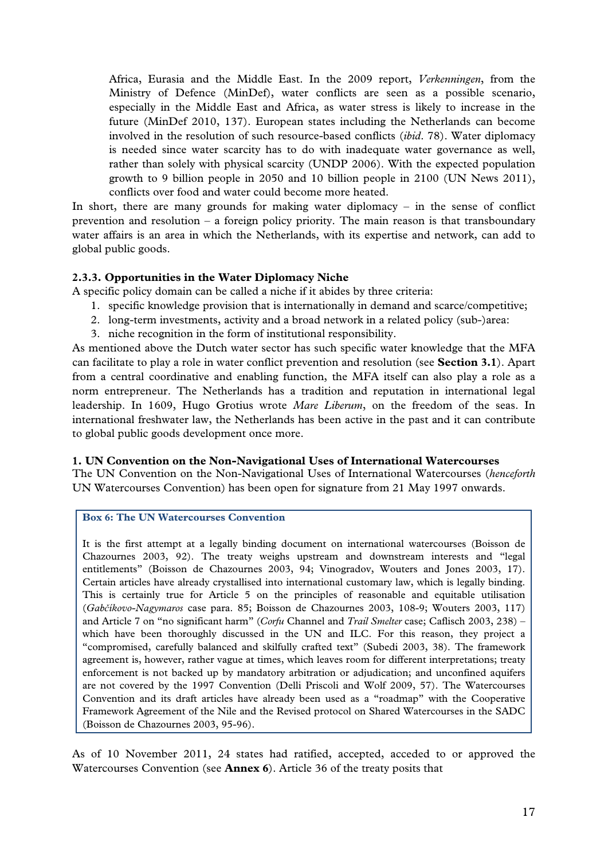Africa, Eurasia and the Middle East. In the 2009 report, *Verkenningen*, from the Ministry of Defence (MinDef), water conflicts are seen as a possible scenario, especially in the Middle East and Africa, as water stress is likely to increase in the future (MinDef 2010, 137). European states including the Netherlands can become involved in the resolution of such resource-based conflicts (*ibid*. 78). Water diplomacy is needed since water scarcity has to do with inadequate water governance as well, rather than solely with physical scarcity (UNDP 2006). With the expected population growth to 9 billion people in 2050 and 10 billion people in 2100 (UN News 2011), conflicts over food and water could become more heated.

In short, there are many grounds for making water diplomacy – in the sense of conflict prevention and resolution – a foreign policy priority. The main reason is that transboundary water affairs is an area in which the Netherlands, with its expertise and network, can add to global public goods.

#### **2.3.3. Opportunities in the Water Diplomacy Niche**

A specific policy domain can be called a niche if it abides by three criteria:

- 1. specific knowledge provision that is internationally in demand and scarce/competitive;
- 2. long-term investments, activity and a broad network in a related policy (sub-)area:
- 3. niche recognition in the form of institutional responsibility.

As mentioned above the Dutch water sector has such specific water knowledge that the MFA can facilitate to play a role in water conflict prevention and resolution (see **Section 3.1**). Apart from a central coordinative and enabling function, the MFA itself can also play a role as a norm entrepreneur. The Netherlands has a tradition and reputation in international legal leadership. In 1609, Hugo Grotius wrote *Mare Liberum*, on the freedom of the seas. In international freshwater law, the Netherlands has been active in the past and it can contribute to global public goods development once more.

#### **1. UN Convention on the Non-Navigational Uses of International Watercourses**

The UN Convention on the Non-Navigational Uses of International Watercourses (*henceforth* UN Watercourses Convention) has been open for signature from 21 May 1997 onwards.

#### **Box 6: The UN Watercourses Convention**

It is the first attempt at a legally binding document on international watercourses (Boisson de Chazournes 2003, 92). The treaty weighs upstream and downstream interests and "legal entitlements" (Boisson de Chazournes 2003, 94; Vinogradov, Wouters and Jones 2003, 17). Certain articles have already crystallised into international customary law, which is legally binding. This is certainly true for Article 5 on the principles of reasonable and equitable utilisation (*Gabčíkovo-Nagymaros* case para. 85; Boisson de Chazournes 2003, 108-9; Wouters 2003, 117) and Article 7 on "no significant harm" (*Corfu* Channel and *Trail Smelter* case; Caflisch 2003, 238) – which have been thoroughly discussed in the UN and ILC. For this reason, they project a "compromised, carefully balanced and skilfully crafted text" (Subedi 2003, 38). The framework agreement is, however, rather vague at times, which leaves room for different interpretations; treaty enforcement is not backed up by mandatory arbitration or adjudication; and unconfined aquifers are not covered by the 1997 Convention (Delli Priscoli and Wolf 2009, 57). The Watercourses Convention and its draft articles have already been used as a "roadmap" with the Cooperative Framework Agreement of the Nile and the Revised protocol on Shared Watercourses in the SADC (Boisson de Chazournes 2003, 95-96).

As of 10 November 2011, 24 states had ratified, accepted, acceded to or approved the Watercourses Convention (see **Annex 6**). Article 36 of the treaty posits that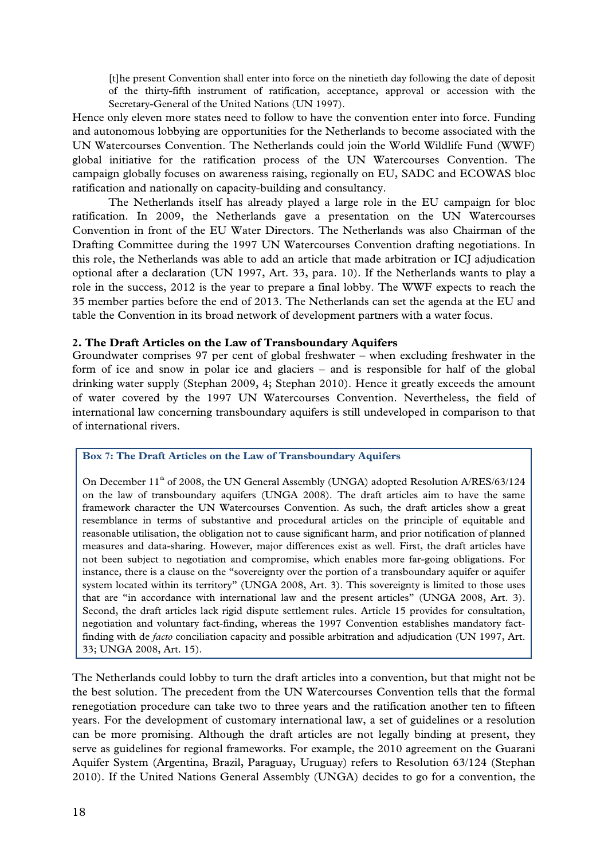[t]he present Convention shall enter into force on the ninetieth day following the date of deposit of the thirty-fifth instrument of ratification, acceptance, approval or accession with the Secretary-General of the United Nations (UN 1997).

Hence only eleven more states need to follow to have the convention enter into force. Funding and autonomous lobbying are opportunities for the Netherlands to become associated with the UN Watercourses Convention. The Netherlands could join the World Wildlife Fund (WWF) global initiative for the ratification process of the UN Watercourses Convention. The campaign globally focuses on awareness raising, regionally on EU, SADC and ECOWAS bloc ratification and nationally on capacity-building and consultancy.

The Netherlands itself has already played a large role in the EU campaign for bloc ratification. In 2009, the Netherlands gave a presentation on the UN Watercourses Convention in front of the EU Water Directors. The Netherlands was also Chairman of the Drafting Committee during the 1997 UN Watercourses Convention drafting negotiations. In this role, the Netherlands was able to add an article that made arbitration or ICJ adjudication optional after a declaration (UN 1997, Art. 33, para. 10). If the Netherlands wants to play a role in the success, 2012 is the year to prepare a final lobby. The WWF expects to reach the 35 member parties before the end of 2013. The Netherlands can set the agenda at the EU and table the Convention in its broad network of development partners with a water focus.

#### **2. The Draft Articles on the Law of Transboundary Aquifers**

Groundwater comprises 97 per cent of global freshwater – when excluding freshwater in the form of ice and snow in polar ice and glaciers – and is responsible for half of the global drinking water supply (Stephan 2009, 4; Stephan 2010). Hence it greatly exceeds the amount of water covered by the 1997 UN Watercourses Convention. Nevertheless, the field of international law concerning transboundary aquifers is still undeveloped in comparison to that of international rivers.

#### **Box 7: The Draft Articles on the Law of Transboundary Aquifers**

On December 11<sup>th</sup> of 2008, the UN General Assembly (UNGA) adopted Resolution A/RES/63/124 on the law of transboundary aquifers (UNGA 2008). The draft articles aim to have the same framework character the UN Watercourses Convention. As such, the draft articles show a great resemblance in terms of substantive and procedural articles on the principle of equitable and reasonable utilisation, the obligation not to cause significant harm, and prior notification of planned measures and data-sharing. However, major differences exist as well. First, the draft articles have not been subject to negotiation and compromise, which enables more far-going obligations. For instance, there is a clause on the "sovereignty over the portion of a transboundary aquifer or aquifer system located within its territory" (UNGA 2008, Art. 3). This sovereignty is limited to those uses that are "in accordance with international law and the present articles" (UNGA 2008, Art. 3). Second, the draft articles lack rigid dispute settlement rules. Article 15 provides for consultation, negotiation and voluntary fact-finding, whereas the 1997 Convention establishes mandatory factfinding with de *facto* conciliation capacity and possible arbitration and adjudication (UN 1997, Art. 33; UNGA 2008, Art. 15).

The Netherlands could lobby to turn the draft articles into a convention, but that might not be the best solution. The precedent from the UN Watercourses Convention tells that the formal renegotiation procedure can take two to three years and the ratification another ten to fifteen years. For the development of customary international law, a set of guidelines or a resolution can be more promising. Although the draft articles are not legally binding at present, they serve as guidelines for regional frameworks. For example, the 2010 agreement on the Guarani Aquifer System (Argentina, Brazil, Paraguay, Uruguay) refers to Resolution 63/124 (Stephan 2010). If the United Nations General Assembly (UNGA) decides to go for a convention, the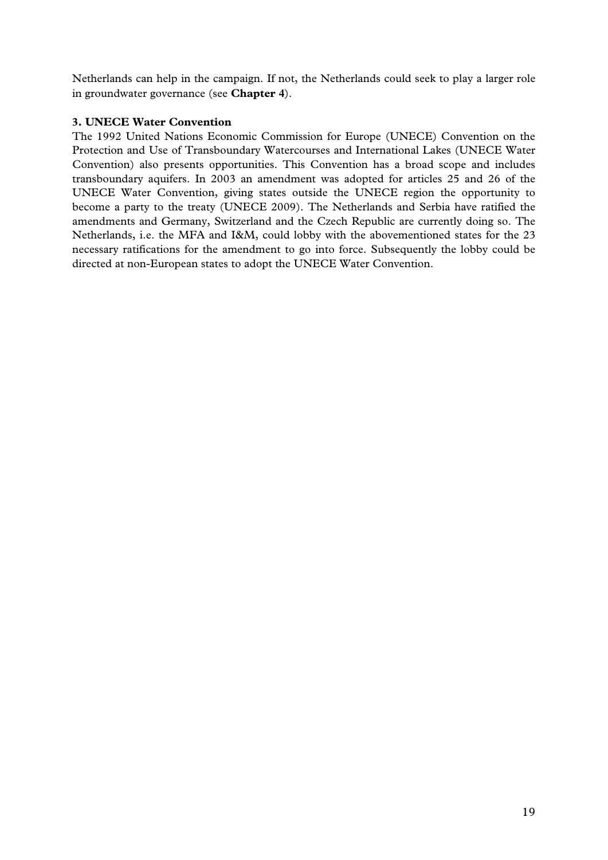Netherlands can help in the campaign. If not, the Netherlands could seek to play a larger role in groundwater governance (see **Chapter 4**).

#### **3. UNECE Water Convention**

The 1992 United Nations Economic Commission for Europe (UNECE) Convention on the Protection and Use of Transboundary Watercourses and International Lakes (UNECE Water Convention) also presents opportunities. This Convention has a broad scope and includes transboundary aquifers. In 2003 an amendment was adopted for articles 25 and 26 of the UNECE Water Convention, giving states outside the UNECE region the opportunity to become a party to the treaty (UNECE 2009). The Netherlands and Serbia have ratified the amendments and Germany, Switzerland and the Czech Republic are currently doing so. The Netherlands, i.e. the MFA and I&M, could lobby with the abovementioned states for the 23 necessary ratifications for the amendment to go into force. Subsequently the lobby could be directed at non-European states to adopt the UNECE Water Convention.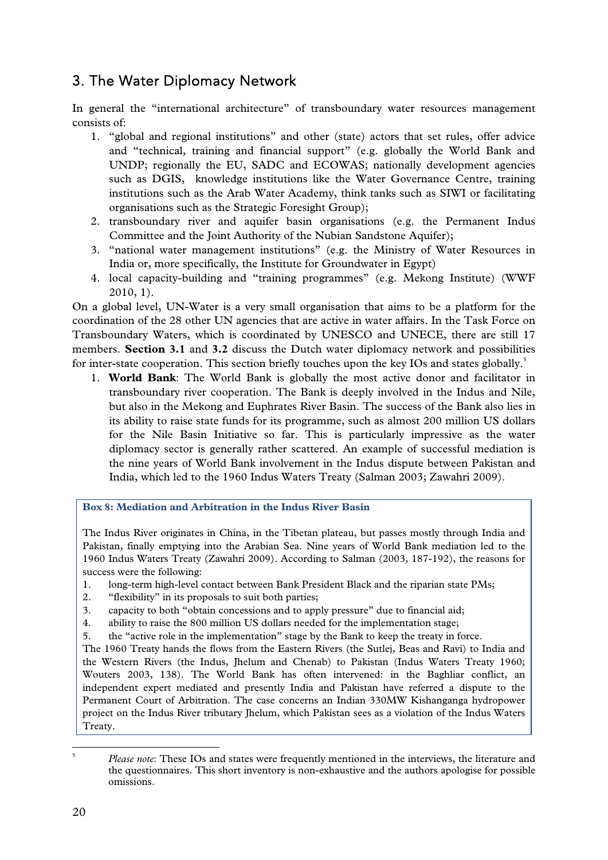## 3. The Water Diplomacy Network

In general the "international architecture" of transboundary water resources management consists of:

- 1. "global and regional institutions" and other (state) actors that set rules, offer advice and "technical, training and financial support" (e.g. globally the World Bank and UNDP; regionally the EU, SADC and ECOWAS; nationally development agencies such as DGIS, knowledge institutions like the Water Governance Centre, training institutions such as the Arab Water Academy, think tanks such as SIWI or facilitating organisations such as the Strategic Foresight Group);
- 2. transboundary river and aquifer basin organisations (e.g. the Permanent Indus Committee and the Joint Authority of the Nubian Sandstone Aquifer);
- 3. "national water management institutions" (e.g. the Ministry of Water Resources in India or, more specifically, the Institute for Groundwater in Egypt)
- 4. local capacity-building and "training programmes" (e.g. Mekong Institute) (WWF 2010, 1).

On a global level, UN-Water is a very small organisation that aims to be a platform for the coordination of the 28 other UN agencies that are active in water affairs. In the Task Force on Transboundary Waters, which is coordinated by UNESCO and UNECE, there are still 17 members. **Section 3.1** and **3.2** discuss the Dutch water diplomacy network and possibilities for inter-state cooperation. This section briefly touches upon the key IOs and states globally.<sup>5</sup>

1. **World Bank**: The World Bank is globally the most active donor and facilitator in transboundary river cooperation. The Bank is deeply involved in the Indus and Nile, but also in the Mekong and Euphrates River Basin. The success of the Bank also lies in its ability to raise state funds for its programme, such as almost 200 million US dollars for the Nile Basin Initiative so far. This is particularly impressive as the water diplomacy sector is generally rather scattered. An example of successful mediation is the nine years of World Bank involvement in the Indus dispute between Pakistan and India, which led to the 1960 Indus Waters Treaty (Salman 2003; Zawahri 2009).

**Box 8: Mediation and Arbitration in the Indus River Basin** 

The Indus River originates in China, in the Tibetan plateau, but passes mostly through India and Pakistan, finally emptying into the Arabian Sea. Nine years of World Bank mediation led to the 1960 Indus Waters Treaty (Zawahri 2009). According to Salman (2003, 187-192), the reasons for success were the following:

- 1. long-term high-level contact between Bank President Black and the riparian state PMs;
- 2. "flexibility" in its proposals to suit both parties;
- 3. capacity to both "obtain concessions and to apply pressure" due to financial aid;
- 4. ability to raise the 800 million US dollars needed for the implementation stage;
- 5. the "active role in the implementation" stage by the Bank to keep the treaty in force.

The 1960 Treaty hands the flows from the Eastern Rivers (the Sutlej, Beas and Ravi) to India and the Western Rivers (the Indus, Jhelum and Chenab) to Pakistan (Indus Waters Treaty 1960; Wouters 2003, 138). The World Bank has often intervened: in the Baghliar conflict, an independent expert mediated and presently India and Pakistan have referred a dispute to the Permanent Court of Arbitration. The case concerns an Indian 330MW Kishanganga hydropower project on the Indus River tributary Jhelum, which Pakistan sees as a violation of the Indus Waters Treaty.

5

 *Please note*: These IOs and states were frequently mentioned in the interviews, the literature and the questionnaires. This short inventory is non-exhaustive and the authors apologise for possible omissions.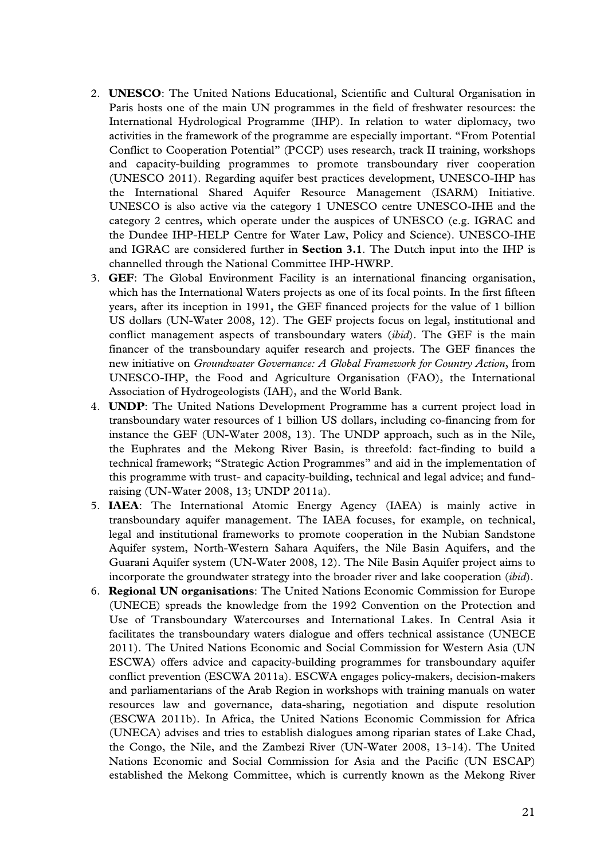- 2. **UNESCO**: The United Nations Educational, Scientific and Cultural Organisation in Paris hosts one of the main UN programmes in the field of freshwater resources: the International Hydrological Programme (IHP). In relation to water diplomacy, two activities in the framework of the programme are especially important. "From Potential Conflict to Cooperation Potential" (PCCP) uses research, track II training, workshops and capacity-building programmes to promote transboundary river cooperation (UNESCO 2011). Regarding aquifer best practices development, UNESCO-IHP has the International Shared Aquifer Resource Management (ISARM) Initiative. UNESCO is also active via the category 1 UNESCO centre UNESCO-IHE and the category 2 centres, which operate under the auspices of UNESCO (e.g. IGRAC and the Dundee IHP-HELP Centre for Water Law, Policy and Science). UNESCO-IHE and IGRAC are considered further in **Section 3.1**. The Dutch input into the IHP is channelled through the National Committee IHP-HWRP.
- 3. **GEF**: The Global Environment Facility is an international financing organisation, which has the International Waters projects as one of its focal points. In the first fifteen years, after its inception in 1991, the GEF financed projects for the value of 1 billion US dollars (UN-Water 2008, 12). The GEF projects focus on legal, institutional and conflict management aspects of transboundary waters (*ibid*). The GEF is the main financer of the transboundary aquifer research and projects. The GEF finances the new initiative on *Groundwater Governance: A Global Framework for Country Action*, from UNESCO-IHP, the Food and Agriculture Organisation (FAO), the International Association of Hydrogeologists (IAH), and the World Bank.
- 4. **UNDP**: The United Nations Development Programme has a current project load in transboundary water resources of 1 billion US dollars, including co-financing from for instance the GEF (UN-Water 2008, 13). The UNDP approach, such as in the Nile, the Euphrates and the Mekong River Basin, is threefold: fact-finding to build a technical framework; "Strategic Action Programmes" and aid in the implementation of this programme with trust- and capacity-building, technical and legal advice; and fundraising (UN-Water 2008, 13; UNDP 2011a).
- 5. **IAEA**: The International Atomic Energy Agency (IAEA) is mainly active in transboundary aquifer management. The IAEA focuses, for example, on technical, legal and institutional frameworks to promote cooperation in the Nubian Sandstone Aquifer system, North-Western Sahara Aquifers, the Nile Basin Aquifers, and the Guarani Aquifer system (UN-Water 2008, 12). The Nile Basin Aquifer project aims to incorporate the groundwater strategy into the broader river and lake cooperation (*ibid*).
- 6. **Regional UN organisations**: The United Nations Economic Commission for Europe (UNECE) spreads the knowledge from the 1992 Convention on the Protection and Use of Transboundary Watercourses and International Lakes. In Central Asia it facilitates the transboundary waters dialogue and offers technical assistance (UNECE 2011). The United Nations Economic and Social Commission for Western Asia (UN ESCWA) offers advice and capacity-building programmes for transboundary aquifer conflict prevention (ESCWA 2011a). ESCWA engages policy-makers, decision-makers and parliamentarians of the Arab Region in workshops with training manuals on water resources law and governance, data-sharing, negotiation and dispute resolution (ESCWA 2011b). In Africa, the United Nations Economic Commission for Africa (UNECA) advises and tries to establish dialogues among riparian states of Lake Chad, the Congo, the Nile, and the Zambezi River (UN-Water 2008, 13-14). The United Nations Economic and Social Commission for Asia and the Pacific (UN ESCAP) established the Mekong Committee, which is currently known as the Mekong River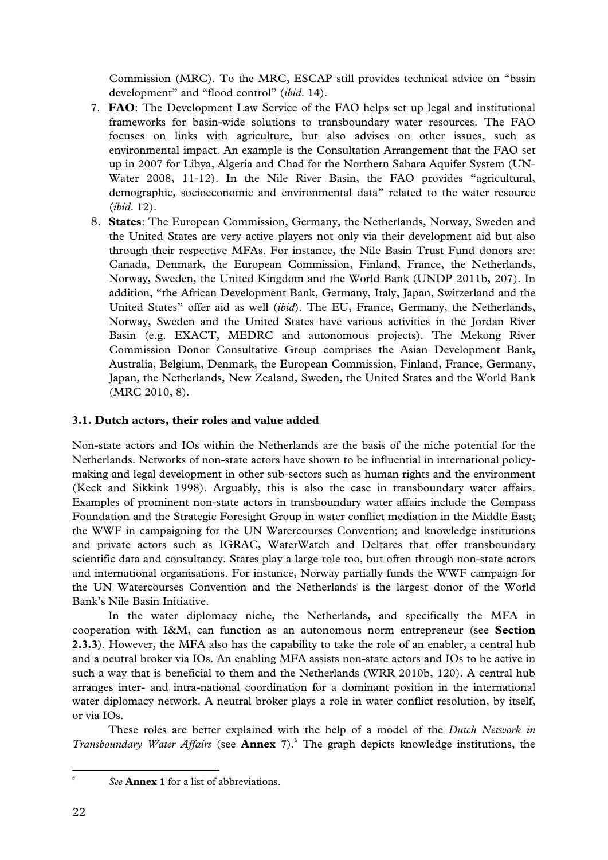Commission (MRC). To the MRC, ESCAP still provides technical advice on "basin development" and "flood control" (*ibid*. 14).

- 7. **FAO**: The Development Law Service of the FAO helps set up legal and institutional frameworks for basin-wide solutions to transboundary water resources. The FAO focuses on links with agriculture, but also advises on other issues, such as environmental impact. An example is the Consultation Arrangement that the FAO set up in 2007 for Libya, Algeria and Chad for the Northern Sahara Aquifer System (UN-Water 2008, 11-12). In the Nile River Basin, the FAO provides "agricultural, demographic, socioeconomic and environmental data" related to the water resource (*ibid*. 12).
- 8. **States**: The European Commission, Germany, the Netherlands, Norway, Sweden and the United States are very active players not only via their development aid but also through their respective MFAs. For instance, the Nile Basin Trust Fund donors are: Canada, Denmark, the European Commission, Finland, France, the Netherlands, Norway, Sweden, the United Kingdom and the World Bank (UNDP 2011b, 207). In addition, "the African Development Bank, Germany, Italy, Japan, Switzerland and the United States" offer aid as well (*ibid*). The EU, France, Germany, the Netherlands, Norway, Sweden and the United States have various activities in the Jordan River Basin (e.g. EXACT, MEDRC and autonomous projects). The Mekong River Commission Donor Consultative Group comprises the Asian Development Bank, Australia, Belgium, Denmark, the European Commission, Finland, France, Germany, Japan, the Netherlands, New Zealand, Sweden, the United States and the World Bank (MRC 2010, 8).

#### **3.1. Dutch actors, their roles and value added**

Non-state actors and IOs within the Netherlands are the basis of the niche potential for the Netherlands. Networks of non-state actors have shown to be influential in international policymaking and legal development in other sub-sectors such as human rights and the environment (Keck and Sikkink 1998). Arguably, this is also the case in transboundary water affairs. Examples of prominent non-state actors in transboundary water affairs include the Compass Foundation and the Strategic Foresight Group in water conflict mediation in the Middle East; the WWF in campaigning for the UN Watercourses Convention; and knowledge institutions and private actors such as IGRAC, WaterWatch and Deltares that offer transboundary scientific data and consultancy. States play a large role too, but often through non-state actors and international organisations. For instance, Norway partially funds the WWF campaign for the UN Watercourses Convention and the Netherlands is the largest donor of the World Bank's Nile Basin Initiative.

 In the water diplomacy niche, the Netherlands, and specifically the MFA in cooperation with I&M, can function as an autonomous norm entrepreneur (see **Section 2.3.3**). However, the MFA also has the capability to take the role of an enabler, a central hub and a neutral broker via IOs. An enabling MFA assists non-state actors and IOs to be active in such a way that is beneficial to them and the Netherlands (WRR 2010b, 120). A central hub arranges inter- and intra-national coordination for a dominant position in the international water diplomacy network. A neutral broker plays a role in water conflict resolution, by itself, or via IOs.

These roles are better explained with the help of a model of the *Dutch Network in*  Transboundary Water Affairs (see **Annex** 7).<sup>6</sup> The graph depicts knowledge institutions, the

6

 *See* **Annex 1** for a list of abbreviations.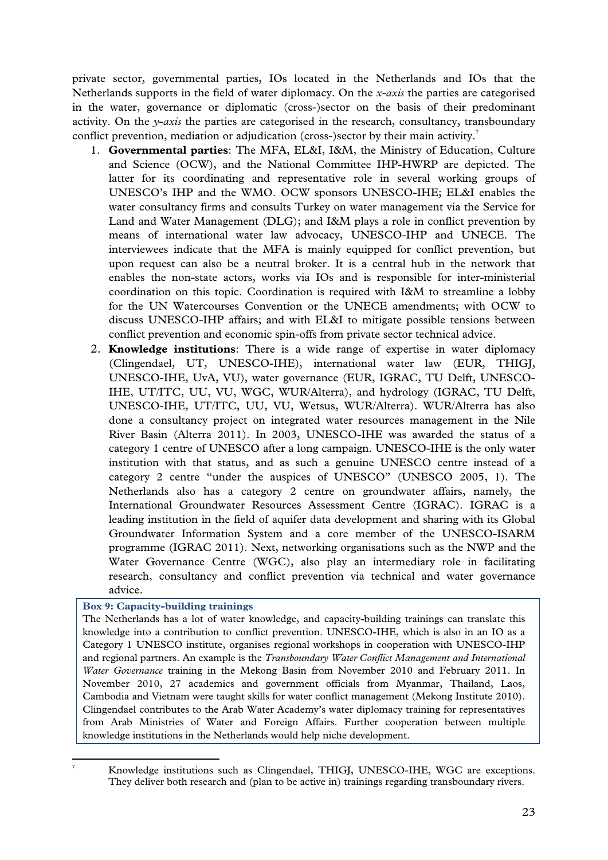private sector, governmental parties, IOs located in the Netherlands and IOs that the Netherlands supports in the field of water diplomacy. On the *x-axis* the parties are categorised in the water, governance or diplomatic (cross-)sector on the basis of their predominant activity. On the *y-axis* the parties are categorised in the research, consultancy, transboundary conflict prevention, mediation or adjudication (cross-)sector by their main activity. $^7$ 

- 1. **Governmental parties**: The MFA, EL&I, I&M, the Ministry of Education, Culture and Science (OCW), and the National Committee IHP-HWRP are depicted. The latter for its coordinating and representative role in several working groups of UNESCO's IHP and the WMO. OCW sponsors UNESCO-IHE; EL&I enables the water consultancy firms and consults Turkey on water management via the Service for Land and Water Management (DLG); and I&M plays a role in conflict prevention by means of international water law advocacy, UNESCO-IHP and UNECE. The interviewees indicate that the MFA is mainly equipped for conflict prevention, but upon request can also be a neutral broker. It is a central hub in the network that enables the non-state actors, works via IOs and is responsible for inter-ministerial coordination on this topic. Coordination is required with I&M to streamline a lobby for the UN Watercourses Convention or the UNECE amendments; with OCW to discuss UNESCO-IHP affairs; and with EL&I to mitigate possible tensions between conflict prevention and economic spin-offs from private sector technical advice.
- 2. **Knowledge institutions**: There is a wide range of expertise in water diplomacy (Clingendael, UT, UNESCO-IHE), international water law (EUR, THIGJ, UNESCO-IHE, UvA, VU), water governance (EUR, IGRAC, TU Delft, UNESCO-IHE, UT/ITC, UU, VU, WGC, WUR/Alterra), and hydrology (IGRAC, TU Delft, UNESCO-IHE, UT/ITC, UU, VU, Wetsus, WUR/Alterra). WUR/Alterra has also done a consultancy project on integrated water resources management in the Nile River Basin (Alterra 2011). In 2003, UNESCO-IHE was awarded the status of a category 1 centre of UNESCO after a long campaign. UNESCO-IHE is the only water institution with that status, and as such a genuine UNESCO centre instead of a category 2 centre "under the auspices of UNESCO" (UNESCO 2005, 1). The Netherlands also has a category 2 centre on groundwater affairs, namely, the International Groundwater Resources Assessment Centre (IGRAC). IGRAC is a leading institution in the field of aquifer data development and sharing with its Global Groundwater Information System and a core member of the UNESCO-ISARM programme (IGRAC 2011). Next, networking organisations such as the NWP and the Water Governance Centre (WGC), also play an intermediary role in facilitating research, consultancy and conflict prevention via technical and water governance advice.

#### **Box 9: Capacity-building trainings**

The Netherlands has a lot of water knowledge, and capacity-building trainings can translate this knowledge into a contribution to conflict prevention. UNESCO-IHE, which is also in an IO as a Category 1 UNESCO institute, organises regional workshops in cooperation with UNESCO-IHP and regional partners. An example is the *Transboundary Water Conflict Management and International Water Governance* training in the Mekong Basin from November 2010 and February 2011. In November 2010, 27 academics and government officials from Myanmar, Thailand, Laos, Cambodia and Vietnam were taught skills for water conflict management (Mekong Institute 2010). Clingendael contributes to the Arab Water Academy's water diplomacy training for representatives from Arab Ministries of Water and Foreign Affairs. Further cooperation between multiple knowledge institutions in the Netherlands would help niche development.

<sup>7</sup>

 Knowledge institutions such as Clingendael, THIGJ, UNESCO-IHE, WGC are exceptions. They deliver both research and (plan to be active in) trainings regarding transboundary rivers.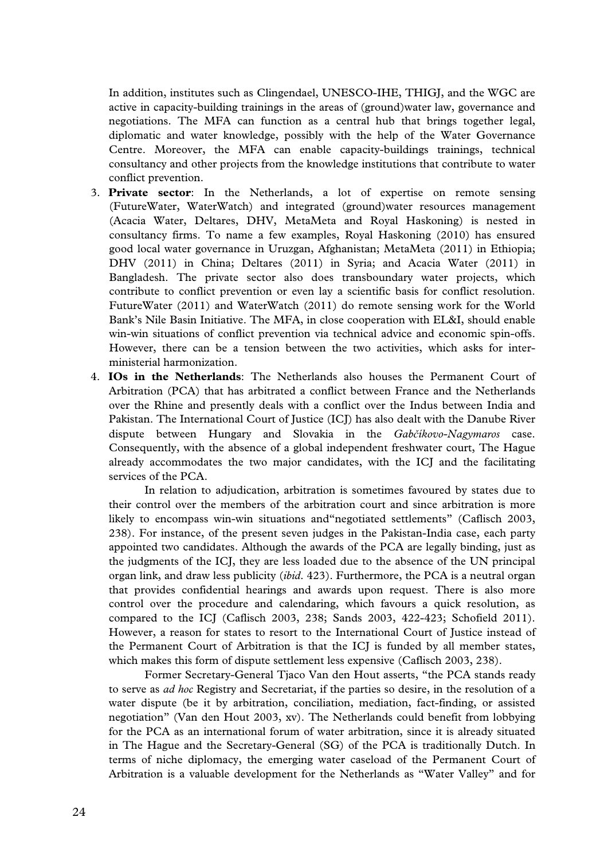In addition, institutes such as Clingendael, UNESCO-IHE, THIGJ, and the WGC are active in capacity-building trainings in the areas of (ground)water law, governance and negotiations. The MFA can function as a central hub that brings together legal, diplomatic and water knowledge, possibly with the help of the Water Governance Centre. Moreover, the MFA can enable capacity-buildings trainings, technical consultancy and other projects from the knowledge institutions that contribute to water conflict prevention.

- 3. **Private sector**: In the Netherlands, a lot of expertise on remote sensing (FutureWater, WaterWatch) and integrated (ground)water resources management (Acacia Water, Deltares, DHV, MetaMeta and Royal Haskoning) is nested in consultancy firms. To name a few examples, Royal Haskoning (2010) has ensured good local water governance in Uruzgan, Afghanistan; MetaMeta (2011) in Ethiopia; DHV (2011) in China; Deltares (2011) in Syria; and Acacia Water (2011) in Bangladesh. The private sector also does transboundary water projects, which contribute to conflict prevention or even lay a scientific basis for conflict resolution. FutureWater (2011) and WaterWatch (2011) do remote sensing work for the World Bank's Nile Basin Initiative. The MFA, in close cooperation with EL&I, should enable win-win situations of conflict prevention via technical advice and economic spin-offs. However, there can be a tension between the two activities, which asks for interministerial harmonization.
- 4. **IOs in the Netherlands**: The Netherlands also houses the Permanent Court of Arbitration (PCA) that has arbitrated a conflict between France and the Netherlands over the Rhine and presently deals with a conflict over the Indus between India and Pakistan. The International Court of Justice (ICJ) has also dealt with the Danube River dispute between Hungary and Slovakia in the *Gabčíkovo-Nagymaros* case. Consequently, with the absence of a global independent freshwater court, The Hague already accommodates the two major candidates, with the ICJ and the facilitating services of the PCA.

In relation to adjudication, arbitration is sometimes favoured by states due to their control over the members of the arbitration court and since arbitration is more likely to encompass win-win situations and"negotiated settlements" (Caflisch 2003, 238). For instance, of the present seven judges in the Pakistan-India case, each party appointed two candidates. Although the awards of the PCA are legally binding, just as the judgments of the ICJ, they are less loaded due to the absence of the UN principal organ link, and draw less publicity (*ibid*. 423). Furthermore, the PCA is a neutral organ that provides confidential hearings and awards upon request. There is also more control over the procedure and calendaring, which favours a quick resolution, as compared to the ICJ (Caflisch 2003, 238; Sands 2003, 422-423; Schofield 2011). However, a reason for states to resort to the International Court of Justice instead of the Permanent Court of Arbitration is that the ICJ is funded by all member states, which makes this form of dispute settlement less expensive (Caflisch 2003, 238).

Former Secretary-General Tjaco Van den Hout asserts, "the PCA stands ready to serve as *ad hoc* Registry and Secretariat, if the parties so desire, in the resolution of a water dispute (be it by arbitration, conciliation, mediation, fact-finding, or assisted negotiation" (Van den Hout 2003, xv). The Netherlands could benefit from lobbying for the PCA as an international forum of water arbitration, since it is already situated in The Hague and the Secretary-General (SG) of the PCA is traditionally Dutch. In terms of niche diplomacy, the emerging water caseload of the Permanent Court of Arbitration is a valuable development for the Netherlands as "Water Valley" and for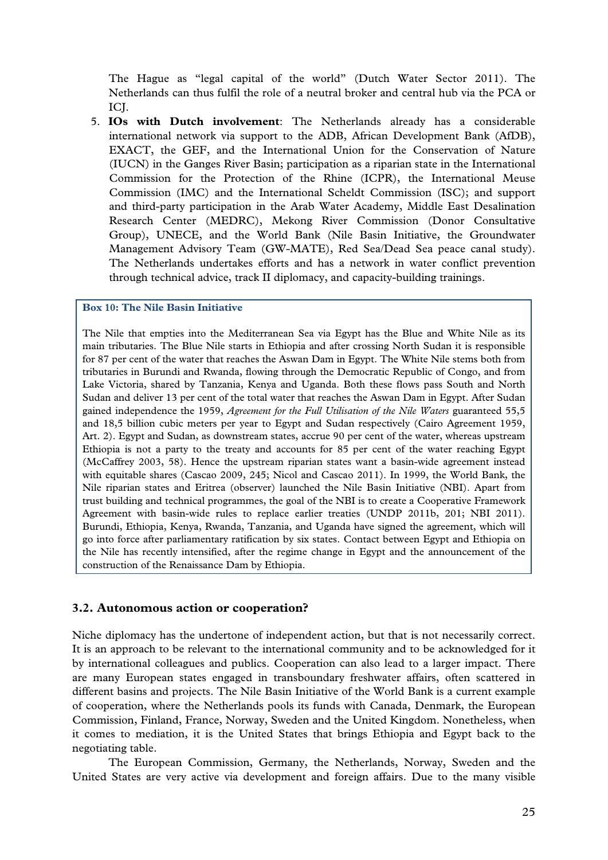The Hague as "legal capital of the world" (Dutch Water Sector 2011). The Netherlands can thus fulfil the role of a neutral broker and central hub via the PCA or ICI.

5. **IOs with Dutch involvement**: The Netherlands already has a considerable international network via support to the ADB, African Development Bank (AfDB), EXACT, the GEF, and the International Union for the Conservation of Nature (IUCN) in the Ganges River Basin; participation as a riparian state in the International Commission for the Protection of the Rhine (ICPR), the International Meuse Commission (IMC) and the International Scheldt Commission (ISC); and support and third-party participation in the Arab Water Academy, Middle East Desalination Research Center (MEDRC), Mekong River Commission (Donor Consultative Group), UNECE, and the World Bank (Nile Basin Initiative, the Groundwater Management Advisory Team (GW-MATE), Red Sea/Dead Sea peace canal study). The Netherlands undertakes efforts and has a network in water conflict prevention through technical advice, track II diplomacy, and capacity-building trainings.

#### **Box 10: The Nile Basin Initiative**

The Nile that empties into the Mediterranean Sea via Egypt has the Blue and White Nile as its main tributaries. The Blue Nile starts in Ethiopia and after crossing North Sudan it is responsible for 87 per cent of the water that reaches the Aswan Dam in Egypt. The White Nile stems both from tributaries in Burundi and Rwanda, flowing through the Democratic Republic of Congo, and from Lake Victoria, shared by Tanzania, Kenya and Uganda. Both these flows pass South and North Sudan and deliver 13 per cent of the total water that reaches the Aswan Dam in Egypt. After Sudan gained independence the 1959, *Agreement for the Full Utilisation of the Nile Waters* guaranteed 55,5 and 18,5 billion cubic meters per year to Egypt and Sudan respectively (Cairo Agreement 1959, Art. 2). Egypt and Sudan, as downstream states, accrue 90 per cent of the water, whereas upstream Ethiopia is not a party to the treaty and accounts for 85 per cent of the water reaching Egypt (McCaffrey 2003, 58). Hence the upstream riparian states want a basin-wide agreement instead with equitable shares (Cascao 2009, 245; Nicol and Cascao 2011). In 1999, the World Bank, the Nile riparian states and Eritrea (observer) launched the Nile Basin Initiative (NBI). Apart from trust building and technical programmes, the goal of the NBI is to create a Cooperative Framework Agreement with basin-wide rules to replace earlier treaties (UNDP 2011b, 201; NBI 2011). Burundi, Ethiopia, Kenya, Rwanda, Tanzania, and Uganda have signed the agreement, which will go into force after parliamentary ratification by six states. Contact between Egypt and Ethiopia on the Nile has recently intensified, after the regime change in Egypt and the announcement of the construction of the Renaissance Dam by Ethiopia.

#### **3.2. Autonomous action or cooperation?**

Niche diplomacy has the undertone of independent action, but that is not necessarily correct. It is an approach to be relevant to the international community and to be acknowledged for it by international colleagues and publics. Cooperation can also lead to a larger impact. There are many European states engaged in transboundary freshwater affairs, often scattered in different basins and projects. The Nile Basin Initiative of the World Bank is a current example of cooperation, where the Netherlands pools its funds with Canada, Denmark, the European Commission, Finland, France, Norway, Sweden and the United Kingdom. Nonetheless, when it comes to mediation, it is the United States that brings Ethiopia and Egypt back to the negotiating table.

The European Commission, Germany, the Netherlands, Norway, Sweden and the United States are very active via development and foreign affairs. Due to the many visible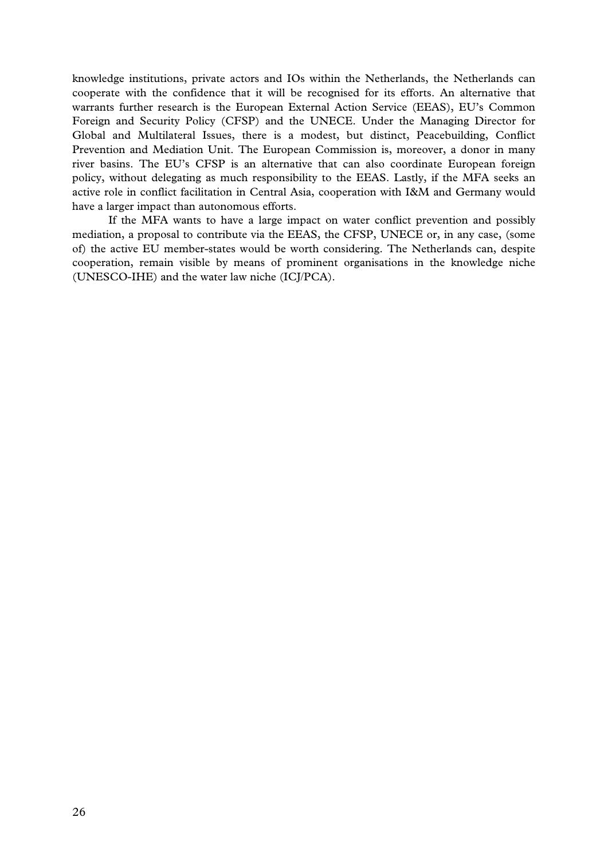knowledge institutions, private actors and IOs within the Netherlands, the Netherlands can cooperate with the confidence that it will be recognised for its efforts. An alternative that warrants further research is the European External Action Service (EEAS), EU's Common Foreign and Security Policy (CFSP) and the UNECE. Under the Managing Director for Global and Multilateral Issues, there is a modest, but distinct, Peacebuilding, Conflict Prevention and Mediation Unit. The European Commission is, moreover, a donor in many river basins. The EU's CFSP is an alternative that can also coordinate European foreign policy, without delegating as much responsibility to the EEAS. Lastly, if the MFA seeks an active role in conflict facilitation in Central Asia, cooperation with I&M and Germany would have a larger impact than autonomous efforts.

If the MFA wants to have a large impact on water conflict prevention and possibly mediation, a proposal to contribute via the EEAS, the CFSP, UNECE or, in any case, (some of) the active EU member-states would be worth considering. The Netherlands can, despite cooperation, remain visible by means of prominent organisations in the knowledge niche (UNESCO-IHE) and the water law niche (ICJ/PCA).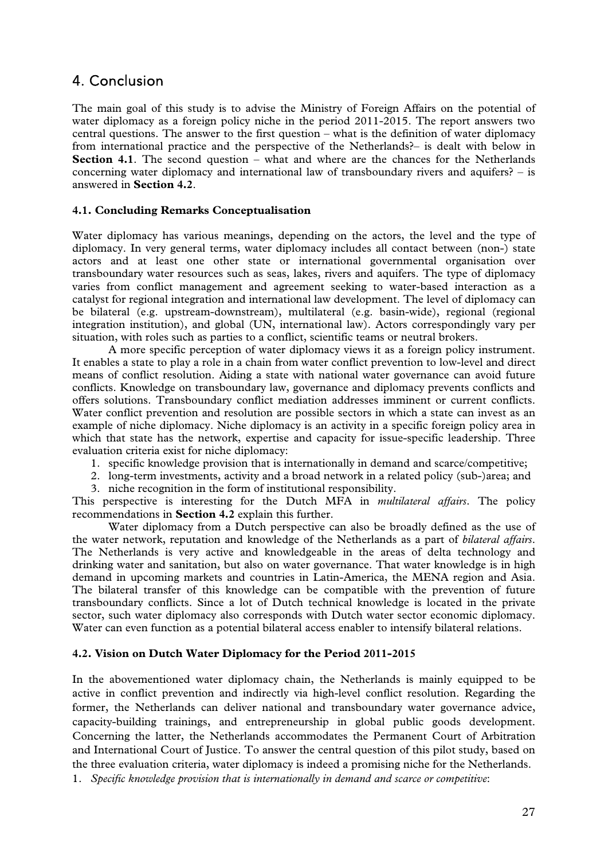### 4. Conclusion

The main goal of this study is to advise the Ministry of Foreign Affairs on the potential of water diplomacy as a foreign policy niche in the period 2011-2015. The report answers two central questions. The answer to the first question – what is the definition of water diplomacy from international practice and the perspective of the Netherlands?– is dealt with below in **Section 4.1**. The second question – what and where are the chances for the Netherlands concerning water diplomacy and international law of transboundary rivers and aquifers? – is answered in **Section 4.2**.

#### **4.1. Concluding Remarks Conceptualisation**

Water diplomacy has various meanings, depending on the actors, the level and the type of diplomacy. In very general terms, water diplomacy includes all contact between (non-) state actors and at least one other state or international governmental organisation over transboundary water resources such as seas, lakes, rivers and aquifers. The type of diplomacy varies from conflict management and agreement seeking to water-based interaction as a catalyst for regional integration and international law development. The level of diplomacy can be bilateral (e.g. upstream-downstream), multilateral (e.g. basin-wide), regional (regional integration institution), and global (UN, international law). Actors correspondingly vary per situation, with roles such as parties to a conflict, scientific teams or neutral brokers.

A more specific perception of water diplomacy views it as a foreign policy instrument. It enables a state to play a role in a chain from water conflict prevention to low-level and direct means of conflict resolution. Aiding a state with national water governance can avoid future conflicts. Knowledge on transboundary law, governance and diplomacy prevents conflicts and offers solutions. Transboundary conflict mediation addresses imminent or current conflicts. Water conflict prevention and resolution are possible sectors in which a state can invest as an example of niche diplomacy. Niche diplomacy is an activity in a specific foreign policy area in which that state has the network, expertise and capacity for issue-specific leadership. Three evaluation criteria exist for niche diplomacy:

- 1. specific knowledge provision that is internationally in demand and scarce/competitive;
- 2. long-term investments, activity and a broad network in a related policy (sub-)area; and
- 3. niche recognition in the form of institutional responsibility.

This perspective is interesting for the Dutch MFA in *multilateral affairs*. The policy recommendations in **Section 4.2** explain this further.

Water diplomacy from a Dutch perspective can also be broadly defined as the use of the water network, reputation and knowledge of the Netherlands as a part of *bilateral affairs*. The Netherlands is very active and knowledgeable in the areas of delta technology and drinking water and sanitation, but also on water governance. That water knowledge is in high demand in upcoming markets and countries in Latin-America, the MENA region and Asia. The bilateral transfer of this knowledge can be compatible with the prevention of future transboundary conflicts. Since a lot of Dutch technical knowledge is located in the private sector, such water diplomacy also corresponds with Dutch water sector economic diplomacy. Water can even function as a potential bilateral access enabler to intensify bilateral relations.

#### **4.2. Vision on Dutch Water Diplomacy for the Period 2011-2015**

In the abovementioned water diplomacy chain, the Netherlands is mainly equipped to be active in conflict prevention and indirectly via high-level conflict resolution. Regarding the former, the Netherlands can deliver national and transboundary water governance advice, capacity-building trainings, and entrepreneurship in global public goods development. Concerning the latter, the Netherlands accommodates the Permanent Court of Arbitration and International Court of Justice. To answer the central question of this pilot study, based on the three evaluation criteria, water diplomacy is indeed a promising niche for the Netherlands.

<sup>1.</sup> *Specific knowledge provision that is internationally in demand and scarce or competitive*: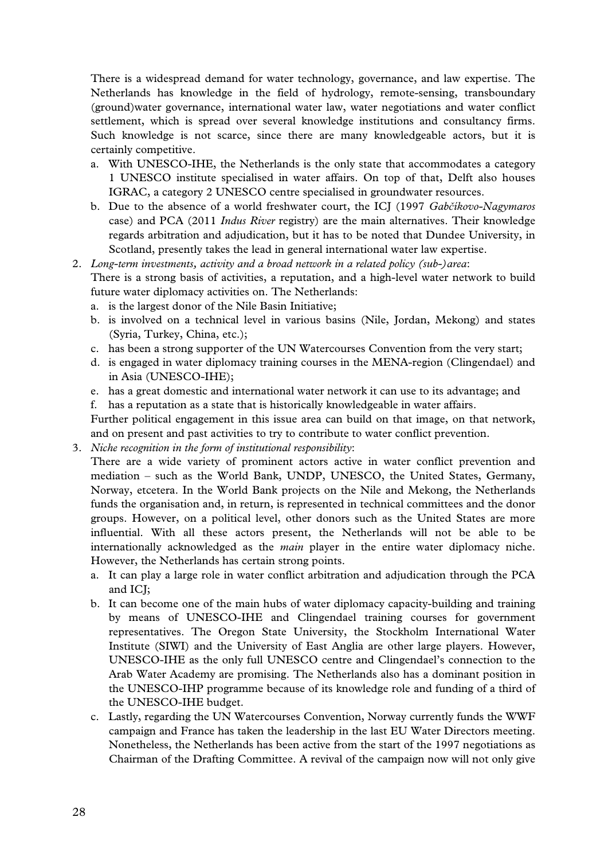There is a widespread demand for water technology, governance, and law expertise. The Netherlands has knowledge in the field of hydrology, remote-sensing, transboundary (ground)water governance, international water law, water negotiations and water conflict settlement, which is spread over several knowledge institutions and consultancy firms. Such knowledge is not scarce, since there are many knowledgeable actors, but it is certainly competitive.

- a. With UNESCO-IHE, the Netherlands is the only state that accommodates a category 1 UNESCO institute specialised in water affairs. On top of that, Delft also houses IGRAC, a category 2 UNESCO centre specialised in groundwater resources.
- b. Due to the absence of a world freshwater court, the ICJ (1997 *Gabčíkovo-Nagymaros* case) and PCA (2011 *Indus River* registry) are the main alternatives. Their knowledge regards arbitration and adjudication, but it has to be noted that Dundee University, in Scotland, presently takes the lead in general international water law expertise.
- 2. *Long-term investments, activity and a broad network in a related policy (sub-)area*: There is a strong basis of activities, a reputation, and a high-level water network to build future water diplomacy activities on. The Netherlands:
	- a. is the largest donor of the Nile Basin Initiative;
	- b. is involved on a technical level in various basins (Nile, Jordan, Mekong) and states (Syria, Turkey, China, etc.);
	- c. has been a strong supporter of the UN Watercourses Convention from the very start;
	- d. is engaged in water diplomacy training courses in the MENA-region (Clingendael) and in Asia (UNESCO-IHE);
	- e. has a great domestic and international water network it can use to its advantage; and
	- f. has a reputation as a state that is historically knowledgeable in water affairs.

Further political engagement in this issue area can build on that image, on that network, and on present and past activities to try to contribute to water conflict prevention.

3. *Niche recognition in the form of institutional responsibility*:

There are a wide variety of prominent actors active in water conflict prevention and mediation – such as the World Bank, UNDP, UNESCO, the United States, Germany, Norway, etcetera. In the World Bank projects on the Nile and Mekong, the Netherlands funds the organisation and, in return, is represented in technical committees and the donor groups. However, on a political level, other donors such as the United States are more influential. With all these actors present, the Netherlands will not be able to be internationally acknowledged as the *main* player in the entire water diplomacy niche. However, the Netherlands has certain strong points.

- a. It can play a large role in water conflict arbitration and adjudication through the PCA and ICJ;
- b. It can become one of the main hubs of water diplomacy capacity-building and training by means of UNESCO-IHE and Clingendael training courses for government representatives. The Oregon State University, the Stockholm International Water Institute (SIWI) and the University of East Anglia are other large players. However, UNESCO-IHE as the only full UNESCO centre and Clingendael's connection to the Arab Water Academy are promising. The Netherlands also has a dominant position in the UNESCO-IHP programme because of its knowledge role and funding of a third of the UNESCO-IHE budget.
- c. Lastly, regarding the UN Watercourses Convention, Norway currently funds the WWF campaign and France has taken the leadership in the last EU Water Directors meeting. Nonetheless, the Netherlands has been active from the start of the 1997 negotiations as Chairman of the Drafting Committee. A revival of the campaign now will not only give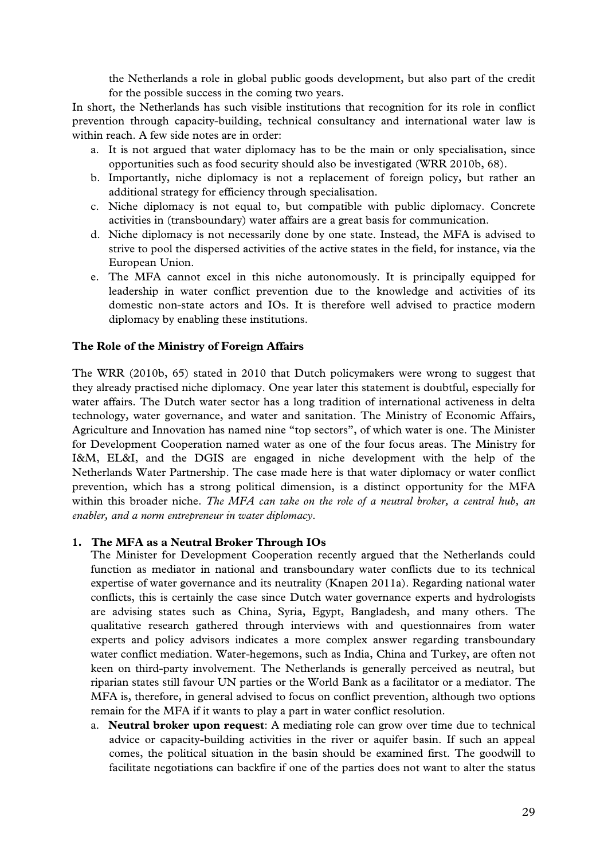the Netherlands a role in global public goods development, but also part of the credit for the possible success in the coming two years.

In short, the Netherlands has such visible institutions that recognition for its role in conflict prevention through capacity-building, technical consultancy and international water law is within reach. A few side notes are in order:

- a. It is not argued that water diplomacy has to be the main or only specialisation, since opportunities such as food security should also be investigated (WRR 2010b, 68).
- b. Importantly, niche diplomacy is not a replacement of foreign policy, but rather an additional strategy for efficiency through specialisation.
- c. Niche diplomacy is not equal to, but compatible with public diplomacy. Concrete activities in (transboundary) water affairs are a great basis for communication.
- d. Niche diplomacy is not necessarily done by one state. Instead, the MFA is advised to strive to pool the dispersed activities of the active states in the field, for instance, via the European Union.
- e. The MFA cannot excel in this niche autonomously. It is principally equipped for leadership in water conflict prevention due to the knowledge and activities of its domestic non-state actors and IOs. It is therefore well advised to practice modern diplomacy by enabling these institutions.

#### **The Role of the Ministry of Foreign Affairs**

The WRR (2010b, 65) stated in 2010 that Dutch policymakers were wrong to suggest that they already practised niche diplomacy. One year later this statement is doubtful, especially for water affairs. The Dutch water sector has a long tradition of international activeness in delta technology, water governance, and water and sanitation. The Ministry of Economic Affairs, Agriculture and Innovation has named nine "top sectors", of which water is one. The Minister for Development Cooperation named water as one of the four focus areas. The Ministry for I&M, EL&I, and the DGIS are engaged in niche development with the help of the Netherlands Water Partnership. The case made here is that water diplomacy or water conflict prevention, which has a strong political dimension, is a distinct opportunity for the MFA within this broader niche. *The MFA can take on the role of a neutral broker, a central hub, an enabler, and a norm entrepreneur in water diplomacy*.

#### **1. The MFA as a Neutral Broker Through IOs**

The Minister for Development Cooperation recently argued that the Netherlands could function as mediator in national and transboundary water conflicts due to its technical expertise of water governance and its neutrality (Knapen 2011a). Regarding national water conflicts, this is certainly the case since Dutch water governance experts and hydrologists are advising states such as China, Syria, Egypt, Bangladesh, and many others. The qualitative research gathered through interviews with and questionnaires from water experts and policy advisors indicates a more complex answer regarding transboundary water conflict mediation. Water-hegemons, such as India, China and Turkey, are often not keen on third-party involvement. The Netherlands is generally perceived as neutral, but riparian states still favour UN parties or the World Bank as a facilitator or a mediator. The MFA is, therefore, in general advised to focus on conflict prevention, although two options remain for the MFA if it wants to play a part in water conflict resolution.

a. **Neutral broker upon request**: A mediating role can grow over time due to technical advice or capacity-building activities in the river or aquifer basin. If such an appeal comes, the political situation in the basin should be examined first. The goodwill to facilitate negotiations can backfire if one of the parties does not want to alter the status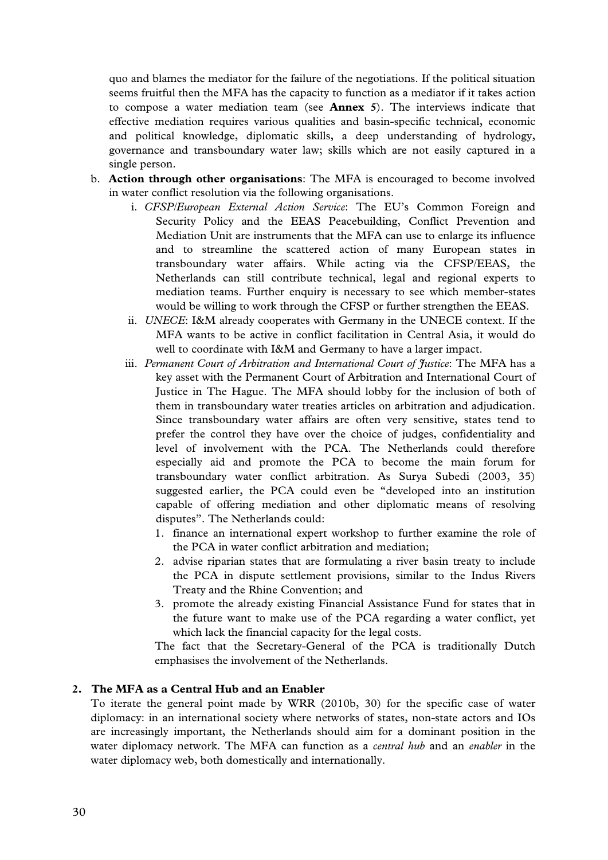quo and blames the mediator for the failure of the negotiations. If the political situation seems fruitful then the MFA has the capacity to function as a mediator if it takes action to compose a water mediation team (see **Annex 5**). The interviews indicate that effective mediation requires various qualities and basin-specific technical, economic and political knowledge, diplomatic skills, a deep understanding of hydrology, governance and transboundary water law; skills which are not easily captured in a single person.

- b. **Action through other organisations**: The MFA is encouraged to become involved in water conflict resolution via the following organisations.
	- i. *CFSP/European External Action Service*: The EU's Common Foreign and Security Policy and the EEAS Peacebuilding, Conflict Prevention and Mediation Unit are instruments that the MFA can use to enlarge its influence and to streamline the scattered action of many European states in transboundary water affairs. While acting via the CFSP/EEAS, the Netherlands can still contribute technical, legal and regional experts to mediation teams. Further enquiry is necessary to see which member-states would be willing to work through the CFSP or further strengthen the EEAS.
	- ii. *UNECE*: I&M already cooperates with Germany in the UNECE context. If the MFA wants to be active in conflict facilitation in Central Asia, it would do well to coordinate with I&M and Germany to have a larger impact.
	- iii. *Permanent Court of Arbitration and International Court of Justice*: The MFA has a key asset with the Permanent Court of Arbitration and International Court of Justice in The Hague. The MFA should lobby for the inclusion of both of them in transboundary water treaties articles on arbitration and adjudication. Since transboundary water affairs are often very sensitive, states tend to prefer the control they have over the choice of judges, confidentiality and level of involvement with the PCA. The Netherlands could therefore especially aid and promote the PCA to become the main forum for transboundary water conflict arbitration. As Surya Subedi (2003, 35) suggested earlier, the PCA could even be "developed into an institution capable of offering mediation and other diplomatic means of resolving disputes". The Netherlands could:
		- 1. finance an international expert workshop to further examine the role of the PCA in water conflict arbitration and mediation;
		- 2. advise riparian states that are formulating a river basin treaty to include the PCA in dispute settlement provisions, similar to the Indus Rivers Treaty and the Rhine Convention; and
		- 3. promote the already existing Financial Assistance Fund for states that in the future want to make use of the PCA regarding a water conflict, yet which lack the financial capacity for the legal costs.

The fact that the Secretary-General of the PCA is traditionally Dutch emphasises the involvement of the Netherlands.

#### **2. The MFA as a Central Hub and an Enabler**

To iterate the general point made by WRR (2010b, 30) for the specific case of water diplomacy: in an international society where networks of states, non-state actors and IOs are increasingly important, the Netherlands should aim for a dominant position in the water diplomacy network. The MFA can function as a *central hub* and an *enabler* in the water diplomacy web, both domestically and internationally.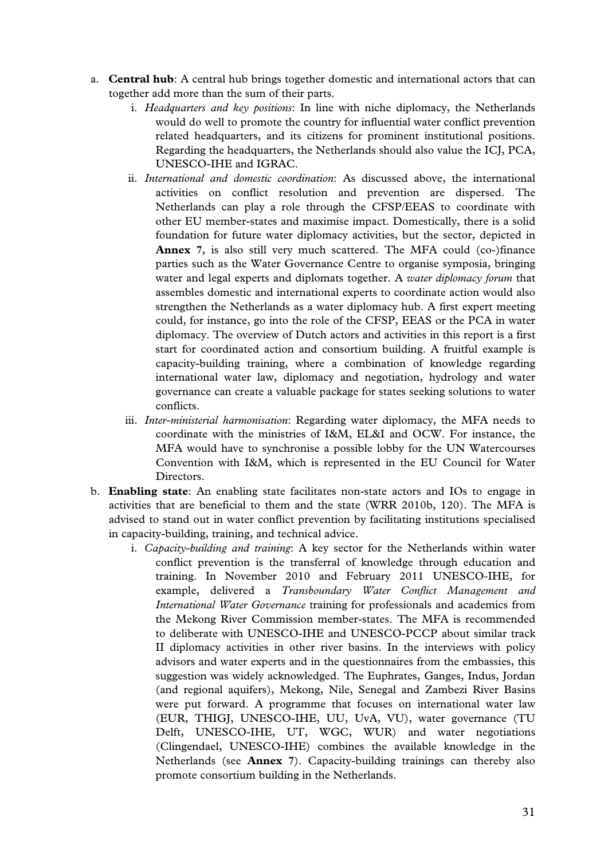- a. **Central hub**: A central hub brings together domestic and international actors that can together add more than the sum of their parts.
	- i. *Headquarters and key positions*: In line with niche diplomacy, the Netherlands would do well to promote the country for influential water conflict prevention related headquarters, and its citizens for prominent institutional positions. Regarding the headquarters, the Netherlands should also value the ICJ, PCA, UNESCO-IHE and IGRAC.
	- ii. *International and domestic coordination*: As discussed above, the international activities on conflict resolution and prevention are dispersed. The Netherlands can play a role through the CFSP/EEAS to coordinate with other EU member-states and maximise impact. Domestically, there is a solid foundation for future water diplomacy activities, but the sector, depicted in **Annex 7**, is also still very much scattered. The MFA could (co-)finance parties such as the Water Governance Centre to organise symposia, bringing water and legal experts and diplomats together. A *water diplomacy forum* that assembles domestic and international experts to coordinate action would also strengthen the Netherlands as a water diplomacy hub. A first expert meeting could, for instance, go into the role of the CFSP, EEAS or the PCA in water diplomacy. The overview of Dutch actors and activities in this report is a first start for coordinated action and consortium building. A fruitful example is capacity-building training, where a combination of knowledge regarding international water law, diplomacy and negotiation, hydrology and water governance can create a valuable package for states seeking solutions to water conflicts.
	- iii. *Inter-ministerial harmonisation*: Regarding water diplomacy, the MFA needs to coordinate with the ministries of I&M, EL&I and OCW. For instance, the MFA would have to synchronise a possible lobby for the UN Watercourses Convention with I&M, which is represented in the EU Council for Water Directors.
- b. **Enabling state**: An enabling state facilitates non-state actors and IOs to engage in activities that are beneficial to them and the state (WRR 2010b, 120). The MFA is advised to stand out in water conflict prevention by facilitating institutions specialised in capacity-building, training, and technical advice.
	- i. *Capacity-building and training*: A key sector for the Netherlands within water conflict prevention is the transferral of knowledge through education and training. In November 2010 and February 2011 UNESCO-IHE, for example, delivered a *Transboundary Water Conflict Management and International Water Governance* training for professionals and academics from the Mekong River Commission member-states. The MFA is recommended to deliberate with UNESCO-IHE and UNESCO-PCCP about similar track II diplomacy activities in other river basins. In the interviews with policy advisors and water experts and in the questionnaires from the embassies, this suggestion was widely acknowledged. The Euphrates, Ganges, Indus, Jordan (and regional aquifers), Mekong, Nile, Senegal and Zambezi River Basins were put forward. A programme that focuses on international water law (EUR, THIGJ, UNESCO-IHE, UU, UvA, VU), water governance (TU Delft, UNESCO-IHE, UT, WGC, WUR) and water negotiations (Clingendael, UNESCO-IHE) combines the available knowledge in the Netherlands (see **Annex 7**). Capacity-building trainings can thereby also promote consortium building in the Netherlands.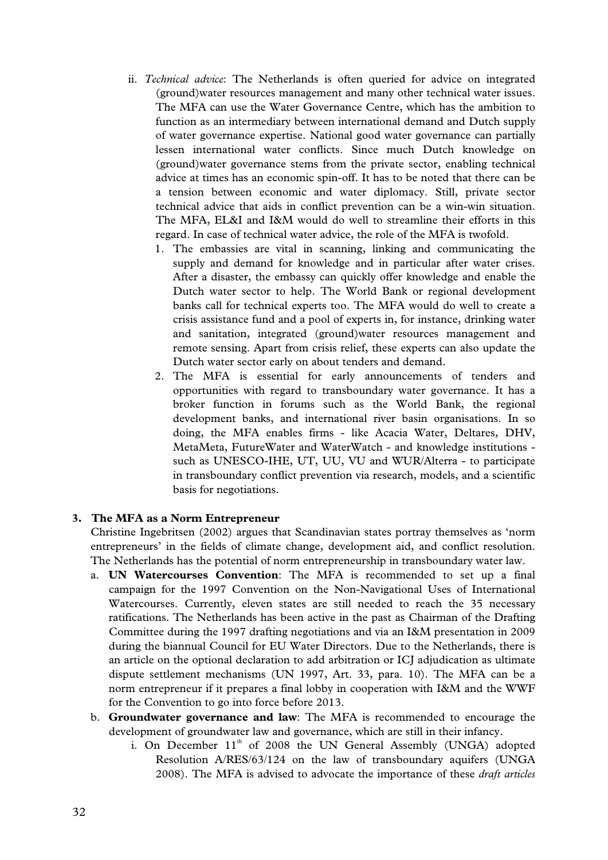- ii. *Technical advice*: The Netherlands is often queried for advice on integrated (ground)water resources management and many other technical water issues. The MFA can use the Water Governance Centre, which has the ambition to function as an intermediary between international demand and Dutch supply of water governance expertise. National good water governance can partially lessen international water conflicts. Since much Dutch knowledge on (ground)water governance stems from the private sector, enabling technical advice at times has an economic spin-off. It has to be noted that there can be a tension between economic and water diplomacy. Still, private sector technical advice that aids in conflict prevention can be a win-win situation. The MFA, EL&I and I&M would do well to streamline their efforts in this regard. In case of technical water advice, the role of the MFA is twofold.
	- 1. The embassies are vital in scanning, linking and communicating the supply and demand for knowledge and in particular after water crises. After a disaster, the embassy can quickly offer knowledge and enable the Dutch water sector to help. The World Bank or regional development banks call for technical experts too. The MFA would do well to create a crisis assistance fund and a pool of experts in, for instance, drinking water and sanitation, integrated (ground)water resources management and remote sensing. Apart from crisis relief, these experts can also update the Dutch water sector early on about tenders and demand.
	- 2. The MFA is essential for early announcements of tenders and opportunities with regard to transboundary water governance. It has a broker function in forums such as the World Bank, the regional development banks, and international river basin organisations. In so doing, the MFA enables firms - like Acacia Water, Deltares, DHV, MetaMeta, FutureWater and WaterWatch - and knowledge institutions such as UNESCO-IHE, UT, UU, VU and WUR/Alterra - to participate in transboundary conflict prevention via research, models, and a scientific basis for negotiations.

#### **3. The MFA as a Norm Entrepreneur**

Christine Ingebritsen (2002) argues that Scandinavian states portray themselves as 'norm entrepreneurs' in the fields of climate change, development aid, and conflict resolution. The Netherlands has the potential of norm entrepreneurship in transboundary water law.

- a. **UN Watercourses Convention**: The MFA is recommended to set up a final campaign for the 1997 Convention on the Non-Navigational Uses of International Watercourses. Currently, eleven states are still needed to reach the 35 necessary ratifications. The Netherlands has been active in the past as Chairman of the Drafting Committee during the 1997 drafting negotiations and via an I&M presentation in 2009 during the biannual Council for EU Water Directors. Due to the Netherlands, there is an article on the optional declaration to add arbitration or ICJ adjudication as ultimate dispute settlement mechanisms (UN 1997, Art. 33, para. 10). The MFA can be a norm entrepreneur if it prepares a final lobby in cooperation with I&M and the WWF for the Convention to go into force before 2013.
- b. **Groundwater governance and law**: The MFA is recommended to encourage the development of groundwater law and governance, which are still in their infancy.
	- i. On December  $11<sup>th</sup>$  of 2008 the UN General Assembly (UNGA) adopted Resolution A/RES/63/124 on the law of transboundary aquifers (UNGA 2008). The MFA is advised to advocate the importance of these *draft articles*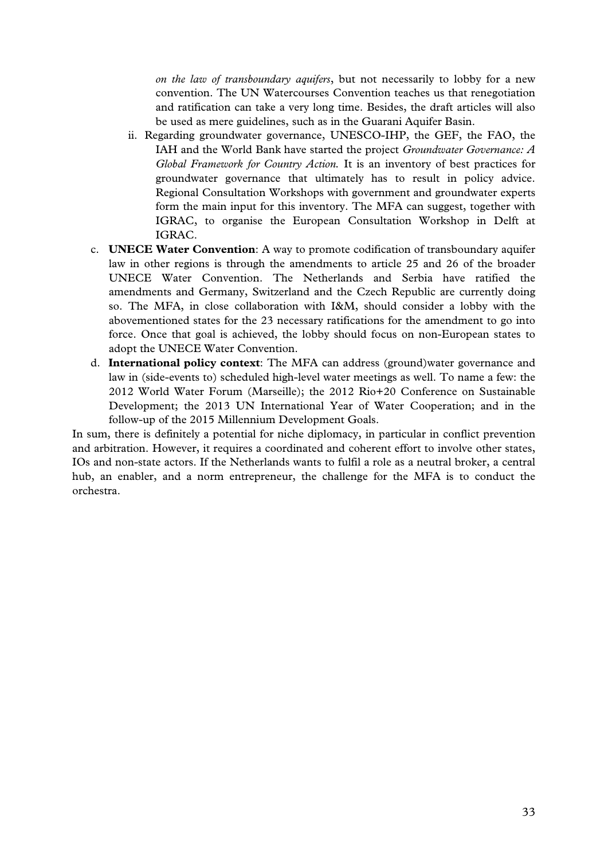*on the law of transboundary aquifers*, but not necessarily to lobby for a new convention. The UN Watercourses Convention teaches us that renegotiation and ratification can take a very long time. Besides, the draft articles will also be used as mere guidelines, such as in the Guarani Aquifer Basin.

- ii. Regarding groundwater governance, UNESCO-IHP, the GEF, the FAO, the IAH and the World Bank have started the project *Groundwater Governance: A Global Framework for Country Action.* It is an inventory of best practices for groundwater governance that ultimately has to result in policy advice. Regional Consultation Workshops with government and groundwater experts form the main input for this inventory. The MFA can suggest, together with IGRAC, to organise the European Consultation Workshop in Delft at IGRAC.
- c. **UNECE Water Convention**: A way to promote codification of transboundary aquifer law in other regions is through the amendments to article 25 and 26 of the broader UNECE Water Convention. The Netherlands and Serbia have ratified the amendments and Germany, Switzerland and the Czech Republic are currently doing so. The MFA, in close collaboration with I&M, should consider a lobby with the abovementioned states for the 23 necessary ratifications for the amendment to go into force. Once that goal is achieved, the lobby should focus on non-European states to adopt the UNECE Water Convention.
- d. **International policy context**: The MFA can address (ground)water governance and law in (side-events to) scheduled high-level water meetings as well. To name a few: the 2012 World Water Forum (Marseille); the 2012 Rio+20 Conference on Sustainable Development; the 2013 UN International Year of Water Cooperation; and in the follow-up of the 2015 Millennium Development Goals.

In sum, there is definitely a potential for niche diplomacy, in particular in conflict prevention and arbitration. However, it requires a coordinated and coherent effort to involve other states, IOs and non-state actors. If the Netherlands wants to fulfil a role as a neutral broker, a central hub, an enabler, and a norm entrepreneur, the challenge for the MFA is to conduct the orchestra.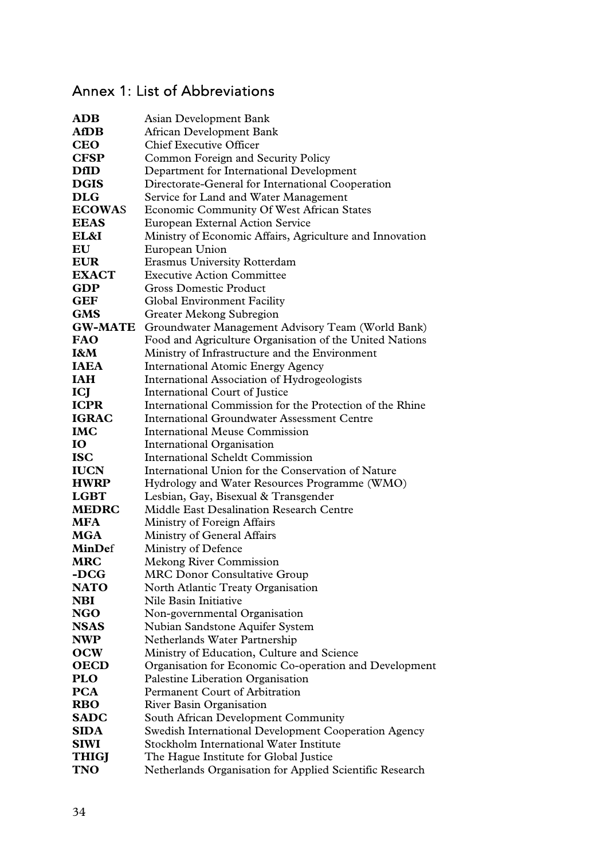# Annex 1: List of Abbreviations

| <b>ADB</b>     | Asian Development Bank                                   |  |  |
|----------------|----------------------------------------------------------|--|--|
| <b>AfDB</b>    | African Development Bank                                 |  |  |
| <b>CEO</b>     | <b>Chief Executive Officer</b>                           |  |  |
| <b>CFSP</b>    | Common Foreign and Security Policy                       |  |  |
| <b>DfID</b>    | Department for International Development                 |  |  |
| <b>DGIS</b>    | Directorate-General for International Cooperation        |  |  |
| <b>DLG</b>     | Service for Land and Water Management                    |  |  |
| <b>ECOWAS</b>  | Economic Community Of West African States                |  |  |
| <b>EEAS</b>    | <b>European External Action Service</b>                  |  |  |
| EL&I           | Ministry of Economic Affairs, Agriculture and Innovation |  |  |
| EU             | European Union                                           |  |  |
| <b>EUR</b>     | Erasmus University Rotterdam                             |  |  |
| <b>EXACT</b>   | <b>Executive Action Committee</b>                        |  |  |
| <b>GDP</b>     | <b>Gross Domestic Product</b>                            |  |  |
| <b>GEF</b>     | <b>Global Environment Facility</b>                       |  |  |
| <b>GMS</b>     | Greater Mekong Subregion                                 |  |  |
| <b>GW-MATE</b> | Groundwater Management Advisory Team (World Bank)        |  |  |
| <b>FAO</b>     | Food and Agriculture Organisation of the United Nations  |  |  |
| I&M            | Ministry of Infrastructure and the Environment           |  |  |
| <b>IAEA</b>    | <b>International Atomic Energy Agency</b>                |  |  |
| <b>IAH</b>     | International Association of Hydrogeologists             |  |  |
| ICJ            | International Court of Justice                           |  |  |
| <b>ICPR</b>    | International Commission for the Protection of the Rhine |  |  |
| <b>IGRAC</b>   | <b>International Groundwater Assessment Centre</b>       |  |  |
| <b>IMC</b>     | <b>International Meuse Commission</b>                    |  |  |
| IO             | International Organisation                               |  |  |
| <b>ISC</b>     | International Scheldt Commission                         |  |  |
| <b>IUCN</b>    | International Union for the Conservation of Nature       |  |  |
| <b>HWRP</b>    | Hydrology and Water Resources Programme (WMO)            |  |  |
| <b>LGBT</b>    | Lesbian, Gay, Bisexual & Transgender                     |  |  |
| <b>MEDRC</b>   | Middle East Desalination Research Centre                 |  |  |
| <b>MFA</b>     | Ministry of Foreign Affairs                              |  |  |
| MGA            | Ministry of General Affairs                              |  |  |
| MinDef         | Ministry of Defence                                      |  |  |
| <b>MRC</b>     | <b>Mekong River Commission</b>                           |  |  |
| -DCG           | <b>MRC Donor Consultative Group</b>                      |  |  |
| <b>NATO</b>    | North Atlantic Treaty Organisation                       |  |  |
| <b>NBI</b>     | Nile Basin Initiative                                    |  |  |
| <b>NGO</b>     | Non-governmental Organisation                            |  |  |
| <b>NSAS</b>    | Nubian Sandstone Aquifer System                          |  |  |
| <b>NWP</b>     | Netherlands Water Partnership                            |  |  |
| <b>OCW</b>     | Ministry of Education, Culture and Science               |  |  |
| <b>OECD</b>    | Organisation for Economic Co-operation and Development   |  |  |
| <b>PLO</b>     | Palestine Liberation Organisation                        |  |  |
| <b>PCA</b>     | Permanent Court of Arbitration                           |  |  |
| <b>RBO</b>     | <b>River Basin Organisation</b>                          |  |  |
| <b>SADC</b>    | South African Development Community                      |  |  |
| <b>SIDA</b>    | Swedish International Development Cooperation Agency     |  |  |
| <b>SIWI</b>    | Stockholm International Water Institute                  |  |  |
| <b>THIGJ</b>   | The Hague Institute for Global Justice                   |  |  |
| <b>TNO</b>     | Netherlands Organisation for Applied Scientific Research |  |  |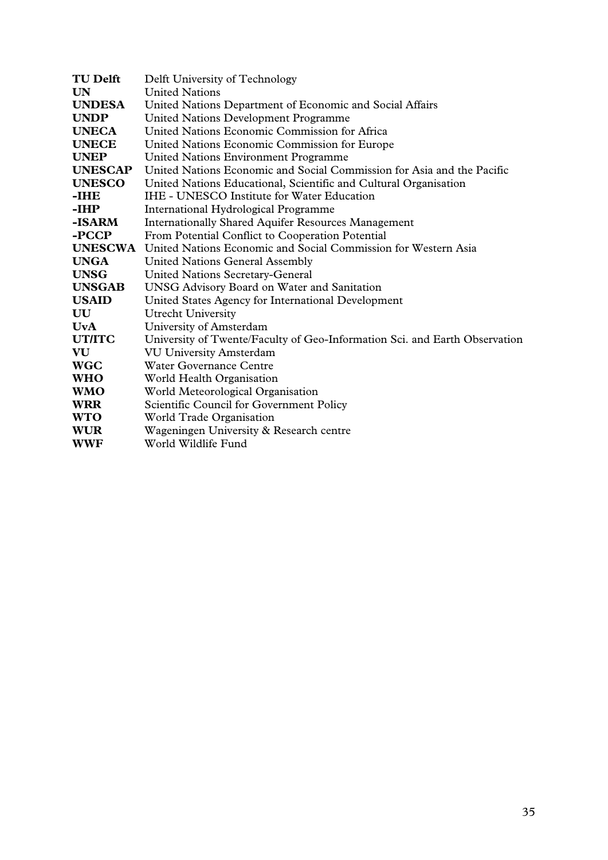| <b>TU Delft</b> | Delft University of Technology                                             |  |  |
|-----------------|----------------------------------------------------------------------------|--|--|
| UN              | <b>United Nations</b>                                                      |  |  |
| <b>UNDESA</b>   | United Nations Department of Economic and Social Affairs                   |  |  |
| <b>UNDP</b>     | <b>United Nations Development Programme</b>                                |  |  |
| <b>UNECA</b>    | United Nations Economic Commission for Africa                              |  |  |
| <b>UNECE</b>    | United Nations Economic Commission for Europe                              |  |  |
| <b>UNEP</b>     | United Nations Environment Programme                                       |  |  |
| <b>UNESCAP</b>  | United Nations Economic and Social Commission for Asia and the Pacific     |  |  |
| <b>UNESCO</b>   | United Nations Educational, Scientific and Cultural Organisation           |  |  |
| -IHE            | <b>IHE - UNESCO Institute for Water Education</b>                          |  |  |
| -IHP            | International Hydrological Programme                                       |  |  |
| -ISARM          | <b>Internationally Shared Aquifer Resources Management</b>                 |  |  |
| -PCCP           | From Potential Conflict to Cooperation Potential                           |  |  |
| <b>UNESCWA</b>  | United Nations Economic and Social Commission for Western Asia             |  |  |
| <b>UNGA</b>     | <b>United Nations General Assembly</b>                                     |  |  |
| <b>UNSG</b>     | <b>United Nations Secretary-General</b>                                    |  |  |
| <b>UNSGAB</b>   | <b>UNSG Advisory Board on Water and Sanitation</b>                         |  |  |
| <b>USAID</b>    | United States Agency for International Development                         |  |  |
| UU              | <b>Utrecht University</b>                                                  |  |  |
| <b>UvA</b>      | University of Amsterdam                                                    |  |  |
| <b>UT/ITC</b>   | University of Twente/Faculty of Geo-Information Sci. and Earth Observation |  |  |
| VU              | <b>VU University Amsterdam</b>                                             |  |  |
| <b>WGC</b>      | Water Governance Centre                                                    |  |  |
| <b>WHO</b>      | World Health Organisation                                                  |  |  |
| <b>WMO</b>      | World Meteorological Organisation                                          |  |  |
| <b>WRR</b>      | Scientific Council for Government Policy                                   |  |  |
| <b>WTO</b>      | World Trade Organisation                                                   |  |  |
| <b>WUR</b>      | Wageningen University & Research centre                                    |  |  |
| <b>WWF</b>      | World Wildlife Fund                                                        |  |  |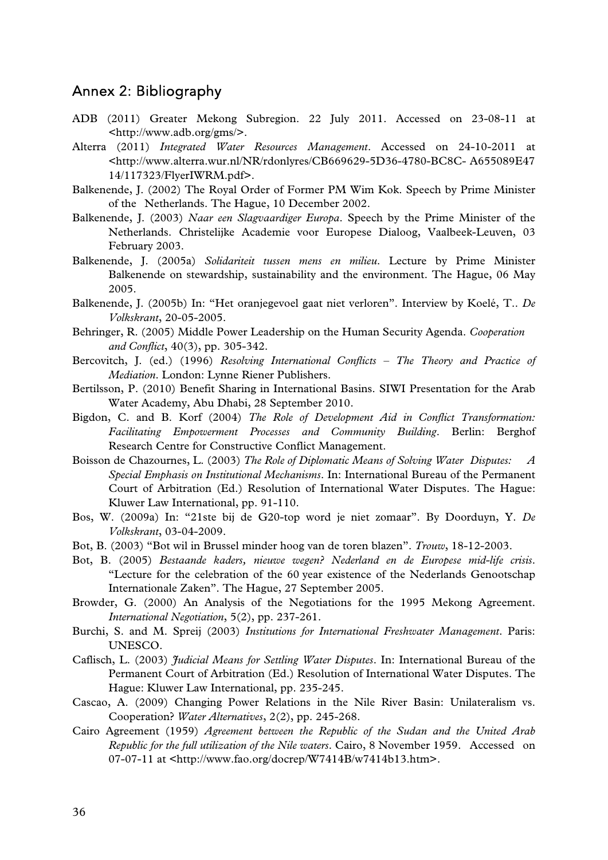### Annex 2: Bibliography

- ADB (2011) Greater Mekong Subregion. 22 July 2011. Accessed on 23-08-11 at <http://www.adb.org/gms/>.
- Alterra (2011) *Integrated Water Resources Management*. Accessed on 24-10-2011 at <http://www.alterra.wur.nl/NR/rdonlyres/CB669629-5D36-4780-BC8C- A655089E47 14/117323/FlyerIWRM.pdf>.
- Balkenende, J. (2002) The Royal Order of Former PM Wim Kok. Speech by Prime Minister of the Netherlands. The Hague, 10 December 2002.
- Balkenende, J. (2003) *Naar een Slagvaardiger Europa*. Speech by the Prime Minister of the Netherlands. Christelijke Academie voor Europese Dialoog, Vaalbeek-Leuven, 03 February 2003.
- Balkenende, J. (2005a) *Solidariteit tussen mens en milieu*. Lecture by Prime Minister Balkenende on stewardship, sustainability and the environment. The Hague, 06 May 2005.
- Balkenende, J. (2005b) In: "Het oranjegevoel gaat niet verloren". Interview by Koelé, T.. *De Volkskrant*, 20-05-2005.
- Behringer, R. (2005) Middle Power Leadership on the Human Security Agenda. *Cooperation and Conflict*, 40(3), pp. 305-342.
- Bercovitch, J. (ed.) (1996) *Resolving International Conflicts The Theory and Practice of Mediation*. London: Lynne Riener Publishers.
- Bertilsson, P. (2010) Benefit Sharing in International Basins. SIWI Presentation for the Arab Water Academy, Abu Dhabi, 28 September 2010.
- Bigdon, C. and B. Korf (2004) *The Role of Development Aid in Conflict Transformation: Facilitating Empowerment Processes and Community Building*. Berlin: Berghof Research Centre for Constructive Conflict Management.
- Boisson de Chazournes, L. (2003) *The Role of Diplomatic Means of Solving Water Disputes: A Special Emphasis on Institutional Mechanisms*. In: International Bureau of the Permanent Court of Arbitration (Ed.) Resolution of International Water Disputes. The Hague: Kluwer Law International, pp. 91-110.
- Bos, W. (2009a) In: "21ste bij de G20-top word je niet zomaar". By Doorduyn, Y. *De Volkskrant*, 03-04-2009.
- Bot, B. (2003) "Bot wil in Brussel minder hoog van de toren blazen". *Trouw*, 18-12-2003.
- Bot, B. (2005) *Bestaande kaders, nieuwe wegen? Nederland en de Europese mid-life crisis*. "Lecture for the celebration of the 60 year existence of the Nederlands Genootschap Internationale Zaken". The Hague, 27 September 2005.
- Browder, G. (2000) An Analysis of the Negotiations for the 1995 Mekong Agreement. *International Negotiation*, 5(2), pp. 237-261.
- Burchi, S. and M. Spreij (2003) *Institutions for International Freshwater Management*. Paris: UNESCO.
- Caflisch, L. (2003) *Judicial Means for Settling Water Disputes*. In: International Bureau of the Permanent Court of Arbitration (Ed.) Resolution of International Water Disputes. The Hague: Kluwer Law International, pp. 235-245.
- Cascao, A. (2009) Changing Power Relations in the Nile River Basin: Unilateralism vs. Cooperation? *Water Alternatives*, 2(2), pp. 245-268.
- Cairo Agreement (1959) *Agreement between the Republic of the Sudan and the United Arab Republic for the full utilization of the Nile waters*. Cairo, 8 November 1959. Accessed on 07-07-11 at <http://www.fao.org/docrep/W7414B/w7414b13.htm>.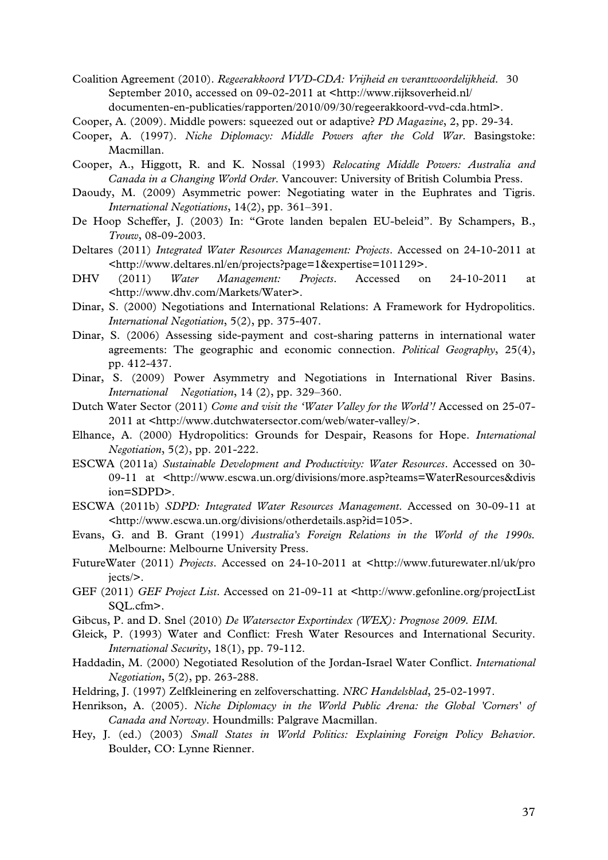- Coalition Agreement (2010). *Regeerakkoord VVD-CDA: Vrijheid en verantwoordelijkheid*. 30 September 2010, accessed on 09-02-2011 at <http://www.rijksoverheid.nl/ documenten-en-publicaties/rapporten/2010/09/30/regeerakkoord-vvd-cda.html>.
- Cooper, A. (2009). Middle powers: squeezed out or adaptive? *PD Magazine*, 2, pp. 29-34.
- Cooper, A. (1997). *Niche Diplomacy: Middle Powers after the Cold War*. Basingstoke: Macmillan.
- Cooper, A., Higgott, R. and K. Nossal (1993) *Relocating Middle Powers: Australia and Canada in a Changing World Order*. Vancouver: University of British Columbia Press.
- Daoudy, M. (2009) Asymmetric power: Negotiating water in the Euphrates and Tigris. *International Negotiations*, 14(2), pp. 361–391.
- De Hoop Scheffer, J. (2003) In: "Grote landen bepalen EU-beleid". By Schampers, B., *Trouw*, 08-09-2003.
- Deltares (2011) *Integrated Water Resources Management: Projects*. Accessed on 24-10-2011 at <http://www.deltares.nl/en/projects?page=1&expertise=101129>.
- DHV (2011) *Water Management: Projects*. Accessed on 24-10-2011 at <http://www.dhv.com/Markets/Water>.
- Dinar, S. (2000) Negotiations and International Relations: A Framework for Hydropolitics. *International Negotiation*, 5(2), pp. 375-407.
- Dinar, S. (2006) Assessing side-payment and cost-sharing patterns in international water agreements: The geographic and economic connection. *Political Geography*, 25(4), pp. 412-437.
- Dinar, S. (2009) Power Asymmetry and Negotiations in International River Basins. *International Negotiation*, 14 (2), pp. 329–360.
- Dutch Water Sector (2011) *Come and visit the 'Water Valley for the World'!* Accessed on 25-07- 2011 at <http://www.dutchwatersector.com/web/water-valley/>.
- Elhance, A. (2000) Hydropolitics: Grounds for Despair, Reasons for Hope. *International Negotiation*, 5(2), pp. 201-222.
- ESCWA (2011a) *Sustainable Development and Productivity: Water Resources*. Accessed on 30- 09-11 at <http://www.escwa.un.org/divisions/more.asp?teams=WaterResources&divis ion=SDPD>.
- ESCWA (2011b) *SDPD: Integrated Water Resources Management*. Accessed on 30-09-11 at <http://www.escwa.un.org/divisions/otherdetails.asp?id=105>.
- Evans, G. and B. Grant (1991) *Australia's Foreign Relations in the World of the 1990s.* Melbourne: Melbourne University Press.
- FutureWater (2011) *Projects*. Accessed on 24-10-2011 at <http://www.futurewater.nl/uk/pro jects/>.
- GEF (2011) *GEF Project List*. Accessed on 21-09-11 at <http://www.gefonline.org/projectList SQL.cfm>.
- Gibcus, P. and D. Snel (2010) *De Watersector Exportindex (WEX): Prognose 2009. EIM.*
- Gleick, P. (1993) Water and Conflict: Fresh Water Resources and International Security. *International Security*, 18(1), pp. 79-112.
- Haddadin, M. (2000) Negotiated Resolution of the Jordan-Israel Water Conflict. *International Negotiation*, 5(2), pp. 263-288.
- Heldring, J. (1997) Zelfkleinering en zelfoverschatting. *NRC Handelsblad*, 25-02-1997.
- Henrikson, A. (2005). *Niche Diplomacy in the World Public Arena: the Global 'Corners' of Canada and Norway*. Houndmills: Palgrave Macmillan.
- Hey, J. (ed.) (2003) *Small States in World Politics: Explaining Foreign Policy Behavior*. Boulder, CO: Lynne Rienner.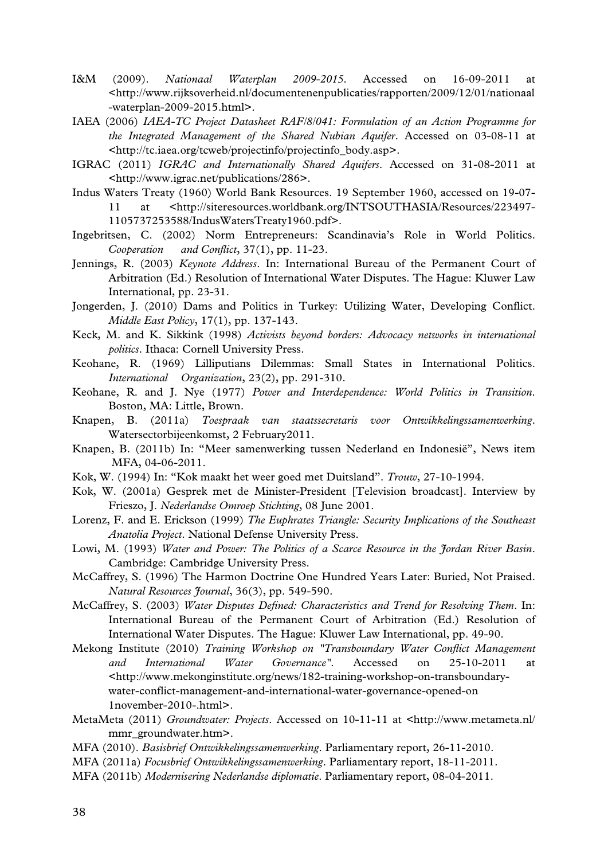- I&M (2009). *Nationaal Waterplan 2009-2015*. Accessed on 16-09-2011 at <http://www.rijksoverheid.nl/documentenenpublicaties/rapporten/2009/12/01/nationaal -waterplan-2009-2015.html>.
- IAEA (2006) *IAEA-TC Project Datasheet RAF/8/041: Formulation of an Action Programme for the Integrated Management of the Shared Nubian Aquifer*. Accessed on 03-08-11 at <http://tc.iaea.org/tcweb/projectinfo/projectinfo\_body.asp>.
- IGRAC (2011) *IGRAC and Internationally Shared Aquifers*. Accessed on 31-08-2011 at <http://www.igrac.net/publications/286>.
- Indus Waters Treaty (1960) World Bank Resources. 19 September 1960, accessed on 19-07- 11 at <http://siteresources.worldbank.org/INTSOUTHASIA/Resources/223497- 1105737253588/IndusWatersTreaty1960.pdf>.
- Ingebritsen, C. (2002) Norm Entrepreneurs: Scandinavia's Role in World Politics. *Cooperation and Conflict*, 37(1), pp. 11-23.
- Jennings, R. (2003) *Keynote Address*. In: International Bureau of the Permanent Court of Arbitration (Ed.) Resolution of International Water Disputes. The Hague: Kluwer Law International, pp. 23-31.
- Jongerden, J. (2010) Dams and Politics in Turkey: Utilizing Water, Developing Conflict. *Middle East Policy*, 17(1), pp. 137-143.
- Keck, M. and K. Sikkink (1998) *Activists beyond borders: Advocacy networks in international politics*. Ithaca: Cornell University Press.
- Keohane, R. (1969) Lilliputians Dilemmas: Small States in International Politics. *International Organization*, 23(2), pp. 291-310.
- Keohane, R. and J. Nye (1977) *Power and Interdependence: World Politics in Transition*. Boston, MA: Little, Brown.
- Knapen, B. (2011a) *Toespraak van staatssecretaris voor Ontwikkelingssamenwerking*. Watersectorbijeenkomst, 2 February2011.
- Knapen, B. (2011b) In: "Meer samenwerking tussen Nederland en Indonesië", News item MFA, 04-06-2011.
- Kok, W. (1994) In: "Kok maakt het weer goed met Duitsland". *Trouw*, 27-10-1994.
- Kok, W. (2001a) Gesprek met de Minister-President [Television broadcast]. Interview by Frieszo, J. *Nederlandse Omroep Stichting*, 08 June 2001.
- Lorenz, F. and E. Erickson (1999) *The Euphrates Triangle: Security Implications of the Southeast Anatolia Project*. National Defense University Press.
- Lowi, M. (1993) *Water and Power: The Politics of a Scarce Resource in the Jordan River Basin*. Cambridge: Cambridge University Press.
- McCaffrey, S. (1996) The Harmon Doctrine One Hundred Years Later: Buried, Not Praised. *Natural Resources Journal*, 36(3), pp. 549-590.
- McCaffrey, S. (2003) *Water Disputes Defined: Characteristics and Trend for Resolving Them*. In: International Bureau of the Permanent Court of Arbitration (Ed.) Resolution of International Water Disputes. The Hague: Kluwer Law International, pp. 49-90.
- Mekong Institute (2010) *Training Workshop on "Transboundary Water Conflict Management and International Water Governance"*. Accessed on 25-10-2011 at <http://www.mekonginstitute.org/news/182-training-workshop-on-transboundary water-conflict-management-and-international-water-governance-opened-on 1november-2010-.html>.
- MetaMeta (2011) *Groundwater: Projects*. Accessed on 10-11-11 at <http://www.metameta.nl/ mmr\_groundwater.htm>.
- MFA (2010). *Basisbrief Ontwikkelingssamenwerking*. Parliamentary report, 26-11-2010.
- MFA (2011a) *Focusbrief Ontwikkelingssamenwerking*. Parliamentary report, 18-11-2011.
- MFA (2011b) *Modernisering Nederlandse diplomatie*. Parliamentary report, 08-04-2011.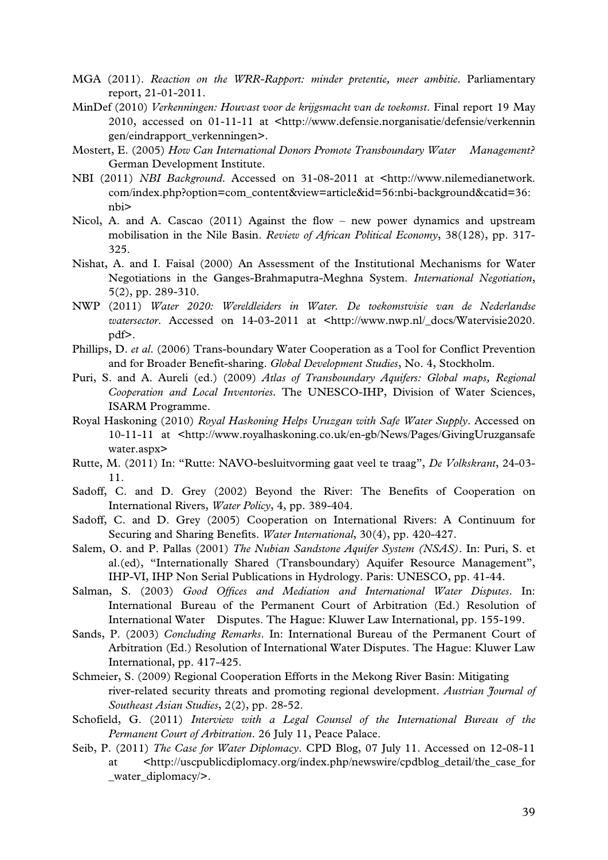- MGA (2011). *Reaction on the WRR-Rapport: minder pretentie, meer ambitie*. Parliamentary report, 21-01-2011.
- MinDef (2010) *Verkenningen: Houvast voor de krijgsmacht van de toekomst*. Final report 19 May 2010, accessed on 01-11-11 at <http://www.defensie.norganisatie/defensie/verkennin gen/eindrapport\_verkenningen>.
- Mostert, E. (2005) *How Can International Donors Promote Transboundary Water Management?* German Development Institute.
- NBI (2011) *NBI Background*. Accessed on 31-08-2011 at <http://www.nilemedianetwork. com/index.php?option=com\_content&view=article&id=56:nbi-background&catid=36: nbi>
- Nicol, A. and A. Cascao (2011) Against the flow new power dynamics and upstream mobilisation in the Nile Basin. *Review of African Political Economy*, 38(128), pp. 317- 325.
- Nishat, A. and I. Faisal (2000) An Assessment of the Institutional Mechanisms for Water Negotiations in the Ganges-Brahmaputra-Meghna System. *International Negotiation*, 5(2), pp. 289-310.
- NWP (2011) *Water 2020: Wereldleiders in Water. De toekomstvisie van de Nederlandse watersector*. Accessed on 14-03-2011 at <http://www.nwp.nl/\_docs/Watervisie2020. pdf>.
- Phillips, D. *et al*. (2006) Trans-boundary Water Cooperation as a Tool for Conflict Prevention and for Broader Benefit-sharing. *Global Development Studies*, No. 4, Stockholm.
- Puri, S. and A. Aureli (ed.) (2009) *Atlas of Transboundary Aquifers: Global maps, Regional Cooperation and Local Inventories*. The UNESCO-IHP, Division of Water Sciences, ISARM Programme.
- Royal Haskoning (2010) *Royal Haskoning Helps Uruzgan with Safe Water Supply*. Accessed on 10-11-11 at <http://www.royalhaskoning.co.uk/en-gb/News/Pages/GivingUruzgansafe water.aspx>
- Rutte, M. (2011) In: "Rutte: NAVO-besluitvorming gaat veel te traag", *De Volkskrant*, 24-03- 11.
- Sadoff, C. and D. Grey (2002) Beyond the River: The Benefits of Cooperation on International Rivers, *Water Policy*, 4, pp. 389-404.
- Sadoff, C. and D. Grey (2005) Cooperation on International Rivers: A Continuum for Securing and Sharing Benefits. *Water International*, 30(4), pp. 420-427.
- Salem, O. and P. Pallas (2001) *The Nubian Sandstone Aquifer System (NSAS)*. In: Puri, S. et al.(ed), "Internationally Shared (Transboundary) Aquifer Resource Management", IHP-VI, IHP Non Serial Publications in Hydrology. Paris: UNESCO, pp. 41-44.
- Salman, S. (2003) *Good Offices and Mediation and International Water Disputes*. In: International Bureau of the Permanent Court of Arbitration (Ed.) Resolution of International Water Disputes. The Hague: Kluwer Law International, pp. 155-199.
- Sands, P. (2003) *Concluding Remarks*. In: International Bureau of the Permanent Court of Arbitration (Ed.) Resolution of International Water Disputes. The Hague: Kluwer Law International, pp. 417-425.
- Schmeier, S. (2009) Regional Cooperation Efforts in the Mekong River Basin: Mitigating river-related security threats and promoting regional development. *Austrian Journal of Southeast Asian Studies*, 2(2), pp. 28-52.
- Schofield, G. (2011) *Interview with a Legal Counsel of the International Bureau of the Permanent Court of Arbitration*. 26 July 11, Peace Palace.
- Seib, P. (2011) *The Case for Water Diplomacy*. CPD Blog, 07 July 11. Accessed on 12-08-11 at <http://uscpublicdiplomacy.org/index.php/newswire/cpdblog\_detail/the\_case\_for water\_diplomacy/>.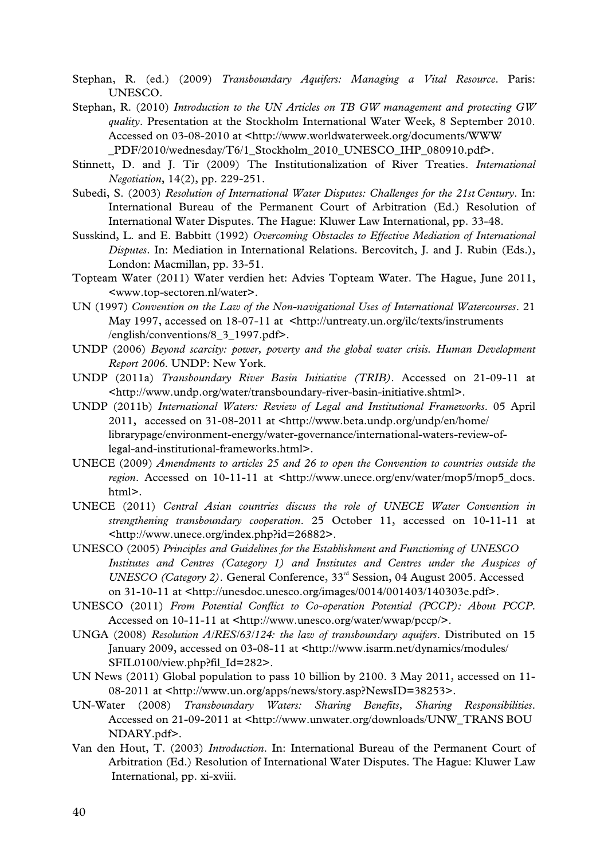- Stephan, R. (ed.) (2009) *Transboundary Aquifers: Managing a Vital Resource*. Paris: UNESCO.
- Stephan, R. (2010) *Introduction to the UN Articles on TB GW management and protecting GW quality*. Presentation at the Stockholm International Water Week, 8 September 2010. Accessed on 03-08-2010 at <http://www.worldwaterweek.org/documents/WWW \_PDF/2010/wednesday/T6/1\_Stockholm\_2010\_UNESCO\_IHP\_080910.pdf>.
- Stinnett, D. and J. Tir (2009) The Institutionalization of River Treaties. *International Negotiation*, 14(2), pp. 229-251.
- Subedi, S. (2003) *Resolution of International Water Disputes: Challenges for the 21st Century*. In: International Bureau of the Permanent Court of Arbitration (Ed.) Resolution of International Water Disputes. The Hague: Kluwer Law International, pp. 33-48.
- Susskind, L. and E. Babbitt (1992) *Overcoming Obstacles to Effective Mediation of International Disputes*. In: Mediation in International Relations. Bercovitch, J. and J. Rubin (Eds.), London: Macmillan, pp. 33-51.
- Topteam Water (2011) Water verdien het: Advies Topteam Water. The Hague, June 2011, <www.top-sectoren.nl/water>.
- UN (1997) *Convention on the Law of the Non-navigational Uses of International Watercourses*. 21 May 1997, accessed on 18-07-11 at <http://untreaty.un.org/ilc/texts/instruments /english/conventions/8\_3\_1997.pdf>.
- UNDP (2006) *Beyond scarcity: power, poverty and the global water crisis. Human Development Report 2006*. UNDP: New York.
- UNDP (2011a) *Transboundary River Basin Initiative (TRIB)*. Accessed on 21-09-11 at <http://www.undp.org/water/transboundary-river-basin-initiative.shtml>.
- UNDP (2011b) *International Waters: Review of Legal and Institutional Frameworks*. 05 April 2011, accessed on 31-08-2011 at <http://www.beta.undp.org/undp/en/home/ librarypage/environment-energy/water-governance/international-waters-review-of legal-and-institutional-frameworks.html>.
- UNECE (2009) *Amendments to articles 25 and 26 to open the Convention to countries outside the region*. Accessed on 10-11-11 at <http://www.unece.org/env/water/mop5/mop5 docs. html>.
- UNECE (2011) *Central Asian countries discuss the role of UNECE Water Convention in strengthening transboundary cooperation*. 25 October 11, accessed on 10-11-11 at <http://www.unece.org/index.php?id=26882>.
- UNESCO (2005) *Principles and Guidelines for the Establishment and Functioning of UNESCO Institutes and Centres (Category 1) and Institutes and Centres under the Auspices of UNESCO (Category 2)*. General Conference, 33rd Session, 04 August 2005. Accessed on 31-10-11 at <http://unesdoc.unesco.org/images/0014/001403/140303e.pdf>.
- UNESCO (2011) *From Potential Conflict to Co-operation Potential (PCCP): About PCCP*. Accessed on 10-11-11 at <http://www.unesco.org/water/wwap/pccp/>.
- UNGA (2008) *Resolution A/RES/63/124: the law of transboundary aquifers*. Distributed on 15 January 2009, accessed on 03-08-11 at <http://www.isarm.net/dynamics/modules/ SFIL0100/view.php?fil\_Id=282>.
- UN News (2011) Global population to pass 10 billion by 2100. 3 May 2011, accessed on 11- 08-2011 at <http://www.un.org/apps/news/story.asp?NewsID=38253>.
- UN-Water (2008) *Transboundary Waters: Sharing Benefits, Sharing Responsibilities*. Accessed on 21-09-2011 at <http://www.unwater.org/downloads/UNW\_TRANS BOU NDARY.pdf>.
- Van den Hout, T. (2003) *Introduction*. In: International Bureau of the Permanent Court of Arbitration (Ed.) Resolution of International Water Disputes. The Hague: Kluwer Law International, pp. xi-xviii.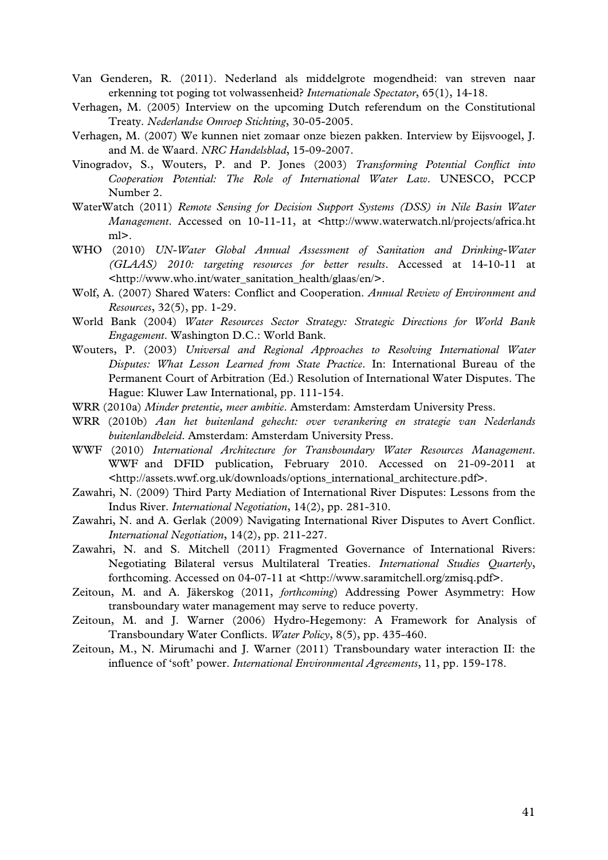- Van Genderen, R. (2011). Nederland als middelgrote mogendheid: van streven naar erkenning tot poging tot volwassenheid? *Internationale Spectator*, 65(1), 14-18.
- Verhagen, M. (2005) Interview on the upcoming Dutch referendum on the Constitutional Treaty. *Nederlandse Omroep Stichting*, 30-05-2005.
- Verhagen, M. (2007) We kunnen niet zomaar onze biezen pakken. Interview by Eijsvoogel, J. and M. de Waard. *NRC Handelsblad*, 15-09-2007.
- Vinogradov, S., Wouters, P. and P. Jones (2003) *Transforming Potential Conflict into Cooperation Potential: The Role of International Water Law*. UNESCO, PCCP Number 2.
- WaterWatch (2011) *Remote Sensing for Decision Support Systems (DSS) in Nile Basin Water Management*. Accessed on 10-11-11, at <http://www.waterwatch.nl/projects/africa.ht ml>.
- WHO (2010) *UN-Water Global Annual Assessment of Sanitation and Drinking-Water (GLAAS) 2010: targeting resources for better results*. Accessed at 14-10-11 at <http://www.who.int/water\_sanitation\_health/glaas/en/>.
- Wolf, A. (2007) Shared Waters: Conflict and Cooperation. *Annual Review of Environment and Resources*, 32(5), pp. 1-29.
- World Bank (2004) *Water Resources Sector Strategy: Strategic Directions for World Bank Engagement*. Washington D.C.: World Bank.
- Wouters, P. (2003) *Universal and Regional Approaches to Resolving International Water Disputes: What Lesson Learned from State Practice*. In: International Bureau of the Permanent Court of Arbitration (Ed.) Resolution of International Water Disputes. The Hague: Kluwer Law International, pp. 111-154.
- WRR (2010a) *Minder pretentie, meer ambitie*. Amsterdam: Amsterdam University Press.
- WRR (2010b) *Aan het buitenland gehecht: over verankering en strategie van Nederlands buitenlandbeleid*. Amsterdam: Amsterdam University Press.
- WWF (2010) *International Architecture for Transboundary Water Resources Management*. WWF and DFID publication, February 2010. Accessed on 21-09-2011 at <http://assets.wwf.org.uk/downloads/options\_international\_architecture.pdf>.
- Zawahri, N. (2009) Third Party Mediation of International River Disputes: Lessons from the Indus River. *International Negotiation*, 14(2), pp. 281-310.
- Zawahri, N. and A. Gerlak (2009) Navigating International River Disputes to Avert Conflict. *International Negotiation*, 14(2), pp. 211-227.
- Zawahri, N. and S. Mitchell (2011) Fragmented Governance of International Rivers: Negotiating Bilateral versus Multilateral Treaties. *International Studies Quarterly*, forthcoming. Accessed on 04-07-11 at <http://www.saramitchell.org/zmisq.pdf>.
- Zeitoun, M. and A. Jäkerskog (2011, *forthcoming*) Addressing Power Asymmetry: How transboundary water management may serve to reduce poverty.
- Zeitoun, M. and J. Warner (2006) Hydro-Hegemony: A Framework for Analysis of Transboundary Water Conflicts. *Water Policy*, 8(5), pp. 435-460.
- Zeitoun, M., N. Mirumachi and J. Warner (2011) Transboundary water interaction II: the influence of 'soft' power. *International Environmental Agreements*, 11, pp. 159-178.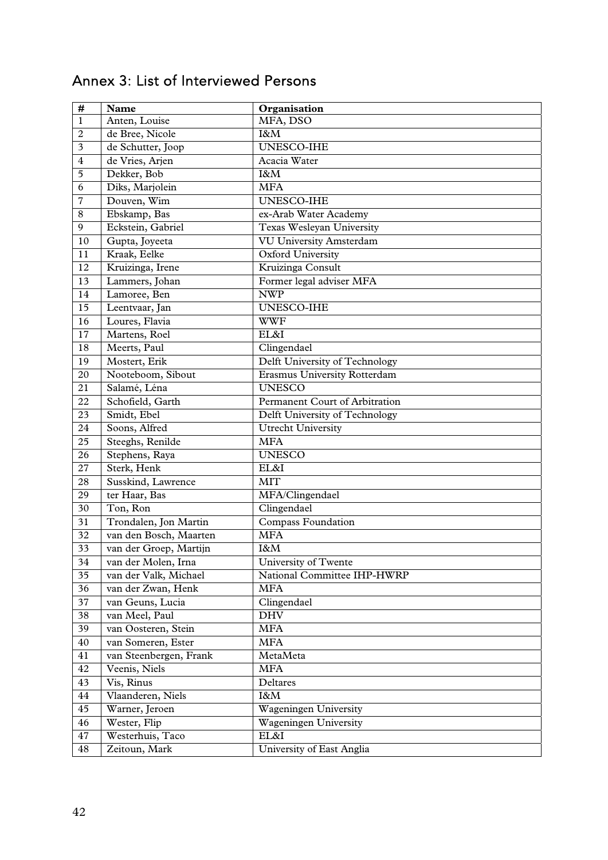| $\#$            | <b>Name</b>            | Organisation                        |
|-----------------|------------------------|-------------------------------------|
| $\mathbf{1}$    | Anten, Louise          | MFA, DSO                            |
| $\overline{c}$  | de Bree, Nicole        | I&M                                 |
| 3               | de Schutter, Joop      | UNESCO-IHE                          |
| $\overline{4}$  | de Vries, Arjen        | Acacia Water                        |
| $\overline{5}$  | Dekker, Bob            | I&M                                 |
| 6               | Diks, Marjolein        | <b>MFA</b>                          |
| $\overline{7}$  | Douven, Wim            | UNESCO-IHE                          |
| $8\,$           | Ebskamp, Bas           | ex-Arab Water Academy               |
| $\overline{9}$  | Eckstein, Gabriel      | <b>Texas Wesleyan University</b>    |
| 10              | Gupta, Joyeeta         | <b>VU University Amsterdam</b>      |
| 11              | Kraak, Eelke           | Oxford University                   |
| 12              | Kruizinga, Irene       | Kruizinga Consult                   |
| 13              | Lammers, Johan         | Former legal adviser MFA            |
| 14              | Lamoree, Ben           | <b>NWP</b>                          |
| 15              | Leentvaar, Jan         | UNESCO-IHE                          |
| 16              | Loures, Flavia         | <b>WWF</b>                          |
| 17              | Martens, Roel          | EL&I                                |
| 18              | Meerts, Paul           | Clingendael                         |
| 19              | Mostert, Erik          | Delft University of Technology      |
| $20\,$          | Nooteboom, Sibout      | <b>Erasmus University Rotterdam</b> |
| 21              | Salamé, Léna           | <b>UNESCO</b>                       |
| 22              | Schofield, Garth       | Permanent Court of Arbitration      |
| 23              | Smidt, Ebel            | Delft University of Technology      |
| $\overline{24}$ | Soons, Alfred          | <b>Utrecht University</b>           |
| $\overline{25}$ | Steeghs, Renilde       | <b>MFA</b>                          |
| 26              | Stephens, Raya         | <b>UNESCO</b>                       |
| 27              | Sterk, Henk            | EL&I                                |
| 28              | Susskind, Lawrence     | <b>MIT</b>                          |
| 29              | ter Haar, Bas          | MFA/Clingendael                     |
| 30              | Ton, Ron               | Clingendael                         |
| 31              | Trondalen, Jon Martin  | <b>Compass Foundation</b>           |
| 32              | van den Bosch, Maarten | <b>MFA</b>                          |
| 33              | van der Groep, Martijn | I&M                                 |
| 34              | van der Molen, Irna    | University of Twente                |
| 35              | van der Valk, Michael  | National Committee IHP-HWRP         |
| 36              | van der Zwan, Henk     | <b>MFA</b>                          |
| 37              | van Geuns, Lucia       | Clingendael                         |
| 38              | van Meel, Paul         | <b>DHV</b>                          |
| 39              | van Oosteren, Stein    | <b>MFA</b>                          |
| 40              | van Someren, Ester     | <b>MFA</b>                          |
| 41              | van Steenbergen, Frank | MetaMeta                            |
| 42              | Veenis, Niels          | <b>MFA</b>                          |
| 43              | Vis, Rinus             | Deltares                            |
| $\bf 44$        | Vlaanderen, Niels      | I&M                                 |
| 45              | Warner, Jeroen         | Wageningen University               |
| 46              | Wester, Flip           | Wageningen University               |
| 47              | Westerhuis, Taco       | EL&I                                |
| 48              | Zeitoun, Mark          | University of East Anglia           |

# Annex 3: List of Interviewed Persons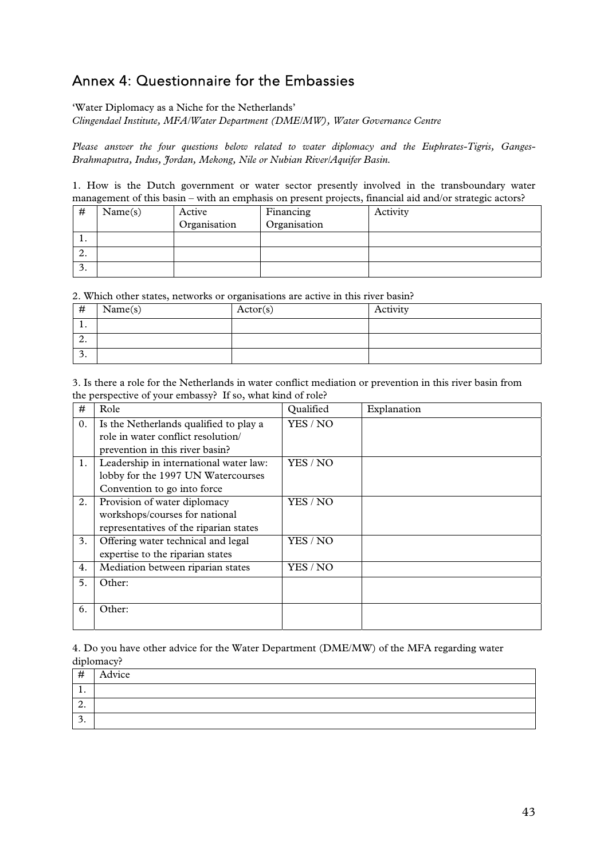## Annex 4: Questionnaire for the Embassies

'Water Diplomacy as a Niche for the Netherlands'

*Clingendael Institute, MFA/Water Department (DME/MW), Water Governance Centre* 

*Please answer the four questions below related to water diplomacy and the Euphrates-Tigris, Ganges-Brahmaputra, Indus, Jordan, Mekong, Nile or Nubian River/Aquifer Basin.* 

1. How is the Dutch government or water sector presently involved in the transboundary water management of this basin – with an emphasis on present projects, financial aid and/or strategic actors?

| #       | Name(s) | Active       | Financing    | Activity |
|---------|---------|--------------|--------------|----------|
|         |         | Organisation | Organisation |          |
| . .     |         |              |              |          |
| ◠<br>۷. |         |              |              |          |
| э.      |         |              |              |          |

2. Which other states, networks or organisations are active in this river basin?

| #        | Name(s) | Actor(s) | Activity |
|----------|---------|----------|----------|
| . .      |         |          |          |
| <u>.</u> |         |          |          |
| <u>.</u> |         |          |          |

3. Is there a role for the Netherlands in water conflict mediation or prevention in this river basin from the perspective of your embassy? If so, what kind of role?

| #              | Role                                                                                                        | Qualified | Explanation |
|----------------|-------------------------------------------------------------------------------------------------------------|-----------|-------------|
| $\mathbf{0}$ . | Is the Netherlands qualified to play a<br>role in water conflict resolution/                                | YES / NO  |             |
|                | prevention in this river basin?                                                                             |           |             |
| 1.             | Leadership in international water law:<br>lobby for the 1997 UN Watercourses<br>Convention to go into force | YES / NO  |             |
| 2.             | Provision of water diplomacy<br>workshops/courses for national<br>representatives of the riparian states    | YES / NO  |             |
| 3.             | Offering water technical and legal<br>expertise to the riparian states                                      | YES / NO  |             |
| 4.             | Mediation between riparian states                                                                           | YES / NO  |             |
| 5.             | Other:                                                                                                      |           |             |
| 6.             | Other:                                                                                                      |           |             |

4. Do you have other advice for the Water Department (DME/MW) of the MFA regarding water diplomacy?

| #   | Advice |
|-----|--------|
| . . |        |
| ∠.  |        |
| . ر |        |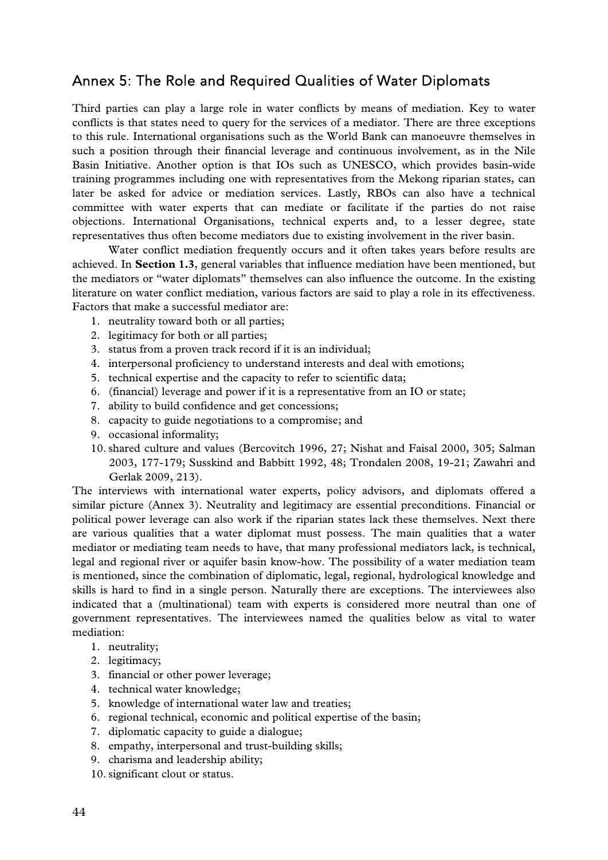### Annex 5: The Role and Required Qualities of Water Diplomats

Third parties can play a large role in water conflicts by means of mediation. Key to water conflicts is that states need to query for the services of a mediator. There are three exceptions to this rule. International organisations such as the World Bank can manoeuvre themselves in such a position through their financial leverage and continuous involvement, as in the Nile Basin Initiative. Another option is that IOs such as UNESCO, which provides basin-wide training programmes including one with representatives from the Mekong riparian states, can later be asked for advice or mediation services. Lastly, RBOs can also have a technical committee with water experts that can mediate or facilitate if the parties do not raise objections. International Organisations, technical experts and, to a lesser degree, state representatives thus often become mediators due to existing involvement in the river basin.

 Water conflict mediation frequently occurs and it often takes years before results are achieved. In **Section 1.3**, general variables that influence mediation have been mentioned, but the mediators or "water diplomats" themselves can also influence the outcome. In the existing literature on water conflict mediation, various factors are said to play a role in its effectiveness. Factors that make a successful mediator are:

- 1. neutrality toward both or all parties;
- 2. legitimacy for both or all parties;
- 3. status from a proven track record if it is an individual;
- 4. interpersonal proficiency to understand interests and deal with emotions;
- 5. technical expertise and the capacity to refer to scientific data;
- 6. (financial) leverage and power if it is a representative from an IO or state;
- 7. ability to build confidence and get concessions;
- 8. capacity to guide negotiations to a compromise; and
- 9. occasional informality;
- 10.shared culture and values (Bercovitch 1996, 27; Nishat and Faisal 2000, 305; Salman 2003, 177-179; Susskind and Babbitt 1992, 48; Trondalen 2008, 19-21; Zawahri and Gerlak 2009, 213).

The interviews with international water experts, policy advisors, and diplomats offered a similar picture (Annex 3). Neutrality and legitimacy are essential preconditions. Financial or political power leverage can also work if the riparian states lack these themselves. Next there are various qualities that a water diplomat must possess. The main qualities that a water mediator or mediating team needs to have, that many professional mediators lack, is technical, legal and regional river or aquifer basin know-how. The possibility of a water mediation team is mentioned, since the combination of diplomatic, legal, regional, hydrological knowledge and skills is hard to find in a single person. Naturally there are exceptions. The interviewees also indicated that a (multinational) team with experts is considered more neutral than one of government representatives. The interviewees named the qualities below as vital to water mediation:

- 1. neutrality;
- 2. legitimacy;
- 3. financial or other power leverage;
- 4. technical water knowledge;
- 5. knowledge of international water law and treaties;
- 6. regional technical, economic and political expertise of the basin;
- 7. diplomatic capacity to guide a dialogue;
- 8. empathy, interpersonal and trust-building skills;
- 9. charisma and leadership ability;
- 10.significant clout or status.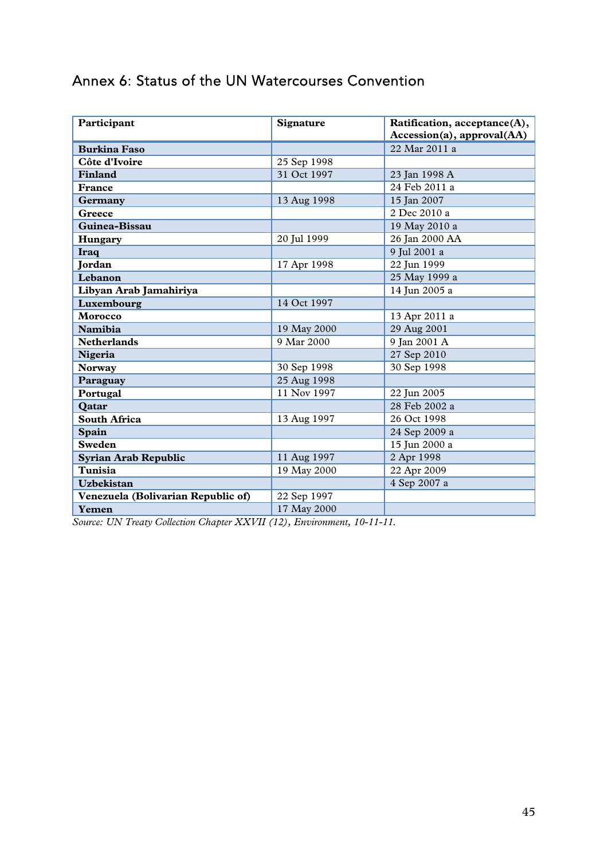# Annex 6: Status of the UN Watercourses Convention

| Participant                        | <b>Signature</b> | Ratification, acceptance(A), |
|------------------------------------|------------------|------------------------------|
|                                    |                  | Accession(a), approval(AA)   |
| <b>Burkina Faso</b>                |                  | 22 Mar 2011 a                |
| Côte d'Ivoire                      | 25 Sep 1998      |                              |
| <b>Finland</b>                     | 31 Oct 1997      | 23 Jan 1998 A                |
| France                             |                  | 24 Feb 2011 a                |
| Germany                            | 13 Aug 1998      | 15 Jan 2007                  |
| Greece                             |                  | 2 Dec 2010 a                 |
| Guinea-Bissau                      |                  | 19 May 2010 a                |
| Hungary                            | 20 Jul 1999      | 26 Jan 2000 AA               |
| <b>Iraq</b>                        |                  | 9 Jul 2001 a                 |
| Jordan                             | 17 Apr 1998      | 22 Jun 1999                  |
| Lebanon                            |                  | 25 May 1999 a                |
| Libyan Arab Jamahiriya             |                  | 14 Jun 2005 a                |
| Luxembourg                         | 14 Oct 1997      |                              |
| Morocco                            |                  | 13 Apr 2011 a                |
| <b>Namibia</b>                     | 19 May 2000      | 29 Aug 2001                  |
| <b>Netherlands</b>                 | 9 Mar 2000       | 9 Jan 2001 A                 |
| Nigeria                            |                  | 27 Sep 2010                  |
| <b>Norway</b>                      | 30 Sep 1998      | 30 Sep 1998                  |
| Paraguay                           | 25 Aug 1998      |                              |
| Portugal                           | 11 Nov 1997      | 22 Jun 2005                  |
| Qatar                              |                  | 28 Feb 2002 a                |
| <b>South Africa</b>                | 13 Aug 1997      | 26 Oct 1998                  |
| Spain                              |                  | 24 Sep 2009 a                |
| <b>Sweden</b>                      |                  | 15 Jun 2000 a                |
| <b>Syrian Arab Republic</b>        | 11 Aug 1997      | 2 Apr 1998                   |
| Tunisia                            | 19 May 2000      | 22 Apr 2009                  |
| <b>Uzbekistan</b>                  |                  | 4 Sep 2007 a                 |
| Venezuela (Bolivarian Republic of) | 22 Sep 1997      |                              |
| Yemen                              | 17 May 2000      |                              |

*Source: UN Treaty Collection Chapter XXVII (12), Environment, 10-11-11.*